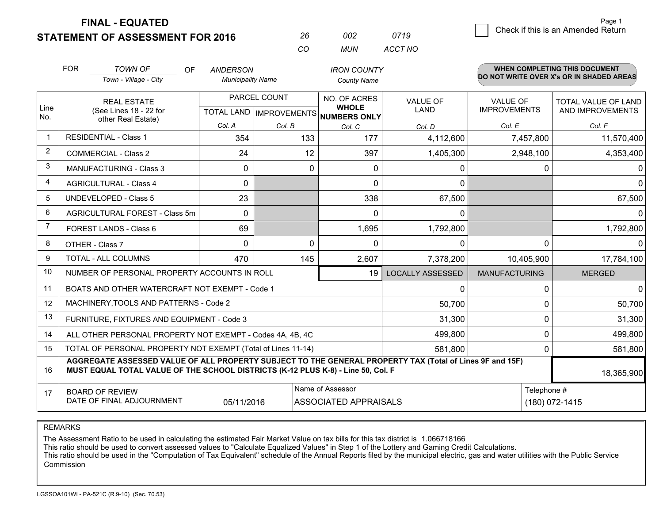**STATEMENT OF ASSESSMENT FOR 2016** 

**FINAL - EQUATED**

|                | <b>FOR</b>                                                                                                                           | <b>TOWN OF</b><br>OF<br>Town - Village - City                                                                                                                                                | <b>ANDERSON</b><br><b>Municipality Name</b> |                                                | <b>IRON COUNTY</b><br><b>County Name</b>            |                                |                                        | <b>WHEN COMPLETING THIS DOCUMENT</b><br>DO NOT WRITE OVER X's OR IN SHADED AREAS |
|----------------|--------------------------------------------------------------------------------------------------------------------------------------|----------------------------------------------------------------------------------------------------------------------------------------------------------------------------------------------|---------------------------------------------|------------------------------------------------|-----------------------------------------------------|--------------------------------|----------------------------------------|----------------------------------------------------------------------------------|
| Line<br>No.    |                                                                                                                                      | <b>REAL ESTATE</b><br>(See Lines 18 - 22 for<br>other Real Estate)                                                                                                                           |                                             | PARCEL COUNT<br><b>TOTAL LAND IMPROVEMENTS</b> | NO. OF ACRES<br><b>WHOLE</b><br><b>NUMBERS ONLY</b> | <b>VALUE OF</b><br><b>LAND</b> | <b>VALUE OF</b><br><b>IMPROVEMENTS</b> | <b>TOTAL VALUE OF LAND</b><br>AND IMPROVEMENTS                                   |
|                |                                                                                                                                      |                                                                                                                                                                                              | Col. A                                      | Col. B                                         | Col. C                                              | Col. D                         | Col. E                                 | Col. F                                                                           |
| $\mathbf 1$    |                                                                                                                                      | <b>RESIDENTIAL - Class 1</b>                                                                                                                                                                 | 354                                         | 133                                            | 177                                                 | 4,112,600                      | 7,457,800                              | 11,570,400                                                                       |
| 2              |                                                                                                                                      | <b>COMMERCIAL - Class 2</b>                                                                                                                                                                  | 24                                          |                                                | 12<br>397                                           | 1,405,300                      | 2,948,100                              | 4,353,400                                                                        |
| 3              |                                                                                                                                      | <b>MANUFACTURING - Class 3</b>                                                                                                                                                               | 0                                           |                                                | 0<br>0                                              | 0                              |                                        | 0<br>$\Omega$                                                                    |
| 4              |                                                                                                                                      | <b>AGRICULTURAL - Class 4</b>                                                                                                                                                                | $\mathbf{0}$                                |                                                | 0                                                   | $\mathbf{0}$                   |                                        | $\Omega$                                                                         |
| 5              |                                                                                                                                      | <b>UNDEVELOPED - Class 5</b>                                                                                                                                                                 | 23                                          |                                                | 338                                                 | 67,500                         |                                        | 67,500                                                                           |
| 6              |                                                                                                                                      | AGRICULTURAL FOREST - Class 5m                                                                                                                                                               | $\Omega$                                    |                                                | $\Omega$                                            | $\Omega$                       |                                        | $\Omega$                                                                         |
| $\overline{7}$ |                                                                                                                                      | FOREST LANDS - Class 6                                                                                                                                                                       | 69                                          |                                                | 1,695                                               | 1,792,800                      |                                        | 1,792,800                                                                        |
| 8              |                                                                                                                                      | OTHER - Class 7                                                                                                                                                                              | $\Omega$                                    |                                                | $\Omega$<br>$\Omega$                                | $\Omega$                       |                                        | $\Omega$<br>$\Omega$                                                             |
| 9              |                                                                                                                                      | TOTAL - ALL COLUMNS                                                                                                                                                                          | 470                                         | 145                                            | 2,607                                               | 7,378,200                      | 10,405,900                             | 17,784,100                                                                       |
| 10             |                                                                                                                                      | NUMBER OF PERSONAL PROPERTY ACCOUNTS IN ROLL                                                                                                                                                 |                                             |                                                | 19                                                  | <b>LOCALLY ASSESSED</b>        | <b>MANUFACTURING</b>                   | <b>MERGED</b>                                                                    |
| 11             |                                                                                                                                      | BOATS AND OTHER WATERCRAFT NOT EXEMPT - Code 1                                                                                                                                               |                                             |                                                |                                                     | $\Omega$                       |                                        | 0<br>$\Omega$                                                                    |
| 12             |                                                                                                                                      | MACHINERY, TOOLS AND PATTERNS - Code 2                                                                                                                                                       |                                             |                                                |                                                     | 50,700                         |                                        | 50,700<br>0                                                                      |
| 13             |                                                                                                                                      | FURNITURE, FIXTURES AND EQUIPMENT - Code 3                                                                                                                                                   |                                             |                                                |                                                     | 31,300                         |                                        | 31,300<br>0                                                                      |
| 14             |                                                                                                                                      | ALL OTHER PERSONAL PROPERTY NOT EXEMPT - Codes 4A, 4B, 4C                                                                                                                                    |                                             |                                                |                                                     | 499,800                        |                                        | 0<br>499,800                                                                     |
| 15             |                                                                                                                                      | TOTAL OF PERSONAL PROPERTY NOT EXEMPT (Total of Lines 11-14)                                                                                                                                 |                                             |                                                |                                                     | 581,800                        |                                        | $\Omega$<br>581,800                                                              |
| 16             |                                                                                                                                      | AGGREGATE ASSESSED VALUE OF ALL PROPERTY SUBJECT TO THE GENERAL PROPERTY TAX (Total of Lines 9F and 15F)<br>MUST EQUAL TOTAL VALUE OF THE SCHOOL DISTRICTS (K-12 PLUS K-8) - Line 50, Col. F |                                             |                                                |                                                     |                                |                                        | 18,365,900                                                                       |
| 17             | Name of Assessor<br>Telephone #<br><b>BOARD OF REVIEW</b><br>DATE OF FINAL ADJOURNMENT<br><b>ASSOCIATED APPRAISALS</b><br>05/11/2016 |                                                                                                                                                                                              |                                             |                                                |                                                     |                                |                                        | $(180) 072 - 1415$                                                               |

*CO*

*MUN*

*ACCT NO0719*

*<sup>26</sup> <sup>002</sup>*

REMARKS

The Assessment Ratio to be used in calculating the estimated Fair Market Value on tax bills for this tax district is 1.066718166<br>This ratio should be used to convert assessed values to "Calculate Equalized Values" in Step Commission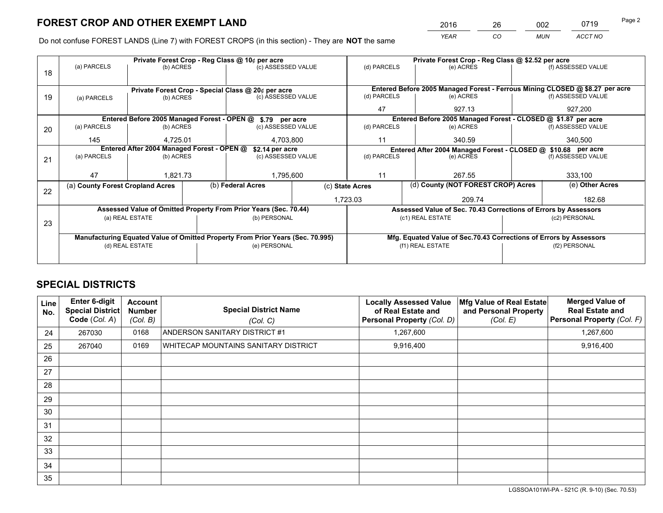*YEAR CO MUN ACCT NO* <sup>2016</sup> <sup>26</sup> <sup>002</sup> <sup>0719</sup>

Do not confuse FOREST LANDS (Line 7) with FOREST CROPS (in this section) - They are **NOT** the same

|    |                                  |                                            |           | Private Forest Crop - Reg Class @ 10¢ per acre                                 |                    | Private Forest Crop - Reg Class @ \$2.52 per acre |                                                                    |                    |                                                                              |  |  |
|----|----------------------------------|--------------------------------------------|-----------|--------------------------------------------------------------------------------|--------------------|---------------------------------------------------|--------------------------------------------------------------------|--------------------|------------------------------------------------------------------------------|--|--|
| 18 | (a) PARCELS                      | (b) ACRES                                  |           | (c) ASSESSED VALUE                                                             |                    | (d) PARCELS                                       | (e) ACRES                                                          |                    | (f) ASSESSED VALUE                                                           |  |  |
|    |                                  |                                            |           |                                                                                |                    |                                                   |                                                                    |                    |                                                                              |  |  |
|    |                                  |                                            |           | Private Forest Crop - Special Class @ 20¢ per acre                             |                    |                                                   |                                                                    |                    | Entered Before 2005 Managed Forest - Ferrous Mining CLOSED @ \$8.27 per acre |  |  |
| 19 | (a) PARCELS                      | (c) ASSESSED VALUE<br>(b) ACRES            |           |                                                                                | (d) PARCELS        | (e) ACRES                                         |                                                                    | (f) ASSESSED VALUE |                                                                              |  |  |
|    |                                  |                                            |           |                                                                                |                    | 47                                                | 927.13                                                             |                    | 927,200                                                                      |  |  |
|    |                                  |                                            |           | Entered Before 2005 Managed Forest - OPEN @ \$.79 per acre                     |                    |                                                   | Entered Before 2005 Managed Forest - CLOSED @ \$1.87 per acre      |                    |                                                                              |  |  |
| 20 | (a) PARCELS                      | (b) ACRES                                  |           |                                                                                | (c) ASSESSED VALUE |                                                   | (e) ACRES                                                          |                    | (f) ASSESSED VALUE                                                           |  |  |
|    | 145<br>4.725.01                  |                                            | 4,703,800 |                                                                                | 11<br>340.59       |                                                   |                                                                    | 340,500            |                                                                              |  |  |
|    |                                  | Entered After 2004 Managed Forest - OPEN @ |           | \$2.14 per acre                                                                |                    |                                                   | Entered After 2004 Managed Forest - CLOSED @ \$10.68 per acre      |                    |                                                                              |  |  |
| 21 | (a) PARCELS                      | (b) ACRES                                  |           | (c) ASSESSED VALUE                                                             | (d) PARCELS        |                                                   | (e) ACRES                                                          |                    | (f) ASSESSED VALUE                                                           |  |  |
|    |                                  |                                            |           |                                                                                |                    |                                                   |                                                                    |                    |                                                                              |  |  |
|    | 47                               | 1,821.73                                   |           | 1,795,600                                                                      |                    | 11                                                | 267.55                                                             |                    | 333,100                                                                      |  |  |
| 22 | (a) County Forest Cropland Acres |                                            |           | (b) Federal Acres<br>(c) State Acres                                           |                    | (d) County (NOT FOREST CROP) Acres                |                                                                    |                    | (e) Other Acres                                                              |  |  |
|    |                                  |                                            |           |                                                                                |                    | 1,723.03                                          | 209.74                                                             |                    | 182.68                                                                       |  |  |
|    |                                  |                                            |           | Assessed Value of Omitted Property From Prior Years (Sec. 70.44)               |                    |                                                   | Assessed Value of Sec. 70.43 Corrections of Errors by Assessors    |                    |                                                                              |  |  |
| 23 |                                  | (a) REAL ESTATE                            |           | (b) PERSONAL                                                                   |                    |                                                   | (c1) REAL ESTATE                                                   |                    | (c2) PERSONAL                                                                |  |  |
|    |                                  |                                            |           |                                                                                |                    |                                                   |                                                                    |                    |                                                                              |  |  |
|    |                                  |                                            |           | Manufacturing Equated Value of Omitted Property From Prior Years (Sec. 70.995) |                    |                                                   | Mfg. Equated Value of Sec.70.43 Corrections of Errors by Assessors |                    |                                                                              |  |  |
|    |                                  | (d) REAL ESTATE                            |           | (e) PERSONAL                                                                   |                    | (f1) REAL ESTATE                                  |                                                                    | (f2) PERSONAL      |                                                                              |  |  |
|    |                                  |                                            |           |                                                                                |                    |                                                   |                                                                    |                    |                                                                              |  |  |

# **SPECIAL DISTRICTS**

| <b>Line</b><br>No. | Enter 6-digit<br><b>Special District</b><br>Code (Col. A) | <b>Account</b><br><b>Number</b><br>(Col. B) | <b>Special District Name</b><br>(Col. C) | <b>Locally Assessed Value</b><br>of Real Estate and<br>Personal Property (Col. D) | Mfg Value of Real Estate<br>and Personal Property<br>(Col. E) | <b>Merged Value of</b><br><b>Real Estate and</b><br>Personal Property (Col. F) |
|--------------------|-----------------------------------------------------------|---------------------------------------------|------------------------------------------|-----------------------------------------------------------------------------------|---------------------------------------------------------------|--------------------------------------------------------------------------------|
| 24                 | 267030                                                    | 0168                                        | ANDERSON SANITARY DISTRICT #1            | 1,267,600                                                                         |                                                               | 1,267,600                                                                      |
| 25                 | 267040                                                    | 0169                                        | WHITECAP MOUNTAINS SANITARY DISTRICT     | 9,916,400                                                                         |                                                               | 9,916,400                                                                      |
| 26                 |                                                           |                                             |                                          |                                                                                   |                                                               |                                                                                |
| 27                 |                                                           |                                             |                                          |                                                                                   |                                                               |                                                                                |
| 28                 |                                                           |                                             |                                          |                                                                                   |                                                               |                                                                                |
| 29                 |                                                           |                                             |                                          |                                                                                   |                                                               |                                                                                |
| 30                 |                                                           |                                             |                                          |                                                                                   |                                                               |                                                                                |
| 31                 |                                                           |                                             |                                          |                                                                                   |                                                               |                                                                                |
| 32                 |                                                           |                                             |                                          |                                                                                   |                                                               |                                                                                |
| 33                 |                                                           |                                             |                                          |                                                                                   |                                                               |                                                                                |
| 34                 |                                                           |                                             |                                          |                                                                                   |                                                               |                                                                                |
| 35                 |                                                           |                                             |                                          |                                                                                   |                                                               |                                                                                |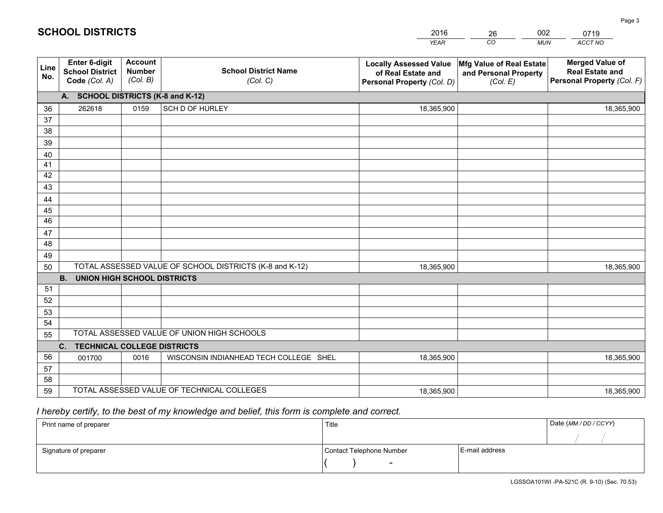|             |                                                          |                                             |                                                         | <b>YEAR</b>                                                                       | CO<br><b>MUN</b>                                              | ACCT NO                                                                        |
|-------------|----------------------------------------------------------|---------------------------------------------|---------------------------------------------------------|-----------------------------------------------------------------------------------|---------------------------------------------------------------|--------------------------------------------------------------------------------|
| Line<br>No. | Enter 6-digit<br><b>School District</b><br>Code (Col. A) | <b>Account</b><br><b>Number</b><br>(Col. B) | <b>School District Name</b><br>(Col. C)                 | <b>Locally Assessed Value</b><br>of Real Estate and<br>Personal Property (Col. D) | Mfg Value of Real Estate<br>and Personal Property<br>(Col. E) | <b>Merged Value of</b><br><b>Real Estate and</b><br>Personal Property (Col. F) |
|             | A. SCHOOL DISTRICTS (K-8 and K-12)                       |                                             |                                                         |                                                                                   |                                                               |                                                                                |
| 36          | 262618                                                   | 0159                                        | SCH D OF HURLEY                                         | 18,365,900                                                                        |                                                               | 18,365,900                                                                     |
| 37          |                                                          |                                             |                                                         |                                                                                   |                                                               |                                                                                |
| 38          |                                                          |                                             |                                                         |                                                                                   |                                                               |                                                                                |
| 39          |                                                          |                                             |                                                         |                                                                                   |                                                               |                                                                                |
| 40          |                                                          |                                             |                                                         |                                                                                   |                                                               |                                                                                |
| 41          |                                                          |                                             |                                                         |                                                                                   |                                                               |                                                                                |
| 42          |                                                          |                                             |                                                         |                                                                                   |                                                               |                                                                                |
| 43          |                                                          |                                             |                                                         |                                                                                   |                                                               |                                                                                |
| 44<br>45    |                                                          |                                             |                                                         |                                                                                   |                                                               |                                                                                |
| 46          |                                                          |                                             |                                                         |                                                                                   |                                                               |                                                                                |
| 47          |                                                          |                                             |                                                         |                                                                                   |                                                               |                                                                                |
| 48          |                                                          |                                             |                                                         |                                                                                   |                                                               |                                                                                |
| 49          |                                                          |                                             |                                                         |                                                                                   |                                                               |                                                                                |
| 50          |                                                          |                                             | TOTAL ASSESSED VALUE OF SCHOOL DISTRICTS (K-8 and K-12) | 18,365,900                                                                        |                                                               | 18,365,900                                                                     |
|             | <b>B.</b><br><b>UNION HIGH SCHOOL DISTRICTS</b>          |                                             |                                                         |                                                                                   |                                                               |                                                                                |
| 51          |                                                          |                                             |                                                         |                                                                                   |                                                               |                                                                                |
| 52          |                                                          |                                             |                                                         |                                                                                   |                                                               |                                                                                |
| 53          |                                                          |                                             |                                                         |                                                                                   |                                                               |                                                                                |
| 54          |                                                          |                                             |                                                         |                                                                                   |                                                               |                                                                                |
| 55          |                                                          |                                             | TOTAL ASSESSED VALUE OF UNION HIGH SCHOOLS              |                                                                                   |                                                               |                                                                                |
|             | C. TECHNICAL COLLEGE DISTRICTS                           |                                             |                                                         |                                                                                   |                                                               |                                                                                |
| 56          | 001700                                                   | 0016                                        | WISCONSIN INDIANHEAD TECH COLLEGE SHEL                  | 18,365,900                                                                        |                                                               | 18,365,900                                                                     |
| 57          |                                                          |                                             |                                                         |                                                                                   |                                                               |                                                                                |
| 58          |                                                          |                                             |                                                         |                                                                                   |                                                               |                                                                                |
| 59          |                                                          |                                             | TOTAL ASSESSED VALUE OF TECHNICAL COLLEGES              | 18,365,900                                                                        |                                                               | 18,365,900                                                                     |

26

002

# *I hereby certify, to the best of my knowledge and belief, this form is complete and correct.*

**SCHOOL DISTRICTS**

| Print name of preparer | Title                    |                | Date (MM / DD / CCYY) |
|------------------------|--------------------------|----------------|-----------------------|
|                        |                          |                |                       |
| Signature of preparer  | Contact Telephone Number | E-mail address |                       |
|                        | $\overline{\phantom{0}}$ |                |                       |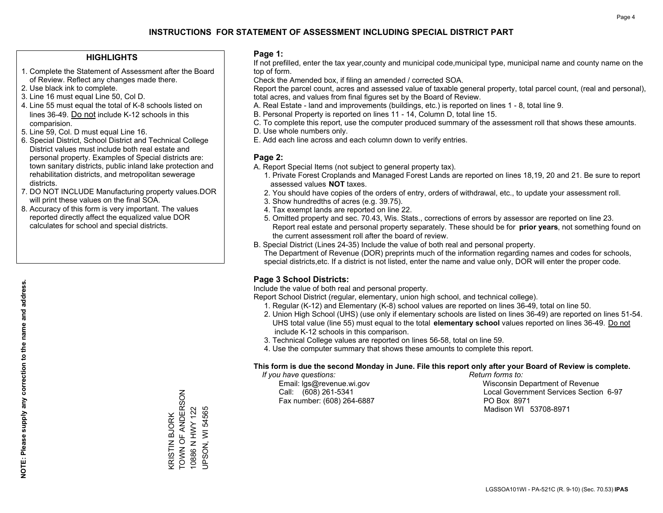#### **HIGHLIGHTS**

- 1. Complete the Statement of Assessment after the Board of Review. Reflect any changes made there.
- 2. Use black ink to complete.
- 3. Line 16 must equal Line 50, Col D.
- 4. Line 55 must equal the total of K-8 schools listed on lines 36-49. Do not include K-12 schools in this comparision.
- 5. Line 59, Col. D must equal Line 16.
- 6. Special District, School District and Technical College District values must include both real estate and personal property. Examples of Special districts are: town sanitary districts, public inland lake protection and rehabilitation districts, and metropolitan sewerage districts.
- 7. DO NOT INCLUDE Manufacturing property values.DOR will print these values on the final SOA.

KRISTIN BJORK TOWN OF ANDERSON 10886 N HWY 122 UPSON, WI 54565

KRISTIN BJORK<br>TOWN OF ANDERSON

10886 N HWY 122 **JPSON, WI 54565** 

 8. Accuracy of this form is very important. The values reported directly affect the equalized value DOR calculates for school and special districts.

#### **Page 1:**

 If not prefilled, enter the tax year,county and municipal code,municipal type, municipal name and county name on the top of form.

Check the Amended box, if filing an amended / corrected SOA.

 Report the parcel count, acres and assessed value of taxable general property, total parcel count, (real and personal), total acres, and values from final figures set by the Board of Review.

- A. Real Estate land and improvements (buildings, etc.) is reported on lines 1 8, total line 9.
- B. Personal Property is reported on lines 11 14, Column D, total line 15.
- C. To complete this report, use the computer produced summary of the assessment roll that shows these amounts.
- D. Use whole numbers only.
- E. Add each line across and each column down to verify entries.

#### **Page 2:**

- A. Report Special Items (not subject to general property tax).
- 1. Private Forest Croplands and Managed Forest Lands are reported on lines 18,19, 20 and 21. Be sure to report assessed values **NOT** taxes.
- 2. You should have copies of the orders of entry, orders of withdrawal, etc., to update your assessment roll.
	- 3. Show hundredths of acres (e.g. 39.75).
- 4. Tax exempt lands are reported on line 22.
- 5. Omitted property and sec. 70.43, Wis. Stats., corrections of errors by assessor are reported on line 23. Report real estate and personal property separately. These should be for **prior years**, not something found on the current assessment roll after the board of review.
- B. Special District (Lines 24-35) Include the value of both real and personal property.
- The Department of Revenue (DOR) preprints much of the information regarding names and codes for schools, special districts,etc. If a district is not listed, enter the name and value only, DOR will enter the proper code.

### **Page 3 School Districts:**

Include the value of both real and personal property.

Report School District (regular, elementary, union high school, and technical college).

- 1. Regular (K-12) and Elementary (K-8) school values are reported on lines 36-49, total on line 50.
- 2. Union High School (UHS) (use only if elementary schools are listed on lines 36-49) are reported on lines 51-54. UHS total value (line 55) must equal to the total **elementary school** values reported on lines 36-49. Do notinclude K-12 schools in this comparison.
- 3. Technical College values are reported on lines 56-58, total on line 59.
- 4. Use the computer summary that shows these amounts to complete this report.

#### **This form is due the second Monday in June. File this report only after your Board of Review is complete.**

 *If you have questions: Return forms to:*

Fax number: (608) 264-6887 PO Box 8971

 Email: lgs@revenue.wi.gov Wisconsin Department of Revenue Call: (608) 261-5341 Local Government Services Section 6-97Madison WI 53708-8971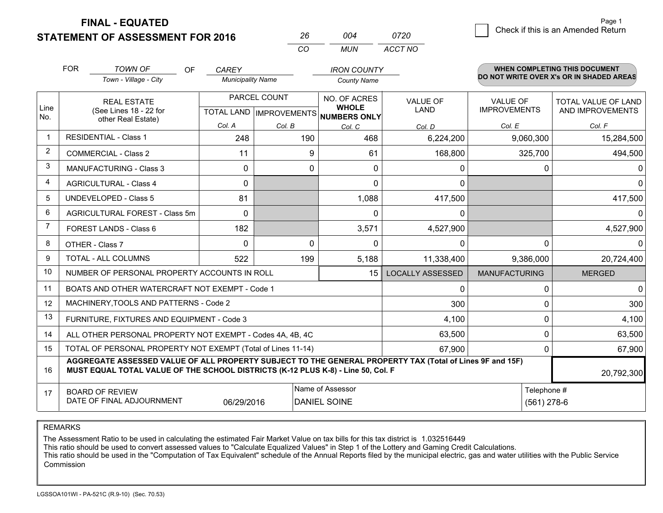**STATEMENT OF ASSESSMENT FOR 2016 FINAL - EQUATED**

|   | Page 1                             |
|---|------------------------------------|
| 0 | Check if this is an Amended Return |
|   |                                    |

|      | <b>FOR</b><br><b>TOWN OF</b><br><b>OF</b><br>Town - Village - City                                                                                                                           | <b>CAREY</b><br><b>Municipality Name</b> |              | <b>IRON COUNTY</b>                   |                         |                      | <b>WHEN COMPLETING THIS DOCUMENT</b><br>DO NOT WRITE OVER X's OR IN SHADED AREAS |  |
|------|----------------------------------------------------------------------------------------------------------------------------------------------------------------------------------------------|------------------------------------------|--------------|--------------------------------------|-------------------------|----------------------|----------------------------------------------------------------------------------|--|
|      |                                                                                                                                                                                              |                                          |              | <b>County Name</b>                   |                         |                      |                                                                                  |  |
| Line | <b>REAL ESTATE</b>                                                                                                                                                                           |                                          | PARCEL COUNT | NO. OF ACRES<br><b>WHOLE</b>         | <b>VALUE OF</b>         | <b>VALUE OF</b>      | <b>TOTAL VALUE OF LAND</b>                                                       |  |
| No.  | (See Lines 18 - 22 for<br>other Real Estate)                                                                                                                                                 |                                          |              | TOTAL LAND IMPROVEMENTS NUMBERS ONLY | LAND                    | <b>IMPROVEMENTS</b>  | AND IMPROVEMENTS                                                                 |  |
|      |                                                                                                                                                                                              | Col. A                                   | Col. B       | Col. C                               | Col. D                  | Col. E               | Col. F                                                                           |  |
|      | <b>RESIDENTIAL - Class 1</b>                                                                                                                                                                 | 248                                      | 190          | 468                                  | 6,224,200               | 9,060,300            | 15,284,500                                                                       |  |
| 2    | <b>COMMERCIAL - Class 2</b>                                                                                                                                                                  | 11                                       | 9            | 61                                   | 168,800                 | 325,700              | 494,500                                                                          |  |
| 3    | <b>MANUFACTURING - Class 3</b>                                                                                                                                                               | 0                                        | $\mathbf 0$  | $\Omega$                             | 0                       |                      | 0<br>0                                                                           |  |
| 4    | <b>AGRICULTURAL - Class 4</b>                                                                                                                                                                | 0                                        |              | $\Omega$                             | 0                       |                      | <sup>0</sup>                                                                     |  |
| 5    | <b>UNDEVELOPED - Class 5</b>                                                                                                                                                                 | 81                                       |              | 1,088                                | 417,500                 |                      | 417,500                                                                          |  |
| 6    | AGRICULTURAL FOREST - Class 5m                                                                                                                                                               | $\Omega$                                 |              | $\Omega$                             | 0                       |                      |                                                                                  |  |
| 7    | FOREST LANDS - Class 6                                                                                                                                                                       | 182                                      |              | 3,571                                | 4,527,900               |                      | 4,527,900                                                                        |  |
| 8    | OTHER - Class 7                                                                                                                                                                              | 0                                        | 0            | $\mathbf{0}$                         | 0                       |                      | $\mathbf{0}$<br>0                                                                |  |
| 9    | <b>TOTAL - ALL COLUMNS</b>                                                                                                                                                                   | 522                                      | 199          | 5,188                                | 11,338,400              | 9,386,000            | 20,724,400                                                                       |  |
| 10   | NUMBER OF PERSONAL PROPERTY ACCOUNTS IN ROLL                                                                                                                                                 |                                          |              | 15                                   | <b>LOCALLY ASSESSED</b> | <b>MANUFACTURING</b> | <b>MERGED</b>                                                                    |  |
| 11   | BOATS AND OTHER WATERCRAFT NOT EXEMPT - Code 1                                                                                                                                               |                                          |              |                                      | 0                       |                      | $\Omega$<br>0                                                                    |  |
| 12   | MACHINERY, TOOLS AND PATTERNS - Code 2                                                                                                                                                       |                                          |              |                                      | 300                     |                      | $\Omega$<br>300                                                                  |  |
| 13   | FURNITURE, FIXTURES AND EQUIPMENT - Code 3                                                                                                                                                   |                                          |              |                                      | 4,100                   |                      | 0<br>4,100                                                                       |  |
| 14   | ALL OTHER PERSONAL PROPERTY NOT EXEMPT - Codes 4A, 4B, 4C                                                                                                                                    |                                          |              |                                      | 63,500                  |                      | 63,500<br>$\mathbf{0}$                                                           |  |
| 15   | TOTAL OF PERSONAL PROPERTY NOT EXEMPT (Total of Lines 11-14)                                                                                                                                 |                                          |              |                                      | 67,900                  |                      | $\Omega$<br>67,900                                                               |  |
| 16   | AGGREGATE ASSESSED VALUE OF ALL PROPERTY SUBJECT TO THE GENERAL PROPERTY TAX (Total of Lines 9F and 15F)<br>MUST EQUAL TOTAL VALUE OF THE SCHOOL DISTRICTS (K-12 PLUS K-8) - Line 50, Col. F |                                          |              |                                      |                         |                      | 20,792,300                                                                       |  |
| 17   | <b>BOARD OF REVIEW</b>                                                                                                                                                                       |                                          |              | Name of Assessor                     |                         |                      | Telephone #                                                                      |  |
|      | DATE OF FINAL ADJOURNMENT                                                                                                                                                                    | 06/29/2016                               |              | <b>DANIEL SOINE</b>                  |                         |                      | $(561)$ 278-6                                                                    |  |

*MUN*

*ACCT NO0720*

*<sup>26</sup> <sup>004</sup>*

*CO*

REMARKS

The Assessment Ratio to be used in calculating the estimated Fair Market Value on tax bills for this tax district is 1.032516449<br>This ratio should be used to convert assessed values to "Calculate Equalized Values" in Step Commission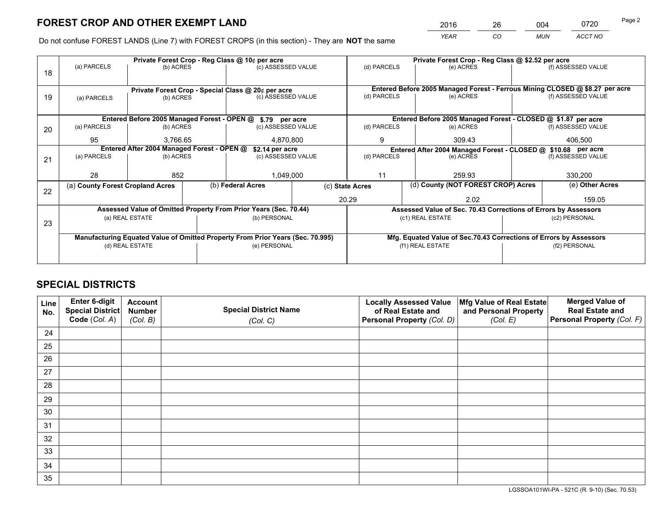*YEAR CO MUN ACCT NO* 2016 26 004 0720

Do not confuse FOREST LANDS (Line 7) with FOREST CROPS (in this section) - They are **NOT** the same

|    |                                                                                                      |                 |  | Private Forest Crop - Reg Class @ 10¢ per acre                                 |                                   |                                                       |           | Private Forest Crop - Reg Class @ \$2.52 per acre                  |                                                                              |                    |
|----|------------------------------------------------------------------------------------------------------|-----------------|--|--------------------------------------------------------------------------------|-----------------------------------|-------------------------------------------------------|-----------|--------------------------------------------------------------------|------------------------------------------------------------------------------|--------------------|
| 18 | (a) PARCELS                                                                                          | (b) ACRES       |  | (c) ASSESSED VALUE                                                             |                                   | (d) PARCELS                                           |           | (e) ACRES                                                          |                                                                              | (f) ASSESSED VALUE |
|    |                                                                                                      |                 |  |                                                                                |                                   |                                                       |           |                                                                    |                                                                              |                    |
|    | Private Forest Crop - Special Class @ 20¢ per acre<br>(c) ASSESSED VALUE<br>(b) ACRES<br>(a) PARCELS |                 |  |                                                                                |                                   |                                                       |           |                                                                    | Entered Before 2005 Managed Forest - Ferrous Mining CLOSED @ \$8.27 per acre |                    |
| 19 |                                                                                                      |                 |  | (d) PARCELS                                                                    |                                   |                                                       | (e) ACRES |                                                                    | (f) ASSESSED VALUE                                                           |                    |
|    |                                                                                                      |                 |  |                                                                                |                                   |                                                       |           |                                                                    |                                                                              |                    |
|    |                                                                                                      |                 |  | Entered Before 2005 Managed Forest - OPEN @ \$.79 per acre                     |                                   |                                                       |           | Entered Before 2005 Managed Forest - CLOSED @ \$1.87 per acre      |                                                                              |                    |
| 20 | (a) PARCELS                                                                                          | (b) ACRES       |  | (c) ASSESSED VALUE                                                             |                                   | (d) PARCELS                                           |           | (e) ACRES                                                          |                                                                              | (f) ASSESSED VALUE |
|    | 95                                                                                                   | 3.766.65        |  | 4,870,800                                                                      |                                   | 9<br>309.43                                           |           | 406,500                                                            |                                                                              |                    |
|    | Entered After 2004 Managed Forest - OPEN @                                                           |                 |  |                                                                                | \$2.14 per acre                   |                                                       |           | Entered After 2004 Managed Forest - CLOSED @ \$10.68 per acre      |                                                                              |                    |
| 21 | (a) PARCELS                                                                                          | (b) ACRES       |  |                                                                                | (d) PARCELS<br>(c) ASSESSED VALUE |                                                       |           | (e) ACRES                                                          |                                                                              | (f) ASSESSED VALUE |
|    |                                                                                                      |                 |  |                                                                                |                                   |                                                       |           |                                                                    |                                                                              |                    |
|    | 28                                                                                                   | 852             |  | 1,049,000                                                                      |                                   | 11                                                    |           | 259.93                                                             |                                                                              | 330,200            |
| 22 | (a) County Forest Cropland Acres                                                                     |                 |  | (b) Federal Acres                                                              |                                   | (d) County (NOT FOREST CROP) Acres<br>(c) State Acres |           |                                                                    | (e) Other Acres                                                              |                    |
|    |                                                                                                      |                 |  |                                                                                |                                   | 20.29                                                 |           | 2.02                                                               |                                                                              | 159.05             |
|    |                                                                                                      |                 |  | Assessed Value of Omitted Property From Prior Years (Sec. 70.44)               |                                   |                                                       |           | Assessed Value of Sec. 70.43 Corrections of Errors by Assessors    |                                                                              |                    |
| 23 |                                                                                                      | (a) REAL ESTATE |  | (b) PERSONAL                                                                   |                                   |                                                       |           | (c1) REAL ESTATE                                                   |                                                                              | (c2) PERSONAL      |
|    |                                                                                                      |                 |  |                                                                                |                                   |                                                       |           |                                                                    |                                                                              |                    |
|    |                                                                                                      |                 |  | Manufacturing Equated Value of Omitted Property From Prior Years (Sec. 70.995) |                                   |                                                       |           | Mfg. Equated Value of Sec.70.43 Corrections of Errors by Assessors |                                                                              |                    |
|    |                                                                                                      | (d) REAL ESTATE |  | (e) PERSONAL                                                                   |                                   | (f1) REAL ESTATE                                      |           |                                                                    | (f2) PERSONAL                                                                |                    |
|    |                                                                                                      |                 |  |                                                                                |                                   |                                                       |           |                                                                    |                                                                              |                    |

# **SPECIAL DISTRICTS**

| Line<br>No. | Enter 6-digit<br>Special District<br>Code (Col. A) | <b>Account</b><br><b>Number</b> | <b>Special District Name</b> | <b>Locally Assessed Value</b><br>of Real Estate and | Mfg Value of Real Estate<br>and Personal Property | <b>Merged Value of</b><br><b>Real Estate and</b><br>Personal Property (Col. F) |
|-------------|----------------------------------------------------|---------------------------------|------------------------------|-----------------------------------------------------|---------------------------------------------------|--------------------------------------------------------------------------------|
|             |                                                    | (Col. B)                        | (Col. C)                     | Personal Property (Col. D)                          | (Col. E)                                          |                                                                                |
| 24          |                                                    |                                 |                              |                                                     |                                                   |                                                                                |
| 25          |                                                    |                                 |                              |                                                     |                                                   |                                                                                |
| 26          |                                                    |                                 |                              |                                                     |                                                   |                                                                                |
| 27          |                                                    |                                 |                              |                                                     |                                                   |                                                                                |
| 28          |                                                    |                                 |                              |                                                     |                                                   |                                                                                |
| 29          |                                                    |                                 |                              |                                                     |                                                   |                                                                                |
| 30          |                                                    |                                 |                              |                                                     |                                                   |                                                                                |
| 31          |                                                    |                                 |                              |                                                     |                                                   |                                                                                |
| 32          |                                                    |                                 |                              |                                                     |                                                   |                                                                                |
| 33          |                                                    |                                 |                              |                                                     |                                                   |                                                                                |
| 34          |                                                    |                                 |                              |                                                     |                                                   |                                                                                |
| 35          |                                                    |                                 |                              |                                                     |                                                   |                                                                                |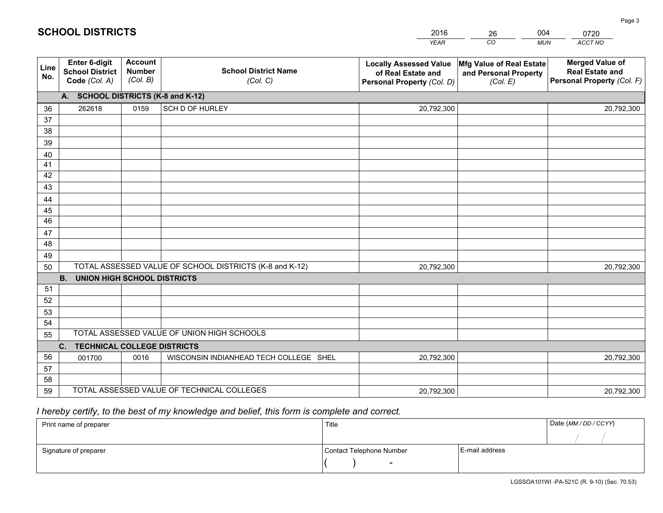|             |                                                                 |                                             |                                                         | <b>YEAR</b>                                                                       | CO<br><b>MUN</b>                                              | ACCT NO                                                                        |
|-------------|-----------------------------------------------------------------|---------------------------------------------|---------------------------------------------------------|-----------------------------------------------------------------------------------|---------------------------------------------------------------|--------------------------------------------------------------------------------|
| Line<br>No. | <b>Enter 6-digit</b><br><b>School District</b><br>Code (Col. A) | <b>Account</b><br><b>Number</b><br>(Col. B) | <b>School District Name</b><br>(Col. C)                 | <b>Locally Assessed Value</b><br>of Real Estate and<br>Personal Property (Col. D) | Mfg Value of Real Estate<br>and Personal Property<br>(Col. E) | <b>Merged Value of</b><br><b>Real Estate and</b><br>Personal Property (Col. F) |
|             | A. SCHOOL DISTRICTS (K-8 and K-12)                              |                                             |                                                         |                                                                                   |                                                               |                                                                                |
| 36          | 262618                                                          | 0159                                        | SCH D OF HURLEY                                         | 20,792,300                                                                        |                                                               | 20,792,300                                                                     |
| 37          |                                                                 |                                             |                                                         |                                                                                   |                                                               |                                                                                |
| 38          |                                                                 |                                             |                                                         |                                                                                   |                                                               |                                                                                |
| 39          |                                                                 |                                             |                                                         |                                                                                   |                                                               |                                                                                |
| 40          |                                                                 |                                             |                                                         |                                                                                   |                                                               |                                                                                |
| 41          |                                                                 |                                             |                                                         |                                                                                   |                                                               |                                                                                |
| 42          |                                                                 |                                             |                                                         |                                                                                   |                                                               |                                                                                |
| 43          |                                                                 |                                             |                                                         |                                                                                   |                                                               |                                                                                |
| 44<br>45    |                                                                 |                                             |                                                         |                                                                                   |                                                               |                                                                                |
| 46          |                                                                 |                                             |                                                         |                                                                                   |                                                               |                                                                                |
| 47          |                                                                 |                                             |                                                         |                                                                                   |                                                               |                                                                                |
| 48          |                                                                 |                                             |                                                         |                                                                                   |                                                               |                                                                                |
| 49          |                                                                 |                                             |                                                         |                                                                                   |                                                               |                                                                                |
| 50          |                                                                 |                                             | TOTAL ASSESSED VALUE OF SCHOOL DISTRICTS (K-8 and K-12) | 20,792,300                                                                        |                                                               | 20,792,300                                                                     |
|             | <b>UNION HIGH SCHOOL DISTRICTS</b><br><b>B.</b>                 |                                             |                                                         |                                                                                   |                                                               |                                                                                |
| 51          |                                                                 |                                             |                                                         |                                                                                   |                                                               |                                                                                |
| 52          |                                                                 |                                             |                                                         |                                                                                   |                                                               |                                                                                |
| 53          |                                                                 |                                             |                                                         |                                                                                   |                                                               |                                                                                |
| 54          |                                                                 |                                             |                                                         |                                                                                   |                                                               |                                                                                |
| 55          |                                                                 |                                             | TOTAL ASSESSED VALUE OF UNION HIGH SCHOOLS              |                                                                                   |                                                               |                                                                                |
|             | <b>TECHNICAL COLLEGE DISTRICTS</b><br>C.                        |                                             |                                                         |                                                                                   |                                                               |                                                                                |
| 56          | 001700                                                          | 0016                                        | WISCONSIN INDIANHEAD TECH COLLEGE SHEL                  | 20,792,300                                                                        |                                                               | 20,792,300                                                                     |
| 57          |                                                                 |                                             |                                                         |                                                                                   |                                                               |                                                                                |
| 58          |                                                                 |                                             |                                                         |                                                                                   |                                                               |                                                                                |
| 59          |                                                                 |                                             | TOTAL ASSESSED VALUE OF TECHNICAL COLLEGES              | 20,792,300                                                                        |                                                               | 20,792,300                                                                     |

26

004

# *I hereby certify, to the best of my knowledge and belief, this form is complete and correct.*

**SCHOOL DISTRICTS**

| Print name of preparer | Title                    |                | Date (MM / DD / CCYY) |
|------------------------|--------------------------|----------------|-----------------------|
|                        |                          |                |                       |
| Signature of preparer  | Contact Telephone Number | E-mail address |                       |
|                        | $\overline{\phantom{0}}$ |                |                       |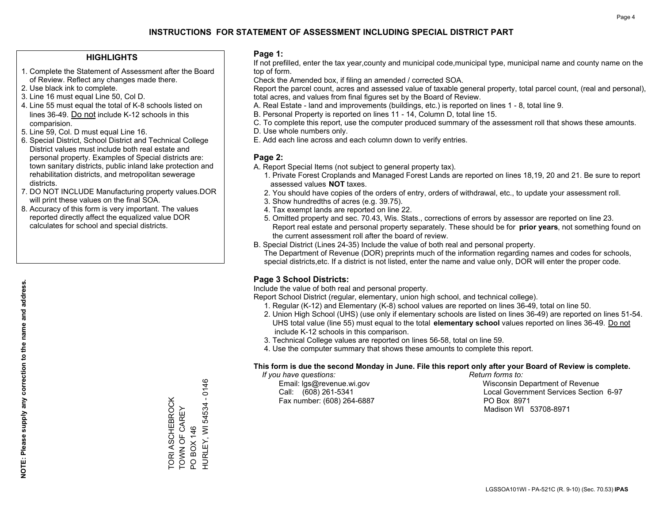#### **HIGHLIGHTS**

- 1. Complete the Statement of Assessment after the Board of Review. Reflect any changes made there.
- 2. Use black ink to complete.
- 3. Line 16 must equal Line 50, Col D.
- 4. Line 55 must equal the total of K-8 schools listed on lines 36-49. Do not include K-12 schools in this comparision.
- 5. Line 59, Col. D must equal Line 16.
- 6. Special District, School District and Technical College District values must include both real estate and personal property. Examples of Special districts are: town sanitary districts, public inland lake protection and rehabilitation districts, and metropolitan sewerage districts.
- 7. DO NOT INCLUDE Manufacturing property values.DOR will print these values on the final SOA.
- 8. Accuracy of this form is very important. The values reported directly affect the equalized value DOR calculates for school and special districts.

#### **Page 1:**

 If not prefilled, enter the tax year,county and municipal code,municipal type, municipal name and county name on the top of form.

Check the Amended box, if filing an amended / corrected SOA.

 Report the parcel count, acres and assessed value of taxable general property, total parcel count, (real and personal), total acres, and values from final figures set by the Board of Review.

- A. Real Estate land and improvements (buildings, etc.) is reported on lines 1 8, total line 9.
- B. Personal Property is reported on lines 11 14, Column D, total line 15.
- C. To complete this report, use the computer produced summary of the assessment roll that shows these amounts.
- D. Use whole numbers only.
- E. Add each line across and each column down to verify entries.

#### **Page 2:**

- A. Report Special Items (not subject to general property tax).
- 1. Private Forest Croplands and Managed Forest Lands are reported on lines 18,19, 20 and 21. Be sure to report assessed values **NOT** taxes.
- 2. You should have copies of the orders of entry, orders of withdrawal, etc., to update your assessment roll.
	- 3. Show hundredths of acres (e.g. 39.75).
- 4. Tax exempt lands are reported on line 22.
- 5. Omitted property and sec. 70.43, Wis. Stats., corrections of errors by assessor are reported on line 23. Report real estate and personal property separately. These should be for **prior years**, not something found on the current assessment roll after the board of review.
- B. Special District (Lines 24-35) Include the value of both real and personal property.
- The Department of Revenue (DOR) preprints much of the information regarding names and codes for schools, special districts,etc. If a district is not listed, enter the name and value only, DOR will enter the proper code.

### **Page 3 School Districts:**

Include the value of both real and personal property.

Report School District (regular, elementary, union high school, and technical college).

- 1. Regular (K-12) and Elementary (K-8) school values are reported on lines 36-49, total on line 50.
- 2. Union High School (UHS) (use only if elementary schools are listed on lines 36-49) are reported on lines 51-54. UHS total value (line 55) must equal to the total **elementary school** values reported on lines 36-49. Do notinclude K-12 schools in this comparison.
- 3. Technical College values are reported on lines 56-58, total on line 59.
- 4. Use the computer summary that shows these amounts to complete this report.

#### **This form is due the second Monday in June. File this report only after your Board of Review is complete.**

 *If you have questions: Return forms to:*

Fax number: (608) 264-6887 PO Box 8971

 Email: lgs@revenue.wi.gov Wisconsin Department of Revenue Call: (608) 261-5341 Local Government Services Section 6-97Madison WI 53708-8971

TORI ASCHEBROCK<br>TOWN OF CAREY TORI ASCHEBROCK TOWN OF CAREY

PO BOX 146

PO BOX 146

HURLEY, WI 54534 - 0146

HURLEY, WI 54534 - 0146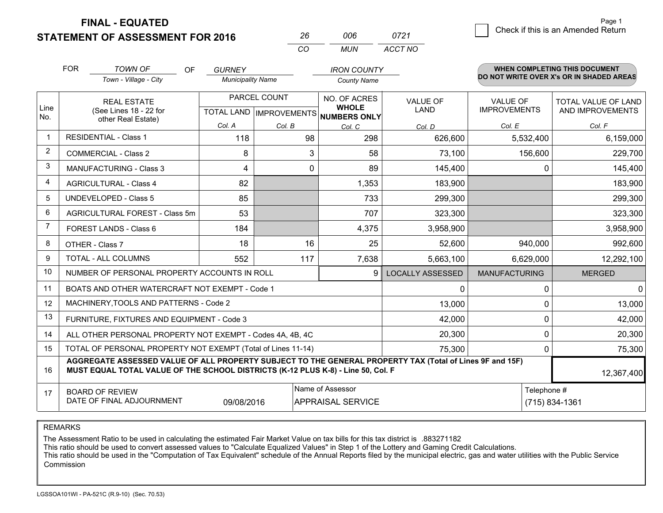**STATEMENT OF ASSESSMENT FOR 2016 FINAL - EQUATED**

|                | <b>FOR</b>                                                                                                                       | <b>TOWN OF</b><br>OF<br>Town - Village - City                                                                                                                                                | <b>GURNEY</b><br><b>Municipality Name</b>      |        | <b>IRON COUNTY</b><br><b>County Name</b>            |                                |                                        | <b>WHEN COMPLETING THIS DOCUMENT</b><br>DO NOT WRITE OVER X's OR IN SHADED AREAS |
|----------------|----------------------------------------------------------------------------------------------------------------------------------|----------------------------------------------------------------------------------------------------------------------------------------------------------------------------------------------|------------------------------------------------|--------|-----------------------------------------------------|--------------------------------|----------------------------------------|----------------------------------------------------------------------------------|
| Line<br>No.    | <b>REAL ESTATE</b><br>(See Lines 18 - 22 for<br>other Real Estate)                                                               |                                                                                                                                                                                              | PARCEL COUNT<br><b>TOTAL LAND IMPROVEMENTS</b> |        | NO. OF ACRES<br><b>WHOLE</b><br><b>NUMBERS ONLY</b> | <b>VALUE OF</b><br><b>LAND</b> | <b>VALUE OF</b><br><b>IMPROVEMENTS</b> | <b>TOTAL VALUE OF LAND</b><br>AND IMPROVEMENTS                                   |
|                |                                                                                                                                  |                                                                                                                                                                                              | Col. A                                         | Col. B | Col. C                                              | Col. D                         | Col. E                                 | Col. F                                                                           |
| $\mathbf 1$    | <b>RESIDENTIAL - Class 1</b>                                                                                                     |                                                                                                                                                                                              | 118                                            | 98     | 298                                                 | 626,600                        | 5,532,400                              | 6,159,000                                                                        |
| $\overline{2}$ |                                                                                                                                  | <b>COMMERCIAL - Class 2</b>                                                                                                                                                                  | 8                                              | 3      | 58                                                  | 73,100                         | 156,600                                | 229,700                                                                          |
| 3              |                                                                                                                                  | <b>MANUFACTURING - Class 3</b>                                                                                                                                                               | 4                                              | 0      | 89                                                  | 145,400                        | 0                                      | 145,400                                                                          |
| 4              |                                                                                                                                  | <b>AGRICULTURAL - Class 4</b>                                                                                                                                                                | 82                                             |        | 1,353                                               | 183,900                        |                                        | 183,900                                                                          |
| 5              |                                                                                                                                  | <b>UNDEVELOPED - Class 5</b>                                                                                                                                                                 | 85                                             |        | 733                                                 | 299,300                        |                                        | 299,300                                                                          |
| 6              | AGRICULTURAL FOREST - Class 5m                                                                                                   |                                                                                                                                                                                              | 53                                             |        | 707                                                 | 323,300                        |                                        | 323,300                                                                          |
| $\overline{7}$ |                                                                                                                                  | FOREST LANDS - Class 6                                                                                                                                                                       | 184                                            |        | 4,375                                               | 3,958,900                      |                                        | 3,958,900                                                                        |
| 8              |                                                                                                                                  | OTHER - Class 7                                                                                                                                                                              | 18                                             | 16     | 25                                                  | 52,600                         | 940,000                                | 992,600                                                                          |
| 9              |                                                                                                                                  | TOTAL - ALL COLUMNS                                                                                                                                                                          | 552                                            | 117    | 7,638                                               | 5,663,100                      | 6,629,000                              | 12,292,100                                                                       |
| 10             |                                                                                                                                  | NUMBER OF PERSONAL PROPERTY ACCOUNTS IN ROLL                                                                                                                                                 |                                                |        | 9                                                   | <b>LOCALLY ASSESSED</b>        | <b>MANUFACTURING</b>                   | <b>MERGED</b>                                                                    |
| 11             |                                                                                                                                  | BOATS AND OTHER WATERCRAFT NOT EXEMPT - Code 1                                                                                                                                               |                                                |        |                                                     | 0                              | 0                                      | $\mathbf{0}$                                                                     |
| 12             |                                                                                                                                  | MACHINERY, TOOLS AND PATTERNS - Code 2                                                                                                                                                       |                                                |        |                                                     | 13,000                         | 0                                      | 13,000                                                                           |
| 13             |                                                                                                                                  | FURNITURE, FIXTURES AND EQUIPMENT - Code 3                                                                                                                                                   |                                                |        |                                                     | 42,000                         | 0                                      | 42,000                                                                           |
| 14             |                                                                                                                                  | ALL OTHER PERSONAL PROPERTY NOT EXEMPT - Codes 4A, 4B, 4C                                                                                                                                    |                                                |        |                                                     | 20,300                         | $\mathbf 0$                            | 20,300                                                                           |
| 15             |                                                                                                                                  | TOTAL OF PERSONAL PROPERTY NOT EXEMPT (Total of Lines 11-14)                                                                                                                                 |                                                |        |                                                     | 75,300                         | $\mathbf 0$                            | 75,300                                                                           |
| 16             |                                                                                                                                  | AGGREGATE ASSESSED VALUE OF ALL PROPERTY SUBJECT TO THE GENERAL PROPERTY TAX (Total of Lines 9F and 15F)<br>MUST EQUAL TOTAL VALUE OF THE SCHOOL DISTRICTS (K-12 PLUS K-8) - Line 50, Col. F |                                                |        |                                                     |                                |                                        | 12,367,400                                                                       |
| 17             | Name of Assessor<br>Telephone #<br><b>BOARD OF REVIEW</b><br>DATE OF FINAL ADJOURNMENT<br>09/08/2016<br><b>APPRAISAL SERVICE</b> |                                                                                                                                                                                              |                                                |        |                                                     | (715) 834-1361                 |                                        |                                                                                  |

*MUN*

*ACCT NO0721*

*<sup>26</sup> <sup>006</sup>*

*CO*

REMARKS

The Assessment Ratio to be used in calculating the estimated Fair Market Value on tax bills for this tax district is .883271182<br>This ratio should be used to convert assessed values to "Calculate Equalized Values" in Step 1 Commission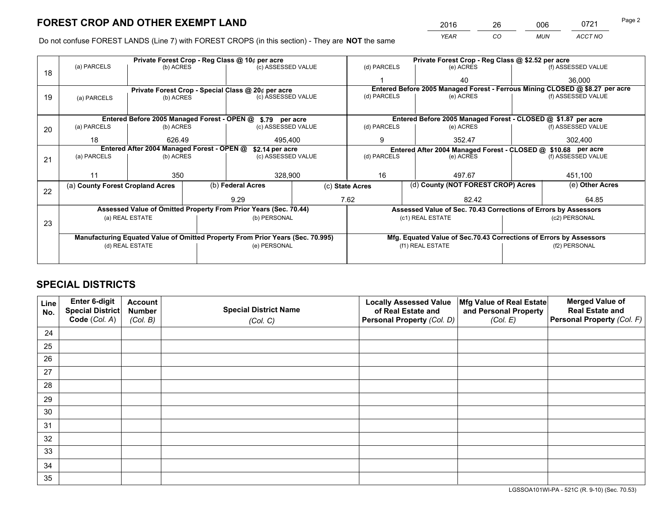*YEAR CO MUN ACCT NO* 2016 26 006 0721

Do not confuse FOREST LANDS (Line 7) with FOREST CROPS (in this section) - They are **NOT** the same

|    | Private Forest Crop - Reg Class @ 10¢ per acre                |                 |                                 |                                                                                | Private Forest Crop - Reg Class @ \$2.52 per acre |                                                       |                                                                 |           |                 |                                                                              |  |
|----|---------------------------------------------------------------|-----------------|---------------------------------|--------------------------------------------------------------------------------|---------------------------------------------------|-------------------------------------------------------|-----------------------------------------------------------------|-----------|-----------------|------------------------------------------------------------------------------|--|
| 18 | (a) PARCELS                                                   | (b) ACRES       |                                 | (c) ASSESSED VALUE                                                             |                                                   | (d) PARCELS                                           | (e) ACRES                                                       |           |                 | (f) ASSESSED VALUE                                                           |  |
|    |                                                               |                 |                                 |                                                                                |                                                   |                                                       | 40                                                              |           |                 | 36,000                                                                       |  |
|    |                                                               |                 |                                 | Private Forest Crop - Special Class @ 20¢ per acre                             |                                                   |                                                       |                                                                 |           |                 | Entered Before 2005 Managed Forest - Ferrous Mining CLOSED @ \$8.27 per acre |  |
| 19 | (a) PARCELS                                                   |                 | (c) ASSESSED VALUE<br>(b) ACRES |                                                                                |                                                   | (d) PARCELS                                           | (e) ACRES                                                       |           |                 | (f) ASSESSED VALUE                                                           |  |
|    |                                                               |                 |                                 |                                                                                |                                                   |                                                       |                                                                 |           |                 |                                                                              |  |
|    | Entered Before 2005 Managed Forest - OPEN @ \$.79 per acre    |                 |                                 |                                                                                |                                                   |                                                       |                                                                 |           |                 | Entered Before 2005 Managed Forest - CLOSED @ \$1.87 per acre                |  |
| 20 | (a) PARCELS<br>(b) ACRES                                      |                 |                                 | (c) ASSESSED VALUE                                                             |                                                   | (d) PARCELS                                           |                                                                 | (e) ACRES |                 | (f) ASSESSED VALUE                                                           |  |
|    | 18                                                            | 626.49          |                                 | 495,400                                                                        |                                                   | 9<br>352.47                                           |                                                                 | 302,400   |                 |                                                                              |  |
|    | Entered After 2004 Managed Forest - OPEN @<br>\$2.14 per acre |                 |                                 |                                                                                |                                                   |                                                       |                                                                 |           |                 | Entered After 2004 Managed Forest - CLOSED @ \$10.68 per acre                |  |
| 21 | (a) PARCELS                                                   | (b) ACRES       |                                 |                                                                                | (d) PARCELS<br>(c) ASSESSED VALUE                 |                                                       |                                                                 | (e) ACRES |                 | (f) ASSESSED VALUE                                                           |  |
|    |                                                               |                 |                                 |                                                                                |                                                   |                                                       |                                                                 |           |                 |                                                                              |  |
|    | 11                                                            | 350             |                                 | 328,900                                                                        |                                                   | 16<br>497.67                                          |                                                                 |           | 451,100         |                                                                              |  |
|    | (a) County Forest Cropland Acres                              |                 |                                 | (b) Federal Acres                                                              |                                                   | (d) County (NOT FOREST CROP) Acres<br>(c) State Acres |                                                                 |           | (e) Other Acres |                                                                              |  |
| 22 |                                                               |                 |                                 |                                                                                |                                                   |                                                       |                                                                 |           |                 |                                                                              |  |
|    |                                                               |                 |                                 | 9.29                                                                           |                                                   | 7.62                                                  |                                                                 | 82.42     |                 | 64.85                                                                        |  |
|    |                                                               |                 |                                 | Assessed Value of Omitted Property From Prior Years (Sec. 70.44)               |                                                   |                                                       | Assessed Value of Sec. 70.43 Corrections of Errors by Assessors |           |                 |                                                                              |  |
| 23 |                                                               | (a) REAL ESTATE |                                 | (b) PERSONAL                                                                   |                                                   |                                                       | (c1) REAL ESTATE                                                |           |                 | (c2) PERSONAL                                                                |  |
|    |                                                               |                 |                                 |                                                                                |                                                   |                                                       |                                                                 |           |                 |                                                                              |  |
|    |                                                               |                 |                                 | Manufacturing Equated Value of Omitted Property From Prior Years (Sec. 70.995) |                                                   |                                                       |                                                                 |           |                 | Mfg. Equated Value of Sec.70.43 Corrections of Errors by Assessors           |  |
|    |                                                               | (d) REAL ESTATE |                                 | (e) PERSONAL                                                                   |                                                   |                                                       | (f1) REAL ESTATE                                                |           | (f2) PERSONAL   |                                                                              |  |
|    |                                                               |                 |                                 |                                                                                |                                                   |                                                       |                                                                 |           |                 |                                                                              |  |
|    |                                                               |                 |                                 |                                                                                |                                                   |                                                       |                                                                 |           |                 |                                                                              |  |

# **SPECIAL DISTRICTS**

| Line<br>No. | Enter 6-digit<br>Special District<br>Code (Col. A) | <b>Account</b><br><b>Number</b> | <b>Special District Name</b> | <b>Locally Assessed Value</b><br>of Real Estate and | Mfg Value of Real Estate<br>and Personal Property | <b>Merged Value of</b><br><b>Real Estate and</b><br>Personal Property (Col. F) |
|-------------|----------------------------------------------------|---------------------------------|------------------------------|-----------------------------------------------------|---------------------------------------------------|--------------------------------------------------------------------------------|
|             |                                                    | (Col. B)                        | (Col. C)                     | Personal Property (Col. D)                          | (Col. E)                                          |                                                                                |
| 24          |                                                    |                                 |                              |                                                     |                                                   |                                                                                |
| 25          |                                                    |                                 |                              |                                                     |                                                   |                                                                                |
| 26          |                                                    |                                 |                              |                                                     |                                                   |                                                                                |
| 27          |                                                    |                                 |                              |                                                     |                                                   |                                                                                |
| 28          |                                                    |                                 |                              |                                                     |                                                   |                                                                                |
| 29          |                                                    |                                 |                              |                                                     |                                                   |                                                                                |
| 30          |                                                    |                                 |                              |                                                     |                                                   |                                                                                |
| 31          |                                                    |                                 |                              |                                                     |                                                   |                                                                                |
| 32          |                                                    |                                 |                              |                                                     |                                                   |                                                                                |
| 33          |                                                    |                                 |                              |                                                     |                                                   |                                                                                |
| 34          |                                                    |                                 |                              |                                                     |                                                   |                                                                                |
| 35          |                                                    |                                 |                              |                                                     |                                                   |                                                                                |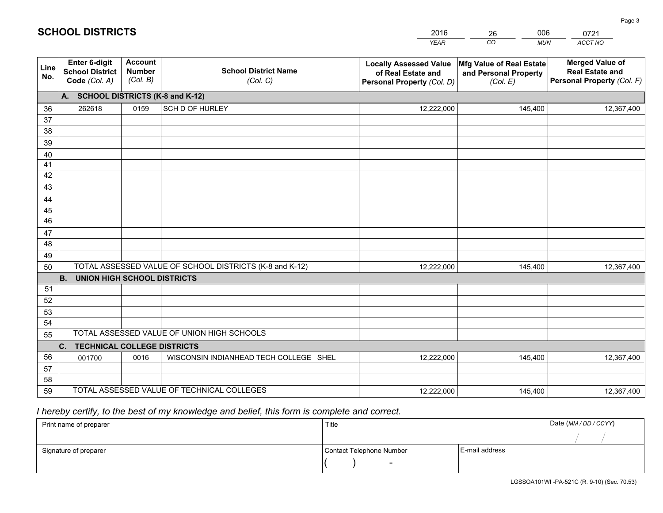|             |                                                                 |                                             |                                                         | <b>YEAR</b>                                                                       | CO<br><b>MUN</b>                                              | ACCT NO                                                                        |
|-------------|-----------------------------------------------------------------|---------------------------------------------|---------------------------------------------------------|-----------------------------------------------------------------------------------|---------------------------------------------------------------|--------------------------------------------------------------------------------|
| Line<br>No. | <b>Enter 6-digit</b><br><b>School District</b><br>Code (Col. A) | <b>Account</b><br><b>Number</b><br>(Col. B) | <b>School District Name</b><br>(Col. C)                 | <b>Locally Assessed Value</b><br>of Real Estate and<br>Personal Property (Col. D) | Mfg Value of Real Estate<br>and Personal Property<br>(Col. E) | <b>Merged Value of</b><br><b>Real Estate and</b><br>Personal Property (Col. F) |
|             | A. SCHOOL DISTRICTS (K-8 and K-12)                              |                                             |                                                         |                                                                                   |                                                               |                                                                                |
| 36          | 262618                                                          | 0159                                        | SCH D OF HURLEY                                         | 12,222,000                                                                        | 145,400                                                       | 12,367,400                                                                     |
| 37          |                                                                 |                                             |                                                         |                                                                                   |                                                               |                                                                                |
| 38          |                                                                 |                                             |                                                         |                                                                                   |                                                               |                                                                                |
| 39          |                                                                 |                                             |                                                         |                                                                                   |                                                               |                                                                                |
| 40          |                                                                 |                                             |                                                         |                                                                                   |                                                               |                                                                                |
| 41          |                                                                 |                                             |                                                         |                                                                                   |                                                               |                                                                                |
| 42          |                                                                 |                                             |                                                         |                                                                                   |                                                               |                                                                                |
| 43          |                                                                 |                                             |                                                         |                                                                                   |                                                               |                                                                                |
| 44<br>45    |                                                                 |                                             |                                                         |                                                                                   |                                                               |                                                                                |
| 46          |                                                                 |                                             |                                                         |                                                                                   |                                                               |                                                                                |
| 47          |                                                                 |                                             |                                                         |                                                                                   |                                                               |                                                                                |
| 48          |                                                                 |                                             |                                                         |                                                                                   |                                                               |                                                                                |
| 49          |                                                                 |                                             |                                                         |                                                                                   |                                                               |                                                                                |
| 50          |                                                                 |                                             | TOTAL ASSESSED VALUE OF SCHOOL DISTRICTS (K-8 and K-12) | 12,222,000                                                                        | 145,400                                                       | 12,367,400                                                                     |
|             | <b>B.</b><br><b>UNION HIGH SCHOOL DISTRICTS</b>                 |                                             |                                                         |                                                                                   |                                                               |                                                                                |
| 51          |                                                                 |                                             |                                                         |                                                                                   |                                                               |                                                                                |
| 52          |                                                                 |                                             |                                                         |                                                                                   |                                                               |                                                                                |
| 53          |                                                                 |                                             |                                                         |                                                                                   |                                                               |                                                                                |
| 54          |                                                                 |                                             |                                                         |                                                                                   |                                                               |                                                                                |
| 55          |                                                                 |                                             | TOTAL ASSESSED VALUE OF UNION HIGH SCHOOLS              |                                                                                   |                                                               |                                                                                |
|             | C.<br><b>TECHNICAL COLLEGE DISTRICTS</b>                        |                                             |                                                         |                                                                                   |                                                               |                                                                                |
| 56          | 001700                                                          | 0016                                        | WISCONSIN INDIANHEAD TECH COLLEGE SHEL                  | 12,222,000                                                                        | 145,400                                                       | 12,367,400                                                                     |
| 57          |                                                                 |                                             |                                                         |                                                                                   |                                                               |                                                                                |
| 58          |                                                                 |                                             |                                                         |                                                                                   |                                                               |                                                                                |
| 59          |                                                                 |                                             | TOTAL ASSESSED VALUE OF TECHNICAL COLLEGES              | 12,222,000                                                                        | 145,400                                                       | 12,367,400                                                                     |

26

006

# *I hereby certify, to the best of my knowledge and belief, this form is complete and correct.*

**SCHOOL DISTRICTS**

| Print name of preparer | Title                    |                | Date (MM / DD / CCYY) |
|------------------------|--------------------------|----------------|-----------------------|
|                        |                          |                |                       |
| Signature of preparer  | Contact Telephone Number | E-mail address |                       |
|                        | $\overline{\phantom{0}}$ |                |                       |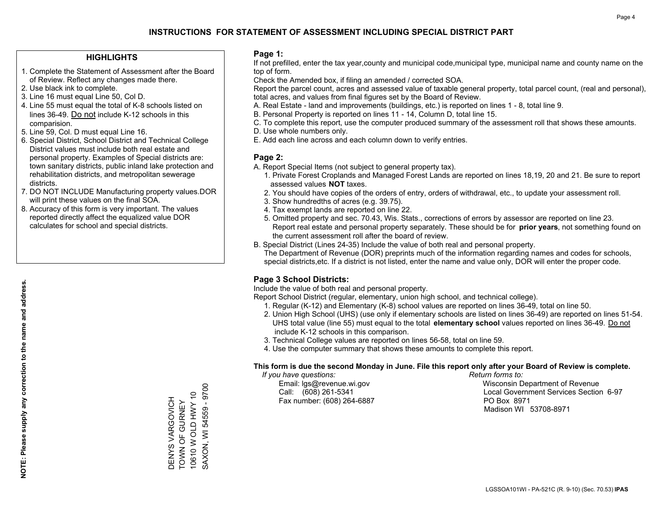#### **HIGHLIGHTS**

- 1. Complete the Statement of Assessment after the Board of Review. Reflect any changes made there.
- 2. Use black ink to complete.
- 3. Line 16 must equal Line 50, Col D.
- 4. Line 55 must equal the total of K-8 schools listed on lines 36-49. Do not include K-12 schools in this comparision.
- 5. Line 59, Col. D must equal Line 16.
- 6. Special District, School District and Technical College District values must include both real estate and personal property. Examples of Special districts are: town sanitary districts, public inland lake protection and rehabilitation districts, and metropolitan sewerage districts.
- 7. DO NOT INCLUDE Manufacturing property values.DOR will print these values on the final SOA.

DENYS VARGOVICH TOWN OF GURNEY 10610 W OLD HWY 10 SAXON, WI 54559 - 9700

DENYS VARGOVICH **TOWN OF GURNEY** 

SAXON, WI 54559 - 9700 10610 W OLD HWY 10

 8. Accuracy of this form is very important. The values reported directly affect the equalized value DOR calculates for school and special districts.

#### **Page 1:**

 If not prefilled, enter the tax year,county and municipal code,municipal type, municipal name and county name on the top of form.

Check the Amended box, if filing an amended / corrected SOA.

 Report the parcel count, acres and assessed value of taxable general property, total parcel count, (real and personal), total acres, and values from final figures set by the Board of Review.

- A. Real Estate land and improvements (buildings, etc.) is reported on lines 1 8, total line 9.
- B. Personal Property is reported on lines 11 14, Column D, total line 15.
- C. To complete this report, use the computer produced summary of the assessment roll that shows these amounts.
- D. Use whole numbers only.
- E. Add each line across and each column down to verify entries.

#### **Page 2:**

- A. Report Special Items (not subject to general property tax).
- 1. Private Forest Croplands and Managed Forest Lands are reported on lines 18,19, 20 and 21. Be sure to report assessed values **NOT** taxes.
- 2. You should have copies of the orders of entry, orders of withdrawal, etc., to update your assessment roll.
	- 3. Show hundredths of acres (e.g. 39.75).
- 4. Tax exempt lands are reported on line 22.
- 5. Omitted property and sec. 70.43, Wis. Stats., corrections of errors by assessor are reported on line 23. Report real estate and personal property separately. These should be for **prior years**, not something found on the current assessment roll after the board of review.
- B. Special District (Lines 24-35) Include the value of both real and personal property.
- The Department of Revenue (DOR) preprints much of the information regarding names and codes for schools, special districts,etc. If a district is not listed, enter the name and value only, DOR will enter the proper code.

### **Page 3 School Districts:**

Include the value of both real and personal property.

Report School District (regular, elementary, union high school, and technical college).

- 1. Regular (K-12) and Elementary (K-8) school values are reported on lines 36-49, total on line 50.
- 2. Union High School (UHS) (use only if elementary schools are listed on lines 36-49) are reported on lines 51-54. UHS total value (line 55) must equal to the total **elementary school** values reported on lines 36-49. Do notinclude K-12 schools in this comparison.
- 3. Technical College values are reported on lines 56-58, total on line 59.
- 4. Use the computer summary that shows these amounts to complete this report.

#### **This form is due the second Monday in June. File this report only after your Board of Review is complete.**

 *If you have questions: Return forms to:*

Fax number: (608) 264-6887 PO Box 8971

 Email: lgs@revenue.wi.gov Wisconsin Department of Revenue Call: (608) 261-5341 Local Government Services Section 6-97Madison WI 53708-8971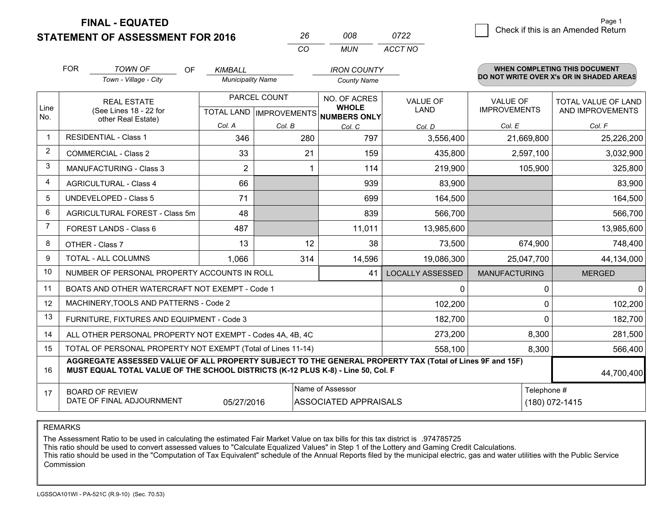**FINAL - EQUATED**

**STATEMENT OF ASSESSMENT FOR 2016** 

| 26. | 008.  | 0722    |
|-----|-------|---------|
| CO. | MI IN | ACCT NO |

|                      | <b>FOR</b>                                                                                                                                                                                   | <b>TOWN OF</b>                                               | OF<br>KIMBALL            | <b>IRON COUNTY</b>                   |                              |                                          |                      | <b>WHEN COMPLETING THIS DOCUMENT</b> |  |
|----------------------|----------------------------------------------------------------------------------------------------------------------------------------------------------------------------------------------|--------------------------------------------------------------|--------------------------|--------------------------------------|------------------------------|------------------------------------------|----------------------|--------------------------------------|--|
|                      |                                                                                                                                                                                              | Town - Village - City                                        | <b>Municipality Name</b> |                                      | <b>County Name</b>           | DO NOT WRITE OVER X's OR IN SHADED AREAS |                      |                                      |  |
|                      | <b>REAL ESTATE</b><br>(See Lines 18 - 22 for<br>other Real Estate)                                                                                                                           |                                                              |                          | PARCEL COUNT                         | NO. OF ACRES                 | <b>VALUE OF</b>                          | <b>VALUE OF</b>      | <b>TOTAL VALUE OF LAND</b>           |  |
| Line<br>No.          |                                                                                                                                                                                              |                                                              |                          | TOTAL LAND IMPROVEMENTS NUMBERS ONLY | <b>WHOLE</b>                 | <b>LAND</b>                              | <b>IMPROVEMENTS</b>  | AND IMPROVEMENTS                     |  |
|                      |                                                                                                                                                                                              |                                                              | Col. A                   | Col. B                               | Col. C                       | Col. D                                   | Col. E               | Col. F                               |  |
| $\blacktriangleleft$ |                                                                                                                                                                                              | <b>RESIDENTIAL - Class 1</b>                                 | 346                      | 280                                  | 797                          | 3,556,400                                | 21,669,800           | 25,226,200                           |  |
| $\overline{2}$       |                                                                                                                                                                                              | <b>COMMERCIAL - Class 2</b>                                  | 33                       | 21                                   | 159                          | 435,800                                  | 2,597,100            | 3,032,900                            |  |
| 3                    |                                                                                                                                                                                              | <b>MANUFACTURING - Class 3</b>                               | $\overline{2}$           |                                      | 114                          | 219,900                                  | 105,900              | 325,800                              |  |
| 4                    |                                                                                                                                                                                              | <b>AGRICULTURAL - Class 4</b>                                | 66                       |                                      | 939                          | 83,900                                   |                      | 83,900                               |  |
| 5                    | <b>UNDEVELOPED - Class 5</b>                                                                                                                                                                 |                                                              | 71                       |                                      | 699                          | 164,500                                  |                      | 164,500                              |  |
| 6                    | AGRICULTURAL FOREST - Class 5m                                                                                                                                                               |                                                              | 48                       |                                      | 839                          | 566,700                                  |                      | 566,700                              |  |
| $\overline{7}$       |                                                                                                                                                                                              | FOREST LANDS - Class 6                                       | 487                      |                                      | 11,011                       | 13,985,600                               |                      | 13,985,600                           |  |
| 8                    |                                                                                                                                                                                              | OTHER - Class 7                                              | 13                       | 12                                   | 38                           | 73,500                                   | 674,900              | 748,400                              |  |
| 9                    |                                                                                                                                                                                              | TOTAL - ALL COLUMNS                                          | 1,066                    | 314                                  | 14,596                       | 19,086,300                               | 25,047,700           | 44,134,000                           |  |
| 10                   |                                                                                                                                                                                              | NUMBER OF PERSONAL PROPERTY ACCOUNTS IN ROLL                 |                          |                                      | 41                           | <b>LOCALLY ASSESSED</b>                  | <b>MANUFACTURING</b> | <b>MERGED</b>                        |  |
| 11                   |                                                                                                                                                                                              | BOATS AND OTHER WATERCRAFT NOT EXEMPT - Code 1               |                          |                                      |                              | $\Omega$                                 | $\mathbf 0$          | $\Omega$                             |  |
| 12                   |                                                                                                                                                                                              | MACHINERY, TOOLS AND PATTERNS - Code 2                       |                          |                                      |                              | 102,200                                  | $\mathbf 0$          | 102,200                              |  |
| 13                   |                                                                                                                                                                                              | FURNITURE, FIXTURES AND EQUIPMENT - Code 3                   |                          |                                      |                              | 182,700                                  | $\mathbf 0$          | 182,700                              |  |
| 14                   |                                                                                                                                                                                              | ALL OTHER PERSONAL PROPERTY NOT EXEMPT - Codes 4A, 4B, 4C    |                          |                                      |                              | 273,200                                  | 8,300                | 281,500                              |  |
| 15                   |                                                                                                                                                                                              | TOTAL OF PERSONAL PROPERTY NOT EXEMPT (Total of Lines 11-14) |                          |                                      |                              | 558,100                                  | 8,300                | 566,400                              |  |
| 16                   | AGGREGATE ASSESSED VALUE OF ALL PROPERTY SUBJECT TO THE GENERAL PROPERTY TAX (Total of Lines 9F and 15F)<br>MUST EQUAL TOTAL VALUE OF THE SCHOOL DISTRICTS (K-12 PLUS K-8) - Line 50, Col. F |                                                              |                          |                                      |                              |                                          |                      | 44,700,400                           |  |
| 17                   |                                                                                                                                                                                              | <b>BOARD OF REVIEW</b>                                       |                          |                                      | Name of Assessor             |                                          | Telephone #          |                                      |  |
|                      |                                                                                                                                                                                              | DATE OF FINAL ADJOURNMENT                                    | 05/27/2016               |                                      | <b>ASSOCIATED APPRAISALS</b> |                                          |                      | $(180) 072 - 1415$                   |  |

REMARKS

The Assessment Ratio to be used in calculating the estimated Fair Market Value on tax bills for this tax district is .974785725

This ratio should be used to convert assessed values to "Calculate Equalized Values" in Step 1 of the Lottery and Gaming Credit Calculations.<br>This ratio should be used in the "Computation of Tax Equivalent" schedule of the Commission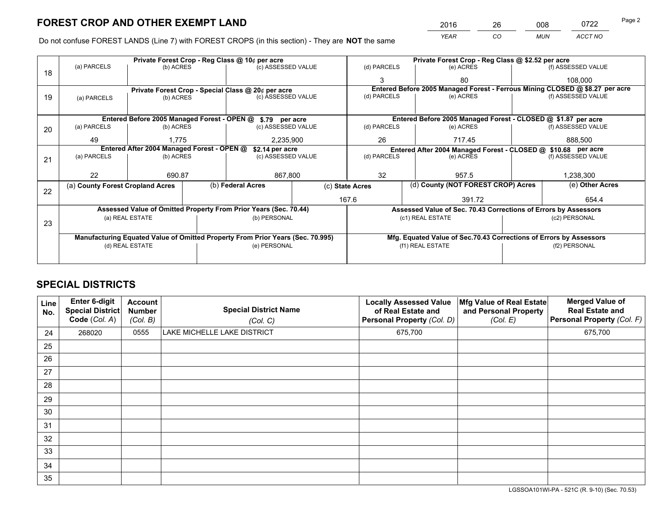*YEAR CO MUN ACCT NO* 2016 26 008 0722

Do not confuse FOREST LANDS (Line 7) with FOREST CROPS (in this section) - They are **NOT** the same

|    |                                                               |                                 |  | Private Forest Crop - Reg Class @ 10¢ per acre                                 |               |                  | Private Forest Crop - Reg Class @ \$2.52 per acre             |                                                                    |                    |                                                                              |
|----|---------------------------------------------------------------|---------------------------------|--|--------------------------------------------------------------------------------|---------------|------------------|---------------------------------------------------------------|--------------------------------------------------------------------|--------------------|------------------------------------------------------------------------------|
| 18 | (a) PARCELS                                                   | (b) ACRES                       |  | (c) ASSESSED VALUE                                                             |               | (d) PARCELS      |                                                               | (e) ACRES                                                          |                    | (f) ASSESSED VALUE                                                           |
|    |                                                               |                                 |  |                                                                                |               | 3                |                                                               | 80                                                                 |                    | 108,000                                                                      |
|    |                                                               |                                 |  | Private Forest Crop - Special Class @ 20¢ per acre                             |               |                  |                                                               |                                                                    |                    | Entered Before 2005 Managed Forest - Ferrous Mining CLOSED @ \$8.27 per acre |
| 19 | (a) PARCELS                                                   | (c) ASSESSED VALUE<br>(b) ACRES |  |                                                                                | (d) PARCELS   |                  | (e) ACRES                                                     |                                                                    | (f) ASSESSED VALUE |                                                                              |
|    |                                                               |                                 |  |                                                                                |               |                  |                                                               |                                                                    |                    |                                                                              |
|    |                                                               |                                 |  | Entered Before 2005 Managed Forest - OPEN @ \$.79 per acre                     |               |                  |                                                               | Entered Before 2005 Managed Forest - CLOSED @ \$1.87 per acre      |                    |                                                                              |
| 20 | (a) PARCELS                                                   | (b) ACRES                       |  | (c) ASSESSED VALUE                                                             |               | (d) PARCELS      |                                                               | (e) ACRES                                                          |                    | (f) ASSESSED VALUE                                                           |
|    | 49                                                            | 1.775                           |  | 2,235,900                                                                      |               | 26               | 717.45                                                        |                                                                    | 888,500            |                                                                              |
|    | Entered After 2004 Managed Forest - OPEN @<br>\$2.14 per acre |                                 |  |                                                                                |               |                  | Entered After 2004 Managed Forest - CLOSED @ \$10.68 per acre |                                                                    |                    |                                                                              |
| 21 | (a) PARCELS                                                   | (b) ACRES                       |  | (c) ASSESSED VALUE                                                             |               | (d) PARCELS      |                                                               | (e) ACRES                                                          |                    | (f) ASSESSED VALUE                                                           |
|    |                                                               |                                 |  |                                                                                |               |                  |                                                               |                                                                    |                    |                                                                              |
|    | 22                                                            | 690.87                          |  |                                                                                | 32<br>867,800 |                  |                                                               | 957.5                                                              |                    | 1,238,300                                                                    |
|    | (a) County Forest Cropland Acres                              |                                 |  | (b) Federal Acres                                                              |               | (c) State Acres  |                                                               | (d) County (NOT FOREST CROP) Acres                                 |                    | (e) Other Acres                                                              |
| 22 |                                                               |                                 |  |                                                                                |               | 167.6            |                                                               | 391.72                                                             |                    | 654.4                                                                        |
|    |                                                               |                                 |  | Assessed Value of Omitted Property From Prior Years (Sec. 70.44)               |               |                  |                                                               | Assessed Value of Sec. 70.43 Corrections of Errors by Assessors    |                    |                                                                              |
|    |                                                               | (a) REAL ESTATE                 |  | (b) PERSONAL                                                                   |               |                  |                                                               | (c1) REAL ESTATE                                                   |                    | (c2) PERSONAL                                                                |
| 23 |                                                               |                                 |  |                                                                                |               |                  |                                                               |                                                                    |                    |                                                                              |
|    |                                                               |                                 |  | Manufacturing Equated Value of Omitted Property From Prior Years (Sec. 70.995) |               |                  |                                                               | Mfg. Equated Value of Sec.70.43 Corrections of Errors by Assessors |                    |                                                                              |
|    |                                                               | (d) REAL ESTATE                 |  | (e) PERSONAL                                                                   |               | (f1) REAL ESTATE |                                                               |                                                                    |                    | (f2) PERSONAL                                                                |
|    |                                                               |                                 |  |                                                                                |               |                  |                                                               |                                                                    |                    |                                                                              |

# **SPECIAL DISTRICTS**

| Line<br>No. | Enter 6-digit<br><b>Special District</b><br>Code (Col. A) | <b>Account</b><br><b>Number</b><br>(Col. B) | <b>Special District Name</b><br>(Col. C) | <b>Locally Assessed Value</b><br>of Real Estate and<br>Personal Property (Col. D) | Mfg Value of Real Estate<br>and Personal Property<br>(Col. E) | <b>Merged Value of</b><br><b>Real Estate and</b><br>Personal Property (Col. F) |
|-------------|-----------------------------------------------------------|---------------------------------------------|------------------------------------------|-----------------------------------------------------------------------------------|---------------------------------------------------------------|--------------------------------------------------------------------------------|
| 24          | 268020                                                    | 0555                                        | LAKE MICHELLE LAKE DISTRICT              | 675,700                                                                           |                                                               | 675,700                                                                        |
| 25          |                                                           |                                             |                                          |                                                                                   |                                                               |                                                                                |
| 26          |                                                           |                                             |                                          |                                                                                   |                                                               |                                                                                |
| 27          |                                                           |                                             |                                          |                                                                                   |                                                               |                                                                                |
| 28          |                                                           |                                             |                                          |                                                                                   |                                                               |                                                                                |
| 29          |                                                           |                                             |                                          |                                                                                   |                                                               |                                                                                |
| 30          |                                                           |                                             |                                          |                                                                                   |                                                               |                                                                                |
| 31          |                                                           |                                             |                                          |                                                                                   |                                                               |                                                                                |
| 32          |                                                           |                                             |                                          |                                                                                   |                                                               |                                                                                |
| 33          |                                                           |                                             |                                          |                                                                                   |                                                               |                                                                                |
| 34          |                                                           |                                             |                                          |                                                                                   |                                                               |                                                                                |
| 35          |                                                           |                                             |                                          |                                                                                   |                                                               |                                                                                |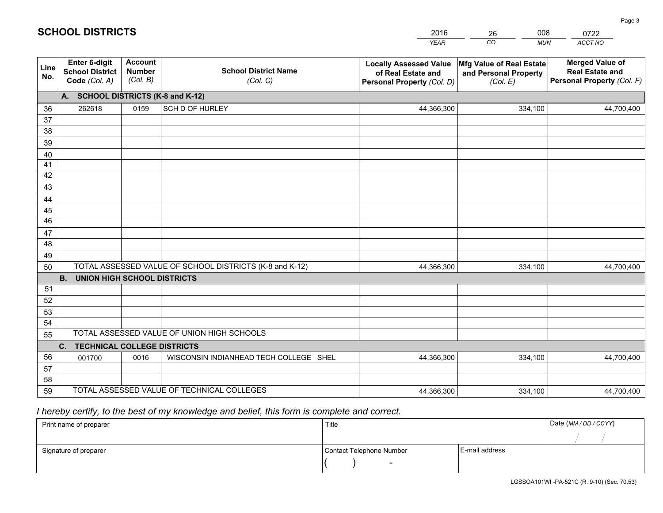|             |                                                                 |                                             |                                                         | <b>YEAR</b>                                                                       | CO<br><b>MUN</b>                                              | ACCT NO                                                                        |
|-------------|-----------------------------------------------------------------|---------------------------------------------|---------------------------------------------------------|-----------------------------------------------------------------------------------|---------------------------------------------------------------|--------------------------------------------------------------------------------|
| Line<br>No. | <b>Enter 6-digit</b><br><b>School District</b><br>Code (Col. A) | <b>Account</b><br><b>Number</b><br>(Col. B) | <b>School District Name</b><br>(Col. C)                 | <b>Locally Assessed Value</b><br>of Real Estate and<br>Personal Property (Col. D) | Mfg Value of Real Estate<br>and Personal Property<br>(Col. E) | <b>Merged Value of</b><br><b>Real Estate and</b><br>Personal Property (Col. F) |
|             | A. SCHOOL DISTRICTS (K-8 and K-12)                              |                                             |                                                         |                                                                                   |                                                               |                                                                                |
| 36          | 262618                                                          | 0159                                        | SCH D OF HURLEY                                         | 44,366,300                                                                        | 334,100                                                       | 44,700,400                                                                     |
| 37          |                                                                 |                                             |                                                         |                                                                                   |                                                               |                                                                                |
| 38          |                                                                 |                                             |                                                         |                                                                                   |                                                               |                                                                                |
| 39          |                                                                 |                                             |                                                         |                                                                                   |                                                               |                                                                                |
| 40          |                                                                 |                                             |                                                         |                                                                                   |                                                               |                                                                                |
| 41<br>42    |                                                                 |                                             |                                                         |                                                                                   |                                                               |                                                                                |
| 43          |                                                                 |                                             |                                                         |                                                                                   |                                                               |                                                                                |
| 44          |                                                                 |                                             |                                                         |                                                                                   |                                                               |                                                                                |
| 45          |                                                                 |                                             |                                                         |                                                                                   |                                                               |                                                                                |
| 46          |                                                                 |                                             |                                                         |                                                                                   |                                                               |                                                                                |
| 47          |                                                                 |                                             |                                                         |                                                                                   |                                                               |                                                                                |
| 48          |                                                                 |                                             |                                                         |                                                                                   |                                                               |                                                                                |
| 49          |                                                                 |                                             |                                                         |                                                                                   |                                                               |                                                                                |
| 50          |                                                                 |                                             | TOTAL ASSESSED VALUE OF SCHOOL DISTRICTS (K-8 and K-12) | 44,366,300                                                                        | 334,100                                                       | 44,700,400                                                                     |
|             | <b>B.</b><br><b>UNION HIGH SCHOOL DISTRICTS</b>                 |                                             |                                                         |                                                                                   |                                                               |                                                                                |
| 51          |                                                                 |                                             |                                                         |                                                                                   |                                                               |                                                                                |
| 52          |                                                                 |                                             |                                                         |                                                                                   |                                                               |                                                                                |
| 53          |                                                                 |                                             |                                                         |                                                                                   |                                                               |                                                                                |
| 54          |                                                                 |                                             |                                                         |                                                                                   |                                                               |                                                                                |
| 55          |                                                                 |                                             | TOTAL ASSESSED VALUE OF UNION HIGH SCHOOLS              |                                                                                   |                                                               |                                                                                |
|             | C.<br><b>TECHNICAL COLLEGE DISTRICTS</b>                        |                                             |                                                         |                                                                                   |                                                               |                                                                                |
| 56          | 001700                                                          | 0016                                        | WISCONSIN INDIANHEAD TECH COLLEGE SHEL                  | 44,366,300                                                                        | 334,100                                                       | 44,700,400                                                                     |
| 57<br>58    |                                                                 |                                             |                                                         |                                                                                   |                                                               |                                                                                |
| 59          |                                                                 |                                             | TOTAL ASSESSED VALUE OF TECHNICAL COLLEGES              | 44,366,300                                                                        | 334,100                                                       | 44,700,400                                                                     |
|             |                                                                 |                                             |                                                         |                                                                                   |                                                               |                                                                                |

26

008

# *I hereby certify, to the best of my knowledge and belief, this form is complete and correct.*

**SCHOOL DISTRICTS**

| Print name of preparer | Title                    | Date (MM / DD / CCYY) |  |
|------------------------|--------------------------|-----------------------|--|
|                        |                          |                       |  |
| Signature of preparer  | Contact Telephone Number | E-mail address        |  |
|                        | $\sim$                   |                       |  |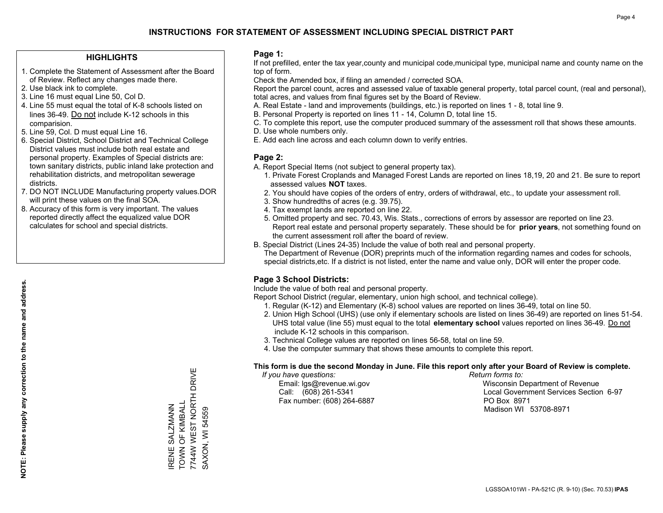#### **HIGHLIGHTS**

- 1. Complete the Statement of Assessment after the Board of Review. Reflect any changes made there.
- 2. Use black ink to complete.
- 3. Line 16 must equal Line 50, Col D.
- 4. Line 55 must equal the total of K-8 schools listed on lines 36-49. Do not include K-12 schools in this comparision.
- 5. Line 59, Col. D must equal Line 16.
- 6. Special District, School District and Technical College District values must include both real estate and personal property. Examples of Special districts are: town sanitary districts, public inland lake protection and rehabilitation districts, and metropolitan sewerage districts.
- 7. DO NOT INCLUDE Manufacturing property values.DOR will print these values on the final SOA.

IRENE SALZMANN TOWN OF KIMBALL

IRENE SALZMANN<br>TOWN OF KIMBALL

7744W WEST NORTH DRIVE

7744W WEST NORTH DRIVE

SAXON, WI 54559

SAXON, WI 54559

 8. Accuracy of this form is very important. The values reported directly affect the equalized value DOR calculates for school and special districts.

#### **Page 1:**

 If not prefilled, enter the tax year,county and municipal code,municipal type, municipal name and county name on the top of form.

Check the Amended box, if filing an amended / corrected SOA.

 Report the parcel count, acres and assessed value of taxable general property, total parcel count, (real and personal), total acres, and values from final figures set by the Board of Review.

- A. Real Estate land and improvements (buildings, etc.) is reported on lines 1 8, total line 9.
- B. Personal Property is reported on lines 11 14, Column D, total line 15.
- C. To complete this report, use the computer produced summary of the assessment roll that shows these amounts.
- D. Use whole numbers only.
- E. Add each line across and each column down to verify entries.

#### **Page 2:**

- A. Report Special Items (not subject to general property tax).
- 1. Private Forest Croplands and Managed Forest Lands are reported on lines 18,19, 20 and 21. Be sure to report assessed values **NOT** taxes.
- 2. You should have copies of the orders of entry, orders of withdrawal, etc., to update your assessment roll.
	- 3. Show hundredths of acres (e.g. 39.75).
- 4. Tax exempt lands are reported on line 22.
- 5. Omitted property and sec. 70.43, Wis. Stats., corrections of errors by assessor are reported on line 23. Report real estate and personal property separately. These should be for **prior years**, not something found on the current assessment roll after the board of review.
- B. Special District (Lines 24-35) Include the value of both real and personal property.
- The Department of Revenue (DOR) preprints much of the information regarding names and codes for schools, special districts,etc. If a district is not listed, enter the name and value only, DOR will enter the proper code.

### **Page 3 School Districts:**

Include the value of both real and personal property.

Report School District (regular, elementary, union high school, and technical college).

- 1. Regular (K-12) and Elementary (K-8) school values are reported on lines 36-49, total on line 50.
- 2. Union High School (UHS) (use only if elementary schools are listed on lines 36-49) are reported on lines 51-54. UHS total value (line 55) must equal to the total **elementary school** values reported on lines 36-49. Do notinclude K-12 schools in this comparison.
- 3. Technical College values are reported on lines 56-58, total on line 59.
- 4. Use the computer summary that shows these amounts to complete this report.

#### **This form is due the second Monday in June. File this report only after your Board of Review is complete.**

 *If you have questions: Return forms to:*

Fax number: (608) 264-6887 PO Box 8971

 Email: lgs@revenue.wi.gov Wisconsin Department of Revenue Call: (608) 261-5341 Local Government Services Section 6-97Madison WI 53708-8971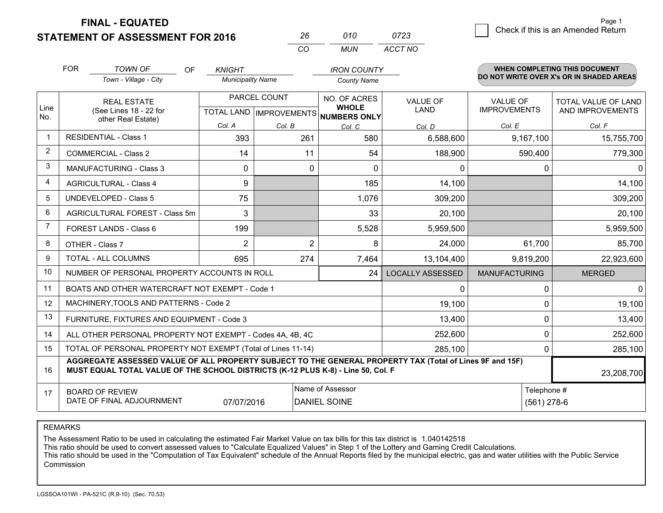**FINAL - EQUATED**

**STATEMENT OF ASSESSMENT FOR 2016** 

|          | 01 O | 0723    |
|----------|------|---------|
| $\cdots$ | MUN  | ACCT NO |

|                | <b>FOR</b>                                                                                                                                   | <b>TOWN OF</b><br>OF<br>Town - Village - City                                                                                                                                                | <b>KNIGHT</b><br><b>Municipality Name</b> |                | <b>IRON COUNTY</b><br><b>County Name</b> |                                |                                        | <b>WHEN COMPLETING THIS DOCUMENT</b><br>DO NOT WRITE OVER X's OR IN SHADED AREAS |
|----------------|----------------------------------------------------------------------------------------------------------------------------------------------|----------------------------------------------------------------------------------------------------------------------------------------------------------------------------------------------|-------------------------------------------|----------------|------------------------------------------|--------------------------------|----------------------------------------|----------------------------------------------------------------------------------|
| Line           |                                                                                                                                              | PARCEL COUNT<br><b>REAL ESTATE</b><br>(See Lines 18 - 22 for<br>TOTAL LAND MPROVEMENTS NUMBERS ONLY                                                                                          |                                           |                | NO. OF ACRES<br><b>WHOLE</b>             | <b>VALUE OF</b><br><b>LAND</b> | <b>VALUE OF</b><br><b>IMPROVEMENTS</b> | TOTAL VALUE OF LAND<br>AND IMPROVEMENTS                                          |
| No.            |                                                                                                                                              | other Real Estate)                                                                                                                                                                           | Col. A                                    |                |                                          |                                |                                        | Col. F                                                                           |
| 1              |                                                                                                                                              | <b>RESIDENTIAL - Class 1</b>                                                                                                                                                                 | 393                                       | Col. B<br>261  | Col. C<br>580                            | Col. D<br>6,588,600            | Col. E<br>9,167,100                    | 15,755,700                                                                       |
| $\overline{2}$ |                                                                                                                                              | <b>COMMERCIAL - Class 2</b>                                                                                                                                                                  | 14                                        | 11             | 54                                       | 188,900                        | 590,400                                | 779,300                                                                          |
| 3              |                                                                                                                                              | MANUFACTURING - Class 3                                                                                                                                                                      | 0                                         | 0              | $\Omega$                                 | $\mathbf{0}$                   | 0                                      | $\mathbf{0}$                                                                     |
| $\overline{4}$ |                                                                                                                                              | <b>AGRICULTURAL - Class 4</b>                                                                                                                                                                | 9                                         |                | 185                                      | 14,100                         |                                        | 14,100                                                                           |
| 5              |                                                                                                                                              | <b>UNDEVELOPED - Class 5</b>                                                                                                                                                                 | 75                                        |                | 1,076                                    | 309,200                        |                                        | 309,200                                                                          |
| 6              |                                                                                                                                              | AGRICULTURAL FOREST - Class 5m                                                                                                                                                               | 3                                         |                | 33                                       | 20,100                         |                                        | 20,100                                                                           |
| $\overline{7}$ | FOREST LANDS - Class 6                                                                                                                       |                                                                                                                                                                                              | 199                                       |                | 5,528                                    | 5,959,500                      |                                        | 5,959,500                                                                        |
| 8              |                                                                                                                                              | OTHER - Class 7                                                                                                                                                                              | $\overline{2}$                            | $\overline{2}$ | 8                                        | 24,000                         | 61,700                                 | 85,700                                                                           |
| 9              |                                                                                                                                              | TOTAL - ALL COLUMNS                                                                                                                                                                          | 695                                       | 274            | 7,464                                    | 13,104,400                     | 9,819,200                              | 22,923,600                                                                       |
| 10             |                                                                                                                                              | NUMBER OF PERSONAL PROPERTY ACCOUNTS IN ROLL                                                                                                                                                 |                                           |                | 24                                       | <b>LOCALLY ASSESSED</b>        | <b>MANUFACTURING</b>                   | <b>MERGED</b>                                                                    |
| 11             |                                                                                                                                              | BOATS AND OTHER WATERCRAFT NOT EXEMPT - Code 1                                                                                                                                               |                                           |                |                                          | 0                              | 0                                      | 0                                                                                |
| 12             |                                                                                                                                              | MACHINERY, TOOLS AND PATTERNS - Code 2                                                                                                                                                       |                                           |                |                                          | 19,100                         | 0                                      | 19,100                                                                           |
| 13             |                                                                                                                                              | FURNITURE, FIXTURES AND EQUIPMENT - Code 3                                                                                                                                                   |                                           |                |                                          | 13,400                         | 0                                      | 13,400                                                                           |
| 14             |                                                                                                                                              | ALL OTHER PERSONAL PROPERTY NOT EXEMPT - Codes 4A, 4B, 4C                                                                                                                                    |                                           |                |                                          | 252,600                        | $\Omega$                               | 252,600                                                                          |
| 15             |                                                                                                                                              | TOTAL OF PERSONAL PROPERTY NOT EXEMPT (Total of Lines 11-14)                                                                                                                                 |                                           |                |                                          | 285,100                        | 0                                      | 285,100                                                                          |
| 16             |                                                                                                                                              | AGGREGATE ASSESSED VALUE OF ALL PROPERTY SUBJECT TO THE GENERAL PROPERTY TAX (Total of Lines 9F and 15F)<br>MUST EQUAL TOTAL VALUE OF THE SCHOOL DISTRICTS (K-12 PLUS K-8) - Line 50, Col. F |                                           |                |                                          |                                |                                        | 23,208,700                                                                       |
| 17             | Name of Assessor<br>Telephone #<br><b>BOARD OF REVIEW</b><br>DATE OF FINAL ADJOURNMENT<br>07/07/2016<br><b>DANIEL SOINE</b><br>$(561)$ 278-6 |                                                                                                                                                                                              |                                           |                |                                          |                                |                                        |                                                                                  |

REMARKS

The Assessment Ratio to be used in calculating the estimated Fair Market Value on tax bills for this tax district is 1.040142518

This ratio should be used to convert assessed values to "Calculate Equalized Values" in Step 1 of the Lottery and Gaming Credit Calculations.<br>This ratio should be used in the "Computation of Tax Equivalent" schedule of the Commission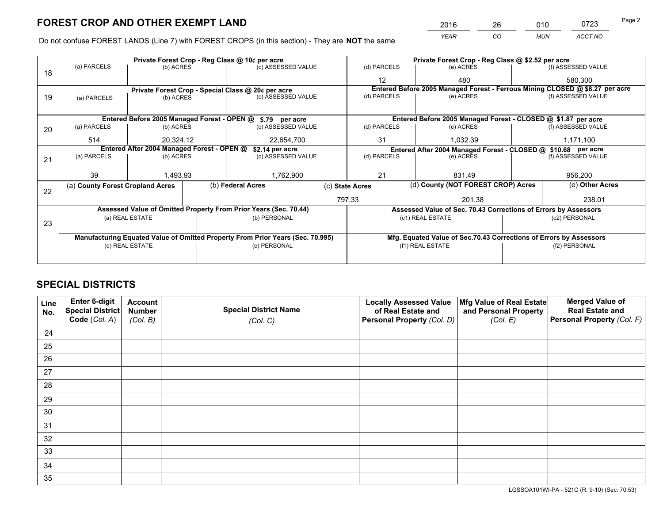*YEAR CO MUN ACCT NO* <sup>2016</sup> <sup>26</sup> <sup>010</sup> <sup>0723</sup>

Do not confuse FOREST LANDS (Line 7) with FOREST CROPS (in this section) - They are **NOT** the same

|    | Private Forest Crop - Reg Class @ 10¢ per acre                |                 |  |                                                                                |             |                                                                              |                                                               | Private Forest Crop - Reg Class @ \$2.52 per acre                  |                    |                    |
|----|---------------------------------------------------------------|-----------------|--|--------------------------------------------------------------------------------|-------------|------------------------------------------------------------------------------|---------------------------------------------------------------|--------------------------------------------------------------------|--------------------|--------------------|
| 18 | (a) PARCELS                                                   | (b) ACRES       |  | (c) ASSESSED VALUE                                                             |             | (d) PARCELS                                                                  |                                                               | (e) ACRES                                                          |                    | (f) ASSESSED VALUE |
|    |                                                               |                 |  |                                                                                |             | 12                                                                           |                                                               | 480                                                                |                    | 580,300            |
|    |                                                               |                 |  | Private Forest Crop - Special Class @ 20¢ per acre                             |             | Entered Before 2005 Managed Forest - Ferrous Mining CLOSED @ \$8.27 per acre |                                                               |                                                                    |                    |                    |
| 19 | (c) ASSESSED VALUE<br>(b) ACRES<br>(a) PARCELS                |                 |  | (d) PARCELS                                                                    |             | (e) ACRES                                                                    |                                                               | (f) ASSESSED VALUE                                                 |                    |                    |
|    |                                                               |                 |  |                                                                                |             |                                                                              |                                                               |                                                                    |                    |                    |
|    | Entered Before 2005 Managed Forest - OPEN @ \$.79 per acre    |                 |  |                                                                                |             |                                                                              | Entered Before 2005 Managed Forest - CLOSED @ \$1.87 per acre |                                                                    |                    |                    |
| 20 | (a) PARCELS                                                   | (b) ACRES       |  | (c) ASSESSED VALUE                                                             |             | (d) PARCELS                                                                  |                                                               | (e) ACRES                                                          |                    | (f) ASSESSED VALUE |
|    | 514                                                           | 20.324.12       |  | 22,654,700                                                                     |             | 31<br>1.032.39                                                               |                                                               |                                                                    | 1,171,100          |                    |
|    | Entered After 2004 Managed Forest - OPEN @<br>\$2.14 per acre |                 |  |                                                                                |             |                                                                              |                                                               | Entered After 2004 Managed Forest - CLOSED @ \$10.68 per acre      |                    |                    |
| 21 | (a) PARCELS                                                   | (b) ACRES       |  | (c) ASSESSED VALUE                                                             | (d) PARCELS |                                                                              | (e) ACRES                                                     |                                                                    | (f) ASSESSED VALUE |                    |
|    |                                                               |                 |  |                                                                                |             |                                                                              |                                                               |                                                                    |                    |                    |
|    | 39                                                            | 1,493.93        |  | 1,762,900                                                                      | 21          |                                                                              |                                                               | 831.49                                                             |                    | 956,200            |
|    | (a) County Forest Cropland Acres                              |                 |  | (b) Federal Acres                                                              |             | (d) County (NOT FOREST CROP) Acres<br>(c) State Acres                        |                                                               |                                                                    | (e) Other Acres    |                    |
| 22 |                                                               |                 |  |                                                                                |             | 797.33                                                                       |                                                               | 201.38                                                             |                    | 238.01             |
|    |                                                               |                 |  | Assessed Value of Omitted Property From Prior Years (Sec. 70.44)               |             |                                                                              |                                                               | Assessed Value of Sec. 70.43 Corrections of Errors by Assessors    |                    |                    |
|    |                                                               | (a) REAL ESTATE |  | (b) PERSONAL                                                                   |             |                                                                              |                                                               | (c1) REAL ESTATE                                                   |                    | (c2) PERSONAL      |
| 23 |                                                               |                 |  |                                                                                |             |                                                                              |                                                               |                                                                    |                    |                    |
|    |                                                               |                 |  | Manufacturing Equated Value of Omitted Property From Prior Years (Sec. 70.995) |             |                                                                              |                                                               | Mfg. Equated Value of Sec.70.43 Corrections of Errors by Assessors |                    |                    |
|    |                                                               | (d) REAL ESTATE |  | (e) PERSONAL                                                                   |             |                                                                              |                                                               | (f1) REAL ESTATE                                                   | (f2) PERSONAL      |                    |
|    |                                                               |                 |  |                                                                                |             |                                                                              |                                                               |                                                                    |                    |                    |

# **SPECIAL DISTRICTS**

| Line<br>No. | Enter 6-digit<br><b>Special District</b> | <b>Account</b><br><b>Number</b> | <b>Special District Name</b> | <b>Locally Assessed Value</b><br>of Real Estate and | Mfg Value of Real Estate<br>and Personal Property | <b>Merged Value of</b><br><b>Real Estate and</b> |
|-------------|------------------------------------------|---------------------------------|------------------------------|-----------------------------------------------------|---------------------------------------------------|--------------------------------------------------|
|             | Code (Col. A)                            | (Col. B)                        | (Col. C)                     | Personal Property (Col. D)                          | (Col. E)                                          | Personal Property (Col. F)                       |
| 24          |                                          |                                 |                              |                                                     |                                                   |                                                  |
| 25          |                                          |                                 |                              |                                                     |                                                   |                                                  |
| 26          |                                          |                                 |                              |                                                     |                                                   |                                                  |
| 27          |                                          |                                 |                              |                                                     |                                                   |                                                  |
| 28          |                                          |                                 |                              |                                                     |                                                   |                                                  |
| 29          |                                          |                                 |                              |                                                     |                                                   |                                                  |
| 30          |                                          |                                 |                              |                                                     |                                                   |                                                  |
| 31          |                                          |                                 |                              |                                                     |                                                   |                                                  |
| 32          |                                          |                                 |                              |                                                     |                                                   |                                                  |
| 33          |                                          |                                 |                              |                                                     |                                                   |                                                  |
| 34          |                                          |                                 |                              |                                                     |                                                   |                                                  |
| 35          |                                          |                                 |                              |                                                     |                                                   |                                                  |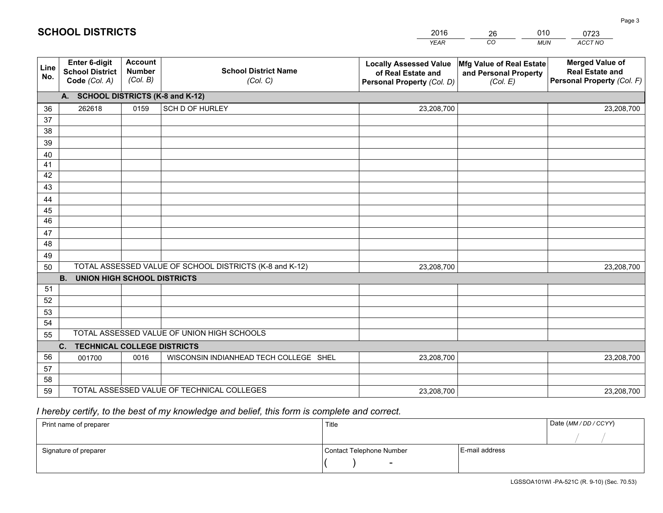|             |                                                                 |                                             |                                                         | <b>YEAR</b>                                                                       | CO<br><b>MUN</b>                                              | ACCT NO                                                                        |
|-------------|-----------------------------------------------------------------|---------------------------------------------|---------------------------------------------------------|-----------------------------------------------------------------------------------|---------------------------------------------------------------|--------------------------------------------------------------------------------|
| Line<br>No. | <b>Enter 6-digit</b><br><b>School District</b><br>Code (Col. A) | <b>Account</b><br><b>Number</b><br>(Col. B) | <b>School District Name</b><br>(Col. C)                 | <b>Locally Assessed Value</b><br>of Real Estate and<br>Personal Property (Col. D) | Mfg Value of Real Estate<br>and Personal Property<br>(Col. E) | <b>Merged Value of</b><br><b>Real Estate and</b><br>Personal Property (Col. F) |
|             | A. SCHOOL DISTRICTS (K-8 and K-12)                              |                                             |                                                         |                                                                                   |                                                               |                                                                                |
| 36          | 262618                                                          | 0159                                        | SCH D OF HURLEY                                         | 23,208,700                                                                        |                                                               | 23,208,700                                                                     |
| 37          |                                                                 |                                             |                                                         |                                                                                   |                                                               |                                                                                |
| 38          |                                                                 |                                             |                                                         |                                                                                   |                                                               |                                                                                |
| 39          |                                                                 |                                             |                                                         |                                                                                   |                                                               |                                                                                |
| 40          |                                                                 |                                             |                                                         |                                                                                   |                                                               |                                                                                |
| 41          |                                                                 |                                             |                                                         |                                                                                   |                                                               |                                                                                |
| 42          |                                                                 |                                             |                                                         |                                                                                   |                                                               |                                                                                |
| 43          |                                                                 |                                             |                                                         |                                                                                   |                                                               |                                                                                |
| 44          |                                                                 |                                             |                                                         |                                                                                   |                                                               |                                                                                |
| 45<br>46    |                                                                 |                                             |                                                         |                                                                                   |                                                               |                                                                                |
|             |                                                                 |                                             |                                                         |                                                                                   |                                                               |                                                                                |
| 47<br>48    |                                                                 |                                             |                                                         |                                                                                   |                                                               |                                                                                |
| 49          |                                                                 |                                             |                                                         |                                                                                   |                                                               |                                                                                |
| 50          |                                                                 |                                             | TOTAL ASSESSED VALUE OF SCHOOL DISTRICTS (K-8 and K-12) | 23,208,700                                                                        |                                                               | 23,208,700                                                                     |
|             | <b>UNION HIGH SCHOOL DISTRICTS</b><br><b>B.</b>                 |                                             |                                                         |                                                                                   |                                                               |                                                                                |
| 51          |                                                                 |                                             |                                                         |                                                                                   |                                                               |                                                                                |
| 52          |                                                                 |                                             |                                                         |                                                                                   |                                                               |                                                                                |
| 53          |                                                                 |                                             |                                                         |                                                                                   |                                                               |                                                                                |
| 54          |                                                                 |                                             |                                                         |                                                                                   |                                                               |                                                                                |
| 55          |                                                                 |                                             | TOTAL ASSESSED VALUE OF UNION HIGH SCHOOLS              |                                                                                   |                                                               |                                                                                |
|             | <b>TECHNICAL COLLEGE DISTRICTS</b><br>C.                        |                                             |                                                         |                                                                                   |                                                               |                                                                                |
| 56          | 001700                                                          | 0016                                        | WISCONSIN INDIANHEAD TECH COLLEGE SHEL                  | 23,208,700                                                                        |                                                               | 23,208,700                                                                     |
| 57          |                                                                 |                                             |                                                         |                                                                                   |                                                               |                                                                                |
| 58          |                                                                 |                                             |                                                         |                                                                                   |                                                               |                                                                                |
| 59          |                                                                 |                                             | TOTAL ASSESSED VALUE OF TECHNICAL COLLEGES              | 23,208,700                                                                        |                                                               | 23,208,700                                                                     |

26

010

# *I hereby certify, to the best of my knowledge and belief, this form is complete and correct.*

**SCHOOL DISTRICTS**

| Print name of preparer | Title                    | Date (MM / DD / CCYY) |  |
|------------------------|--------------------------|-----------------------|--|
|                        |                          |                       |  |
| Signature of preparer  | Contact Telephone Number | E-mail address        |  |
|                        | $\overline{\phantom{0}}$ |                       |  |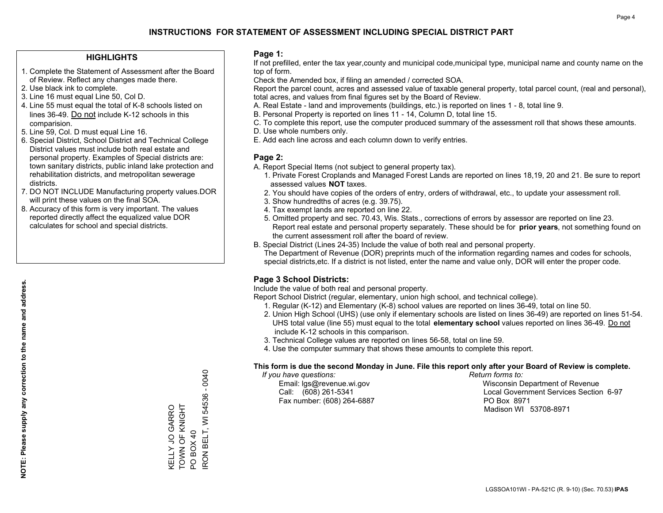#### **HIGHLIGHTS**

- 1. Complete the Statement of Assessment after the Board of Review. Reflect any changes made there.
- 2. Use black ink to complete.
- 3. Line 16 must equal Line 50, Col D.
- 4. Line 55 must equal the total of K-8 schools listed on lines 36-49. Do not include K-12 schools in this comparision.
- 5. Line 59, Col. D must equal Line 16.
- 6. Special District, School District and Technical College District values must include both real estate and personal property. Examples of Special districts are: town sanitary districts, public inland lake protection and rehabilitation districts, and metropolitan sewerage districts.
- 7. DO NOT INCLUDE Manufacturing property values.DOR will print these values on the final SOA.

KELLY JO GARRO TOWN OF KNIGHT

KELLY JO GARRO<br>TOWN OF KNIGHT

PO BOX 40

POBOX40

IRON BELT, WI 54536 - 0040

RON BELT, WI 54536 - 0040

 8. Accuracy of this form is very important. The values reported directly affect the equalized value DOR calculates for school and special districts.

#### **Page 1:**

 If not prefilled, enter the tax year,county and municipal code,municipal type, municipal name and county name on the top of form.

Check the Amended box, if filing an amended / corrected SOA.

 Report the parcel count, acres and assessed value of taxable general property, total parcel count, (real and personal), total acres, and values from final figures set by the Board of Review.

- A. Real Estate land and improvements (buildings, etc.) is reported on lines 1 8, total line 9.
- B. Personal Property is reported on lines 11 14, Column D, total line 15.
- C. To complete this report, use the computer produced summary of the assessment roll that shows these amounts.
- D. Use whole numbers only.
- E. Add each line across and each column down to verify entries.

#### **Page 2:**

- A. Report Special Items (not subject to general property tax).
- 1. Private Forest Croplands and Managed Forest Lands are reported on lines 18,19, 20 and 21. Be sure to report assessed values **NOT** taxes.
- 2. You should have copies of the orders of entry, orders of withdrawal, etc., to update your assessment roll.
	- 3. Show hundredths of acres (e.g. 39.75).
- 4. Tax exempt lands are reported on line 22.
- 5. Omitted property and sec. 70.43, Wis. Stats., corrections of errors by assessor are reported on line 23. Report real estate and personal property separately. These should be for **prior years**, not something found on the current assessment roll after the board of review.
- B. Special District (Lines 24-35) Include the value of both real and personal property.
- The Department of Revenue (DOR) preprints much of the information regarding names and codes for schools, special districts,etc. If a district is not listed, enter the name and value only, DOR will enter the proper code.

### **Page 3 School Districts:**

Include the value of both real and personal property.

Report School District (regular, elementary, union high school, and technical college).

- 1. Regular (K-12) and Elementary (K-8) school values are reported on lines 36-49, total on line 50.
- 2. Union High School (UHS) (use only if elementary schools are listed on lines 36-49) are reported on lines 51-54. UHS total value (line 55) must equal to the total **elementary school** values reported on lines 36-49. Do notinclude K-12 schools in this comparison.
- 3. Technical College values are reported on lines 56-58, total on line 59.
- 4. Use the computer summary that shows these amounts to complete this report.

#### **This form is due the second Monday in June. File this report only after your Board of Review is complete.**

 *If you have questions: Return forms to:*

Fax number: (608) 264-6887 PO Box 8971

 Email: lgs@revenue.wi.gov Wisconsin Department of Revenue Call: (608) 261-5341 Local Government Services Section 6-97Madison WI 53708-8971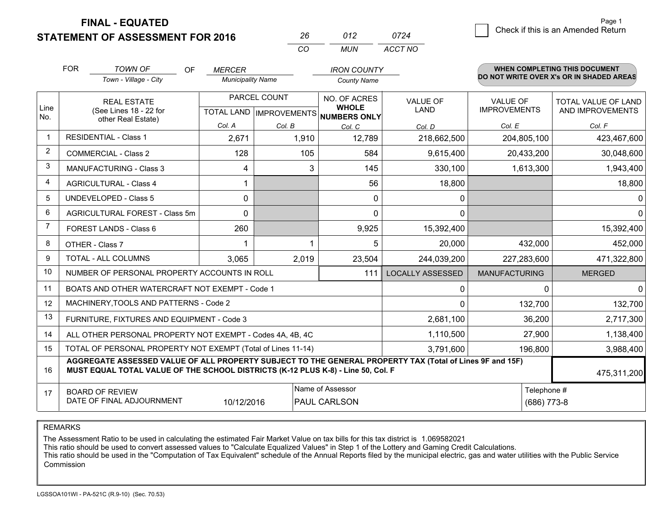**FINAL - EQUATED**

**STATEMENT OF ASSESSMENT FOR 2016** 

|          | -012  | 0724    |
|----------|-------|---------|
| $\cdots$ | MI IN | ACCT NO |

|                | <b>FOR</b> | <b>TOWN OF</b><br>OF<br>Town - Village - City                                                                                                                                                | <b>MERCER</b><br><b>Municipality Name</b> |              | <b>IRON COUNTY</b><br><b>County Name</b> |                                |                                        | <b>WHEN COMPLETING THIS DOCUMENT</b><br>DO NOT WRITE OVER X's OR IN SHADED AREAS |
|----------------|------------|----------------------------------------------------------------------------------------------------------------------------------------------------------------------------------------------|-------------------------------------------|--------------|------------------------------------------|--------------------------------|----------------------------------------|----------------------------------------------------------------------------------|
| Line           |            | <b>REAL ESTATE</b>                                                                                                                                                                           |                                           | PARCEL COUNT | NO. OF ACRES<br><b>WHOLE</b>             | <b>VALUE OF</b><br><b>LAND</b> | <b>VALUE OF</b><br><b>IMPROVEMENTS</b> | TOTAL VALUE OF LAND<br>AND IMPROVEMENTS                                          |
| No.            |            | (See Lines 18 - 22 for<br>other Real Estate)                                                                                                                                                 |                                           |              | TOTAL LAND MPROVEMENTS NUMBERS ONLY      |                                |                                        |                                                                                  |
|                |            |                                                                                                                                                                                              | Col. A                                    | Col. B       | Col. C                                   | Col. D                         | Col. E                                 | Col. F                                                                           |
| -1             |            | <b>RESIDENTIAL - Class 1</b>                                                                                                                                                                 | 2,671                                     | 1,910        | 12,789                                   | 218,662,500                    | 204,805,100                            | 423,467,600                                                                      |
| 2              |            | <b>COMMERCIAL - Class 2</b>                                                                                                                                                                  | 128                                       | 105          | 584                                      | 9,615,400                      | 20,433,200                             | 30,048,600                                                                       |
| 3              |            | <b>MANUFACTURING - Class 3</b>                                                                                                                                                               | 4                                         | 3            | 145                                      | 330,100                        | 1,613,300                              | 1,943,400                                                                        |
| 4              |            | <b>AGRICULTURAL - Class 4</b>                                                                                                                                                                |                                           |              | 56                                       | 18,800                         |                                        | 18,800                                                                           |
| 5              |            | UNDEVELOPED - Class 5                                                                                                                                                                        | $\Omega$                                  |              | $\Omega$                                 | $\mathbf{0}$                   |                                        | $\Omega$                                                                         |
| 6              |            | AGRICULTURAL FOREST - Class 5m                                                                                                                                                               | $\Omega$                                  |              | $\Omega$                                 | $\mathbf{0}$                   |                                        | $\Omega$                                                                         |
| $\overline{7}$ |            | FOREST LANDS - Class 6                                                                                                                                                                       | 260                                       |              | 9,925                                    | 15,392,400                     |                                        | 15,392,400                                                                       |
| 8              |            | OTHER - Class 7                                                                                                                                                                              |                                           |              | 5                                        | 20,000                         | 432,000                                | 452,000                                                                          |
| 9              |            | <b>TOTAL - ALL COLUMNS</b>                                                                                                                                                                   | 3,065                                     | 2,019        | 23,504                                   | 244,039,200                    | 227,283,600                            | 471,322,800                                                                      |
| 10             |            | NUMBER OF PERSONAL PROPERTY ACCOUNTS IN ROLL                                                                                                                                                 |                                           |              | 111                                      | <b>LOCALLY ASSESSED</b>        | <b>MANUFACTURING</b>                   | <b>MERGED</b>                                                                    |
| 11             |            | BOATS AND OTHER WATERCRAFT NOT EXEMPT - Code 1                                                                                                                                               |                                           |              |                                          | $\Omega$                       | 0                                      | $\Omega$                                                                         |
| 12             |            | MACHINERY, TOOLS AND PATTERNS - Code 2                                                                                                                                                       |                                           |              |                                          | $\Omega$                       | 132,700                                | 132,700                                                                          |
| 13             |            | FURNITURE, FIXTURES AND EQUIPMENT - Code 3                                                                                                                                                   |                                           |              |                                          | 2,681,100                      | 36,200                                 | 2,717,300                                                                        |
| 14             |            | ALL OTHER PERSONAL PROPERTY NOT EXEMPT - Codes 4A, 4B, 4C                                                                                                                                    |                                           |              |                                          | 1,110,500                      | 27,900                                 | 1,138,400                                                                        |
| 15             |            | TOTAL OF PERSONAL PROPERTY NOT EXEMPT (Total of Lines 11-14)                                                                                                                                 |                                           |              |                                          | 3,791,600                      | 196,800                                | 3,988,400                                                                        |
| 16             |            | AGGREGATE ASSESSED VALUE OF ALL PROPERTY SUBJECT TO THE GENERAL PROPERTY TAX (Total of Lines 9F and 15F)<br>MUST EQUAL TOTAL VALUE OF THE SCHOOL DISTRICTS (K-12 PLUS K-8) - Line 50, Col. F |                                           |              |                                          |                                |                                        | 475,311,200                                                                      |
| 17             |            | <b>BOARD OF REVIEW</b>                                                                                                                                                                       |                                           |              | Name of Assessor                         | Telephone #                    |                                        |                                                                                  |
|                |            | DATE OF FINAL ADJOURNMENT                                                                                                                                                                    | 10/12/2016                                |              | PAUL CARLSON                             |                                | $(686)$ 773-8                          |                                                                                  |

REMARKS

The Assessment Ratio to be used in calculating the estimated Fair Market Value on tax bills for this tax district is 1.069582021

This ratio should be used to convert assessed values to "Calculate Equalized Values" in Step 1 of the Lottery and Gaming Credit Calculations.<br>This ratio should be used in the "Computation of Tax Equivalent" schedule of the Commission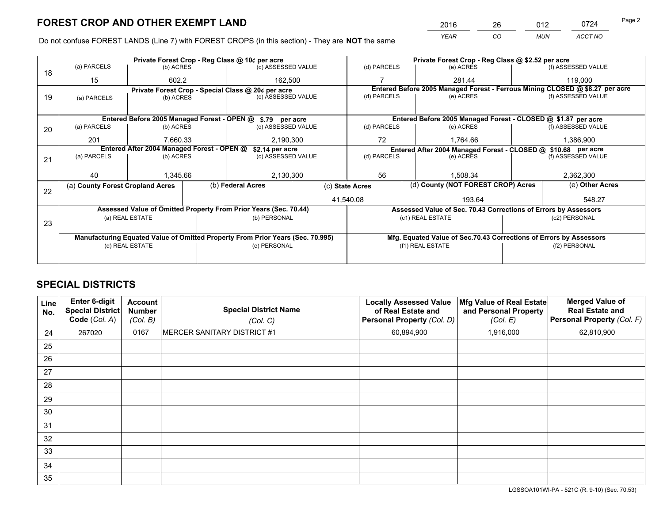*YEAR CO MUN ACCT NO* 2016 26 012 0724

Do not confuse FOREST LANDS (Line 7) with FOREST CROPS (in this section) - They are **NOT** the same

|    |                                                               |                 |  | Private Forest Crop - Reg Class @ 10¢ per acre                                 |             | Private Forest Crop - Reg Class @ \$2.52 per acre             |                                                                              |  |                    |  |
|----|---------------------------------------------------------------|-----------------|--|--------------------------------------------------------------------------------|-------------|---------------------------------------------------------------|------------------------------------------------------------------------------|--|--------------------|--|
| 18 | (a) PARCELS                                                   | (b) ACRES       |  | (c) ASSESSED VALUE                                                             |             | (d) PARCELS                                                   | (e) ACRES                                                                    |  | (f) ASSESSED VALUE |  |
|    | 15                                                            | 602.2           |  | 162,500                                                                        |             |                                                               | 281.44                                                                       |  | 119,000            |  |
|    |                                                               |                 |  | Private Forest Crop - Special Class @ 20¢ per acre                             |             |                                                               | Entered Before 2005 Managed Forest - Ferrous Mining CLOSED @ \$8.27 per acre |  |                    |  |
| 19 | (a) PARCELS                                                   | (b) ACRES       |  | (c) ASSESSED VALUE                                                             |             | (d) PARCELS                                                   | (e) ACRES                                                                    |  | (f) ASSESSED VALUE |  |
|    |                                                               |                 |  |                                                                                |             |                                                               |                                                                              |  |                    |  |
|    |                                                               |                 |  | Entered Before 2005 Managed Forest - OPEN @ \$.79 per acre                     |             | Entered Before 2005 Managed Forest - CLOSED @ \$1.87 per acre |                                                                              |  |                    |  |
| 20 | (a) PARCELS                                                   | (b) ACRES       |  | (c) ASSESSED VALUE                                                             |             | (d) PARCELS                                                   | (e) ACRES                                                                    |  | (f) ASSESSED VALUE |  |
|    | 201                                                           | 7.660.33        |  | 2,190,300                                                                      |             | 72                                                            | 1.764.66                                                                     |  | 1,386,900          |  |
|    | Entered After 2004 Managed Forest - OPEN @<br>\$2.14 per acre |                 |  |                                                                                |             |                                                               | Entered After 2004 Managed Forest - CLOSED @ \$10.68 per acre                |  |                    |  |
| 21 | (a) PARCELS                                                   | (b) ACRES       |  | (c) ASSESSED VALUE                                                             | (d) PARCELS |                                                               | (e) ACRES                                                                    |  | (f) ASSESSED VALUE |  |
|    |                                                               |                 |  |                                                                                |             |                                                               |                                                                              |  |                    |  |
|    | 40                                                            | 1.345.66        |  | 2,130,300                                                                      | 56          |                                                               | 1.508.34                                                                     |  | 2,362,300          |  |
| 22 | (a) County Forest Cropland Acres                              |                 |  | (b) Federal Acres                                                              |             | (d) County (NOT FOREST CROP) Acres<br>(c) State Acres         |                                                                              |  | (e) Other Acres    |  |
|    |                                                               |                 |  |                                                                                |             | 41,540.08<br>193.64                                           |                                                                              |  | 548.27             |  |
|    |                                                               |                 |  | Assessed Value of Omitted Property From Prior Years (Sec. 70.44)               |             |                                                               | Assessed Value of Sec. 70.43 Corrections of Errors by Assessors              |  |                    |  |
|    |                                                               | (a) REAL ESTATE |  | (b) PERSONAL                                                                   |             |                                                               | (c1) REAL ESTATE                                                             |  | (c2) PERSONAL      |  |
| 23 |                                                               |                 |  |                                                                                |             |                                                               |                                                                              |  |                    |  |
|    |                                                               |                 |  | Manufacturing Equated Value of Omitted Property From Prior Years (Sec. 70.995) |             |                                                               | Mfg. Equated Value of Sec.70.43 Corrections of Errors by Assessors           |  |                    |  |
|    |                                                               | (d) REAL ESTATE |  | (e) PERSONAL                                                                   |             |                                                               | (f1) REAL ESTATE                                                             |  | (f2) PERSONAL      |  |
|    |                                                               |                 |  |                                                                                |             |                                                               |                                                                              |  |                    |  |

# **SPECIAL DISTRICTS**

| Line<br>No. | Enter 6-digit<br><b>Special District</b><br>Code (Col. A) | <b>Account</b><br><b>Number</b><br>(Col. B) | <b>Special District Name</b><br>(Col. C) | <b>Locally Assessed Value</b><br>of Real Estate and<br>Personal Property (Col. D) | Mfg Value of Real Estate<br>and Personal Property<br>(Col. E) | <b>Merged Value of</b><br><b>Real Estate and</b><br>Personal Property (Col. F) |
|-------------|-----------------------------------------------------------|---------------------------------------------|------------------------------------------|-----------------------------------------------------------------------------------|---------------------------------------------------------------|--------------------------------------------------------------------------------|
| 24          | 267020                                                    | 0167                                        | MERCER SANITARY DISTRICT #1              | 60,894,900                                                                        | 1,916,000                                                     | 62,810,900                                                                     |
| 25          |                                                           |                                             |                                          |                                                                                   |                                                               |                                                                                |
| 26          |                                                           |                                             |                                          |                                                                                   |                                                               |                                                                                |
| 27          |                                                           |                                             |                                          |                                                                                   |                                                               |                                                                                |
| 28          |                                                           |                                             |                                          |                                                                                   |                                                               |                                                                                |
| 29          |                                                           |                                             |                                          |                                                                                   |                                                               |                                                                                |
| 30          |                                                           |                                             |                                          |                                                                                   |                                                               |                                                                                |
| 31          |                                                           |                                             |                                          |                                                                                   |                                                               |                                                                                |
| 32          |                                                           |                                             |                                          |                                                                                   |                                                               |                                                                                |
| 33          |                                                           |                                             |                                          |                                                                                   |                                                               |                                                                                |
| 34          |                                                           |                                             |                                          |                                                                                   |                                                               |                                                                                |
| 35          |                                                           |                                             |                                          |                                                                                   |                                                               |                                                                                |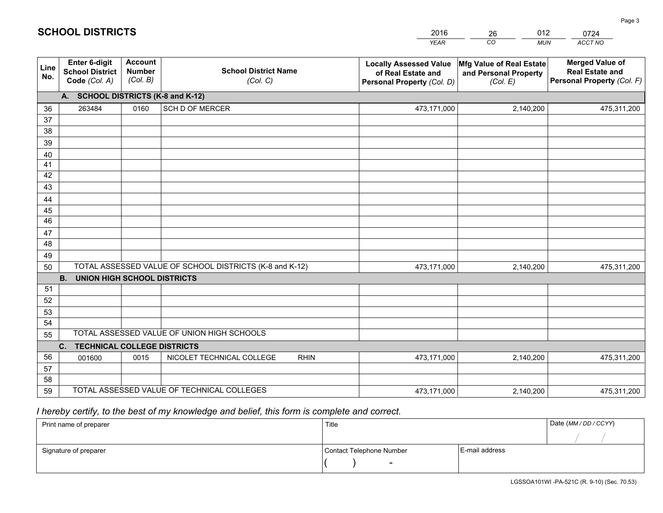|             |                                                                 |                                             |                                                         | <b>YEAR</b>                                                                       | CO<br><b>MUN</b>                                              | ACCT NO                                                                        |
|-------------|-----------------------------------------------------------------|---------------------------------------------|---------------------------------------------------------|-----------------------------------------------------------------------------------|---------------------------------------------------------------|--------------------------------------------------------------------------------|
| Line<br>No. | <b>Enter 6-digit</b><br><b>School District</b><br>Code (Col. A) | <b>Account</b><br><b>Number</b><br>(Col. B) | <b>School District Name</b><br>(Col. C)                 | <b>Locally Assessed Value</b><br>of Real Estate and<br>Personal Property (Col. D) | Mfg Value of Real Estate<br>and Personal Property<br>(Col. E) | <b>Merged Value of</b><br><b>Real Estate and</b><br>Personal Property (Col. F) |
|             | A. SCHOOL DISTRICTS (K-8 and K-12)                              |                                             |                                                         |                                                                                   |                                                               |                                                                                |
| 36          | 263484                                                          | 0160                                        | <b>SCH D OF MERCER</b>                                  | 473,171,000                                                                       | 2,140,200                                                     | 475,311,200                                                                    |
| 37          |                                                                 |                                             |                                                         |                                                                                   |                                                               |                                                                                |
| 38          |                                                                 |                                             |                                                         |                                                                                   |                                                               |                                                                                |
| 39          |                                                                 |                                             |                                                         |                                                                                   |                                                               |                                                                                |
| 40          |                                                                 |                                             |                                                         |                                                                                   |                                                               |                                                                                |
| 41<br>42    |                                                                 |                                             |                                                         |                                                                                   |                                                               |                                                                                |
| 43          |                                                                 |                                             |                                                         |                                                                                   |                                                               |                                                                                |
| 44          |                                                                 |                                             |                                                         |                                                                                   |                                                               |                                                                                |
| 45          |                                                                 |                                             |                                                         |                                                                                   |                                                               |                                                                                |
| 46          |                                                                 |                                             |                                                         |                                                                                   |                                                               |                                                                                |
| 47          |                                                                 |                                             |                                                         |                                                                                   |                                                               |                                                                                |
| 48          |                                                                 |                                             |                                                         |                                                                                   |                                                               |                                                                                |
| 49          |                                                                 |                                             |                                                         |                                                                                   |                                                               |                                                                                |
| 50          |                                                                 |                                             | TOTAL ASSESSED VALUE OF SCHOOL DISTRICTS (K-8 and K-12) | 473,171,000                                                                       | 2,140,200                                                     | 475,311,200                                                                    |
|             | <b>B.</b><br><b>UNION HIGH SCHOOL DISTRICTS</b>                 |                                             |                                                         |                                                                                   |                                                               |                                                                                |
| 51          |                                                                 |                                             |                                                         |                                                                                   |                                                               |                                                                                |
| 52          |                                                                 |                                             |                                                         |                                                                                   |                                                               |                                                                                |
| 53          |                                                                 |                                             |                                                         |                                                                                   |                                                               |                                                                                |
| 54          |                                                                 |                                             | TOTAL ASSESSED VALUE OF UNION HIGH SCHOOLS              |                                                                                   |                                                               |                                                                                |
| 55          |                                                                 |                                             |                                                         |                                                                                   |                                                               |                                                                                |
| 56          | C.<br><b>TECHNICAL COLLEGE DISTRICTS</b>                        | 0015                                        | NICOLET TECHNICAL COLLEGE<br><b>RHIN</b>                |                                                                                   |                                                               |                                                                                |
| 57          | 001600                                                          |                                             |                                                         | 473,171,000                                                                       | 2,140,200                                                     | 475,311,200                                                                    |
| 58          |                                                                 |                                             |                                                         |                                                                                   |                                                               |                                                                                |
| 59          |                                                                 |                                             | TOTAL ASSESSED VALUE OF TECHNICAL COLLEGES              | 473,171,000                                                                       | 2,140,200                                                     | 475,311,200                                                                    |

26

012

# *I hereby certify, to the best of my knowledge and belief, this form is complete and correct.*

| Print name of preparer | Title                    | Date (MM / DD / CCYY) |  |
|------------------------|--------------------------|-----------------------|--|
|                        |                          |                       |  |
| Signature of preparer  | Contact Telephone Number | E-mail address        |  |
|                        | $\overline{\phantom{0}}$ |                       |  |

Page 3

|  |  |  | <b>SCHOOL DISTRICTS</b> |
|--|--|--|-------------------------|
|  |  |  |                         |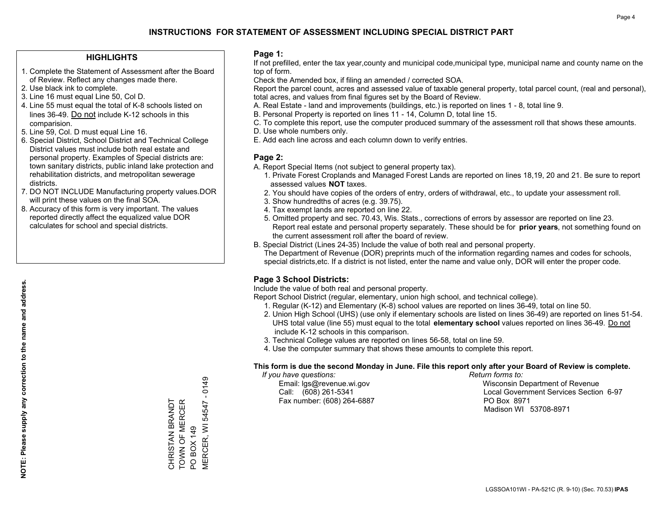#### **HIGHLIGHTS**

- 1. Complete the Statement of Assessment after the Board of Review. Reflect any changes made there.
- 2. Use black ink to complete.
- 3. Line 16 must equal Line 50, Col D.
- 4. Line 55 must equal the total of K-8 schools listed on lines 36-49. Do not include K-12 schools in this comparision.
- 5. Line 59, Col. D must equal Line 16.
- 6. Special District, School District and Technical College District values must include both real estate and personal property. Examples of Special districts are: town sanitary districts, public inland lake protection and rehabilitation districts, and metropolitan sewerage districts.
- 7. DO NOT INCLUDE Manufacturing property values.DOR will print these values on the final SOA.
- 8. Accuracy of this form is very important. The values reported directly affect the equalized value DOR calculates for school and special districts.

#### **Page 1:**

 If not prefilled, enter the tax year,county and municipal code,municipal type, municipal name and county name on the top of form.

Check the Amended box, if filing an amended / corrected SOA.

 Report the parcel count, acres and assessed value of taxable general property, total parcel count, (real and personal), total acres, and values from final figures set by the Board of Review.

- A. Real Estate land and improvements (buildings, etc.) is reported on lines 1 8, total line 9.
- B. Personal Property is reported on lines 11 14, Column D, total line 15.
- C. To complete this report, use the computer produced summary of the assessment roll that shows these amounts.
- D. Use whole numbers only.
- E. Add each line across and each column down to verify entries.

#### **Page 2:**

- A. Report Special Items (not subject to general property tax).
- 1. Private Forest Croplands and Managed Forest Lands are reported on lines 18,19, 20 and 21. Be sure to report assessed values **NOT** taxes.
- 2. You should have copies of the orders of entry, orders of withdrawal, etc., to update your assessment roll.
	- 3. Show hundredths of acres (e.g. 39.75).
- 4. Tax exempt lands are reported on line 22.
- 5. Omitted property and sec. 70.43, Wis. Stats., corrections of errors by assessor are reported on line 23. Report real estate and personal property separately. These should be for **prior years**, not something found on the current assessment roll after the board of review.
- B. Special District (Lines 24-35) Include the value of both real and personal property.
- The Department of Revenue (DOR) preprints much of the information regarding names and codes for schools, special districts,etc. If a district is not listed, enter the name and value only, DOR will enter the proper code.

### **Page 3 School Districts:**

Include the value of both real and personal property.

Report School District (regular, elementary, union high school, and technical college).

- 1. Regular (K-12) and Elementary (K-8) school values are reported on lines 36-49, total on line 50.
- 2. Union High School (UHS) (use only if elementary schools are listed on lines 36-49) are reported on lines 51-54. UHS total value (line 55) must equal to the total **elementary school** values reported on lines 36-49. Do notinclude K-12 schools in this comparison.
- 3. Technical College values are reported on lines 56-58, total on line 59.
- 4. Use the computer summary that shows these amounts to complete this report.

#### **This form is due the second Monday in June. File this report only after your Board of Review is complete.**

 *If you have questions: Return forms to:*

Fax number: (608) 264-6887 PO Box 8971

 Email: lgs@revenue.wi.gov Wisconsin Department of Revenue Call: (608) 261-5341 Local Government Services Section 6-97Madison WI 53708-8971

VIERCER, WI 54547 - 0149 MERCER, WI 54547 - 0149 CHRISTAN BRANDT<br>TOWN OF MERCER TOWN OF MERCER CHRISTAN BRANDT PO BOX 149 PO BOX 149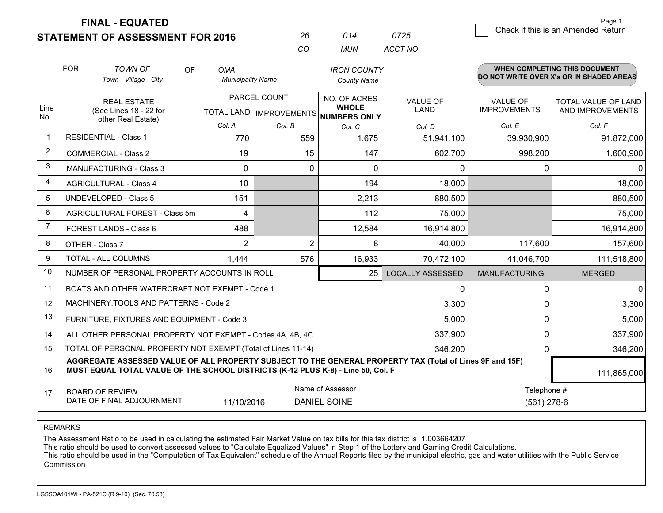**FINAL - EQUATED**

**STATEMENT OF ASSESSMENT FOR 2016** 

|                | <b>FOR</b>                                                                                                   | <b>TOWN OF</b><br><b>OF</b>                                                                                                                                                                  | <b>OMA</b>               |              | <b>IRON COUNTY</b>                                   |                                          |                      | <b>WHEN COMPLETING THIS DOCUMENT</b> |
|----------------|--------------------------------------------------------------------------------------------------------------|----------------------------------------------------------------------------------------------------------------------------------------------------------------------------------------------|--------------------------|--------------|------------------------------------------------------|------------------------------------------|----------------------|--------------------------------------|
|                |                                                                                                              | Town - Village - City                                                                                                                                                                        | <b>Municipality Name</b> |              | <b>County Name</b>                                   | DO NOT WRITE OVER X's OR IN SHADED AREAS |                      |                                      |
|                |                                                                                                              | <b>REAL ESTATE</b>                                                                                                                                                                           |                          | PARCEL COUNT | NO. OF ACRES                                         | <b>VALUE OF</b>                          | <b>VALUE OF</b>      | TOTAL VALUE OF LAND                  |
| Line<br>No.    |                                                                                                              | (See Lines 18 - 22 for<br>other Real Estate)                                                                                                                                                 |                          |              | <b>WHOLE</b><br>TOTAL LAND IMPROVEMENTS NUMBERS ONLY | <b>LAND</b>                              | <b>IMPROVEMENTS</b>  | AND IMPROVEMENTS                     |
|                |                                                                                                              |                                                                                                                                                                                              | Col. A                   | Col. B       | Col. C                                               | Col. D                                   | Col. E               | Col. F                               |
| $\mathbf 1$    |                                                                                                              | <b>RESIDENTIAL - Class 1</b>                                                                                                                                                                 | 770                      | 559          | 1,675                                                | 51,941,100                               | 39,930,900           | 91,872,000                           |
| $\overline{2}$ |                                                                                                              | <b>COMMERCIAL - Class 2</b>                                                                                                                                                                  | 19                       |              | 15<br>147                                            | 602,700                                  | 998,200              | 1,600,900                            |
| 3              |                                                                                                              | <b>MANUFACTURING - Class 3</b>                                                                                                                                                               | 0                        |              | 0<br>$\Omega$                                        | $\Omega$                                 |                      | $\Omega$<br>0                        |
| 4              |                                                                                                              | <b>AGRICULTURAL - Class 4</b>                                                                                                                                                                | 10                       |              | 194                                                  | 18,000                                   |                      | 18,000                               |
| 5              |                                                                                                              | <b>UNDEVELOPED - Class 5</b>                                                                                                                                                                 | 151                      |              | 2,213                                                | 880,500                                  |                      | 880,500                              |
| 6              |                                                                                                              | AGRICULTURAL FOREST - Class 5m                                                                                                                                                               | 4                        |              | 112                                                  | 75,000                                   |                      | 75,000                               |
| $\overline{7}$ |                                                                                                              | <b>FOREST LANDS - Class 6</b>                                                                                                                                                                | 488                      |              | 12,584                                               | 16,914,800                               |                      | 16,914,800                           |
| 8              |                                                                                                              | OTHER - Class 7                                                                                                                                                                              | $\overline{2}$           |              | 2<br>8                                               | 40,000                                   | 117,600              | 157,600                              |
| 9              |                                                                                                              | TOTAL - ALL COLUMNS                                                                                                                                                                          | 1,444                    | 576          | 16,933                                               | 70,472,100                               | 41,046,700           | 111,518,800                          |
| 10             |                                                                                                              | NUMBER OF PERSONAL PROPERTY ACCOUNTS IN ROLL                                                                                                                                                 |                          |              | 25                                                   | <b>LOCALLY ASSESSED</b>                  | <b>MANUFACTURING</b> | <b>MERGED</b>                        |
| 11             |                                                                                                              | BOATS AND OTHER WATERCRAFT NOT EXEMPT - Code 1                                                                                                                                               |                          |              |                                                      | $\mathbf{0}$                             |                      | $\Omega$<br>$\mathbf{0}$             |
| 12             |                                                                                                              | MACHINERY, TOOLS AND PATTERNS - Code 2                                                                                                                                                       |                          |              |                                                      | 3,300                                    |                      | 3,300<br>$\Omega$                    |
| 13             |                                                                                                              | FURNITURE, FIXTURES AND EQUIPMENT - Code 3                                                                                                                                                   |                          |              |                                                      | 5,000                                    |                      | 0<br>5,000                           |
| 14             |                                                                                                              | ALL OTHER PERSONAL PROPERTY NOT EXEMPT - Codes 4A, 4B, 4C                                                                                                                                    |                          |              |                                                      | 337,900                                  |                      | 0<br>337,900                         |
| 15             |                                                                                                              | TOTAL OF PERSONAL PROPERTY NOT EXEMPT (Total of Lines 11-14)                                                                                                                                 |                          |              |                                                      | 346,200                                  |                      | 346,200<br>$\Omega$                  |
| 16             |                                                                                                              | AGGREGATE ASSESSED VALUE OF ALL PROPERTY SUBJECT TO THE GENERAL PROPERTY TAX (Total of Lines 9F and 15F)<br>MUST EQUAL TOTAL VALUE OF THE SCHOOL DISTRICTS (K-12 PLUS K-8) - Line 50, Col. F |                          |              |                                                      |                                          |                      | 111,865,000                          |
| 17             | Name of Assessor<br><b>BOARD OF REVIEW</b><br>DATE OF FINAL ADJOURNMENT<br>11/10/2016<br><b>DANIEL SOINE</b> |                                                                                                                                                                                              |                          |              |                                                      |                                          |                      | Telephone #<br>$(561)$ 278-6         |

*CO*

*MUN*

*ACCT NO0725*

*<sup>26</sup> <sup>014</sup>*

REMARKS

The Assessment Ratio to be used in calculating the estimated Fair Market Value on tax bills for this tax district is 1.003664207<br>This ratio should be used to convert assessed values to "Calculate Equalized Values" in Step Commission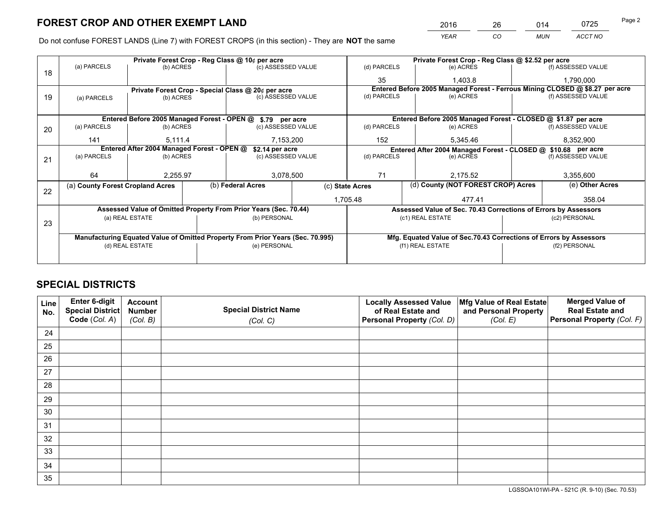*YEAR CO MUN ACCT NO* <sup>2016</sup> <sup>26</sup> <sup>014</sup> <sup>0725</sup>

Do not confuse FOREST LANDS (Line 7) with FOREST CROPS (in this section) - They are **NOT** the same

|    |                                                            |                                            |  | Private Forest Crop - Reg Class @ 10¢ per acre                                 |                    | Private Forest Crop - Reg Class @ \$2.52 per acre |                                                                              |  |                                                                              |  |
|----|------------------------------------------------------------|--------------------------------------------|--|--------------------------------------------------------------------------------|--------------------|---------------------------------------------------|------------------------------------------------------------------------------|--|------------------------------------------------------------------------------|--|
| 18 | (a) PARCELS                                                | (b) ACRES                                  |  | (c) ASSESSED VALUE                                                             |                    | (d) PARCELS                                       | (e) ACRES                                                                    |  | (f) ASSESSED VALUE                                                           |  |
|    |                                                            |                                            |  |                                                                                |                    | 35                                                | 1.403.8                                                                      |  | 1.790.000                                                                    |  |
|    |                                                            |                                            |  | Private Forest Crop - Special Class @ 20¢ per acre                             |                    |                                                   |                                                                              |  | Entered Before 2005 Managed Forest - Ferrous Mining CLOSED @ \$8.27 per acre |  |
| 19 | (a) PARCELS                                                | (b) ACRES                                  |  | (c) ASSESSED VALUE                                                             |                    | (d) PARCELS                                       | (e) ACRES                                                                    |  | (f) ASSESSED VALUE                                                           |  |
|    |                                                            |                                            |  |                                                                                |                    |                                                   |                                                                              |  |                                                                              |  |
|    | Entered Before 2005 Managed Forest - OPEN @ \$.79 per acre |                                            |  |                                                                                |                    |                                                   | Entered Before 2005 Managed Forest - CLOSED @ \$1.87 per acre                |  |                                                                              |  |
| 20 | (a) PARCELS                                                | (b) ACRES                                  |  | (c) ASSESSED VALUE                                                             |                    | (d) PARCELS                                       | (e) ACRES                                                                    |  | (f) ASSESSED VALUE                                                           |  |
|    | 141                                                        | 5,111.4                                    |  | 7,153,200                                                                      |                    | 152                                               | 5,345.46                                                                     |  | 8,352,900                                                                    |  |
|    |                                                            | Entered After 2004 Managed Forest - OPEN @ |  | \$2.14 per acre                                                                |                    |                                                   | Entered After 2004 Managed Forest - CLOSED @ \$10.68 per acre<br>(d) PARCELS |  |                                                                              |  |
| 21 | (a) PARCELS                                                | (b) ACRES                                  |  |                                                                                | (c) ASSESSED VALUE |                                                   | (e) ACRES                                                                    |  | (f) ASSESSED VALUE                                                           |  |
|    |                                                            |                                            |  |                                                                                |                    |                                                   |                                                                              |  |                                                                              |  |
|    | 64                                                         | 2,255.97                                   |  | 3,078,500                                                                      |                    | 71                                                | 2,175.52                                                                     |  | 3,355,600                                                                    |  |
| 22 | (a) County Forest Cropland Acres                           |                                            |  | (b) Federal Acres                                                              |                    | (c) State Acres                                   | (d) County (NOT FOREST CROP) Acres                                           |  | (e) Other Acres                                                              |  |
|    |                                                            |                                            |  |                                                                                |                    | 1,705.48                                          | 477.41                                                                       |  | 358.04                                                                       |  |
|    |                                                            |                                            |  | Assessed Value of Omitted Property From Prior Years (Sec. 70.44)               |                    |                                                   | Assessed Value of Sec. 70.43 Corrections of Errors by Assessors              |  |                                                                              |  |
|    |                                                            | (a) REAL ESTATE                            |  | (b) PERSONAL                                                                   |                    |                                                   | (c1) REAL ESTATE                                                             |  | (c2) PERSONAL                                                                |  |
| 23 |                                                            |                                            |  |                                                                                |                    |                                                   |                                                                              |  |                                                                              |  |
|    |                                                            |                                            |  | Manufacturing Equated Value of Omitted Property From Prior Years (Sec. 70.995) |                    |                                                   | Mfg. Equated Value of Sec.70.43 Corrections of Errors by Assessors           |  |                                                                              |  |
|    |                                                            | (d) REAL ESTATE                            |  | (e) PERSONAL                                                                   |                    |                                                   | (f1) REAL ESTATE                                                             |  | (f2) PERSONAL                                                                |  |
|    |                                                            |                                            |  |                                                                                |                    |                                                   |                                                                              |  |                                                                              |  |

# **SPECIAL DISTRICTS**

| Line<br>No. | Enter 6-digit<br><b>Special District</b> | <b>Account</b><br><b>Number</b> | <b>Special District Name</b> | <b>Locally Assessed Value</b><br>of Real Estate and | Mfg Value of Real Estate<br>and Personal Property | <b>Merged Value of</b><br><b>Real Estate and</b> |
|-------------|------------------------------------------|---------------------------------|------------------------------|-----------------------------------------------------|---------------------------------------------------|--------------------------------------------------|
|             | Code (Col. A)                            | (Col. B)                        | (Col. C)                     | Personal Property (Col. D)                          | (Col. E)                                          | Personal Property (Col. F)                       |
| 24          |                                          |                                 |                              |                                                     |                                                   |                                                  |
| 25          |                                          |                                 |                              |                                                     |                                                   |                                                  |
| 26          |                                          |                                 |                              |                                                     |                                                   |                                                  |
| 27          |                                          |                                 |                              |                                                     |                                                   |                                                  |
| 28          |                                          |                                 |                              |                                                     |                                                   |                                                  |
| 29          |                                          |                                 |                              |                                                     |                                                   |                                                  |
| 30          |                                          |                                 |                              |                                                     |                                                   |                                                  |
| 31          |                                          |                                 |                              |                                                     |                                                   |                                                  |
| 32          |                                          |                                 |                              |                                                     |                                                   |                                                  |
| 33          |                                          |                                 |                              |                                                     |                                                   |                                                  |
| 34          |                                          |                                 |                              |                                                     |                                                   |                                                  |
| 35          |                                          |                                 |                              |                                                     |                                                   |                                                  |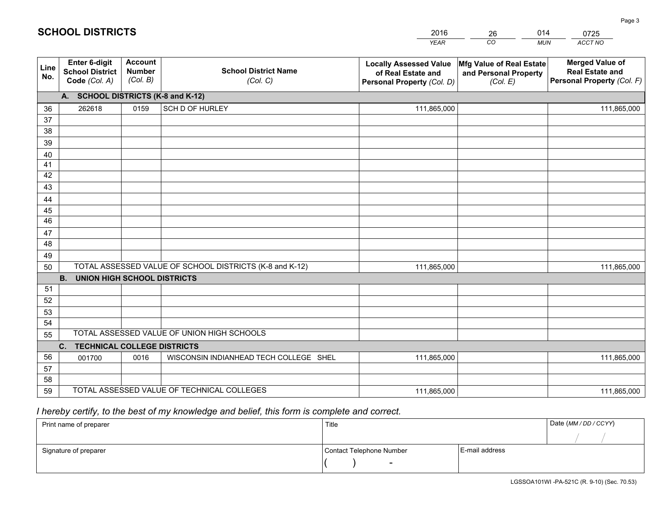|             |                                                          |                                             |                                                         | <b>YEAR</b>                                                                       | CO<br><b>MUN</b>                                              | ACCT NO                                                                        |
|-------------|----------------------------------------------------------|---------------------------------------------|---------------------------------------------------------|-----------------------------------------------------------------------------------|---------------------------------------------------------------|--------------------------------------------------------------------------------|
| Line<br>No. | Enter 6-digit<br><b>School District</b><br>Code (Col. A) | <b>Account</b><br><b>Number</b><br>(Col. B) | <b>School District Name</b><br>(Col. C)                 | <b>Locally Assessed Value</b><br>of Real Estate and<br>Personal Property (Col. D) | Mfg Value of Real Estate<br>and Personal Property<br>(Col. E) | <b>Merged Value of</b><br><b>Real Estate and</b><br>Personal Property (Col. F) |
|             | A. SCHOOL DISTRICTS (K-8 and K-12)                       |                                             |                                                         |                                                                                   |                                                               |                                                                                |
| 36          | 262618                                                   | 0159                                        | SCH D OF HURLEY                                         | 111,865,000                                                                       |                                                               | 111,865,000                                                                    |
| 37          |                                                          |                                             |                                                         |                                                                                   |                                                               |                                                                                |
| 38          |                                                          |                                             |                                                         |                                                                                   |                                                               |                                                                                |
| 39          |                                                          |                                             |                                                         |                                                                                   |                                                               |                                                                                |
| 40          |                                                          |                                             |                                                         |                                                                                   |                                                               |                                                                                |
| 41          |                                                          |                                             |                                                         |                                                                                   |                                                               |                                                                                |
| 42          |                                                          |                                             |                                                         |                                                                                   |                                                               |                                                                                |
| 43          |                                                          |                                             |                                                         |                                                                                   |                                                               |                                                                                |
| 44<br>45    |                                                          |                                             |                                                         |                                                                                   |                                                               |                                                                                |
| 46          |                                                          |                                             |                                                         |                                                                                   |                                                               |                                                                                |
| 47          |                                                          |                                             |                                                         |                                                                                   |                                                               |                                                                                |
| 48          |                                                          |                                             |                                                         |                                                                                   |                                                               |                                                                                |
| 49          |                                                          |                                             |                                                         |                                                                                   |                                                               |                                                                                |
| 50          |                                                          |                                             | TOTAL ASSESSED VALUE OF SCHOOL DISTRICTS (K-8 and K-12) | 111,865,000                                                                       |                                                               | 111,865,000                                                                    |
|             | <b>B.</b><br><b>UNION HIGH SCHOOL DISTRICTS</b>          |                                             |                                                         |                                                                                   |                                                               |                                                                                |
| 51          |                                                          |                                             |                                                         |                                                                                   |                                                               |                                                                                |
| 52          |                                                          |                                             |                                                         |                                                                                   |                                                               |                                                                                |
| 53          |                                                          |                                             |                                                         |                                                                                   |                                                               |                                                                                |
| 54          |                                                          |                                             |                                                         |                                                                                   |                                                               |                                                                                |
| 55          |                                                          |                                             | TOTAL ASSESSED VALUE OF UNION HIGH SCHOOLS              |                                                                                   |                                                               |                                                                                |
|             | C. TECHNICAL COLLEGE DISTRICTS                           |                                             |                                                         |                                                                                   |                                                               |                                                                                |
| 56          | 001700                                                   | 0016                                        | WISCONSIN INDIANHEAD TECH COLLEGE SHEL                  | 111,865,000                                                                       |                                                               | 111,865,000                                                                    |
| 57          |                                                          |                                             |                                                         |                                                                                   |                                                               |                                                                                |
| 58          |                                                          |                                             | TOTAL ASSESSED VALUE OF TECHNICAL COLLEGES              |                                                                                   |                                                               |                                                                                |
| 59          |                                                          |                                             |                                                         | 111,865,000                                                                       |                                                               | 111,865,000                                                                    |

26

014

# *I hereby certify, to the best of my knowledge and belief, this form is complete and correct.*

**SCHOOL DISTRICTS**

| Print name of preparer | Title                    |                | Date (MM / DD / CCYY) |
|------------------------|--------------------------|----------------|-----------------------|
|                        |                          |                |                       |
| Signature of preparer  | Contact Telephone Number | E-mail address |                       |
|                        | $\sim$                   |                |                       |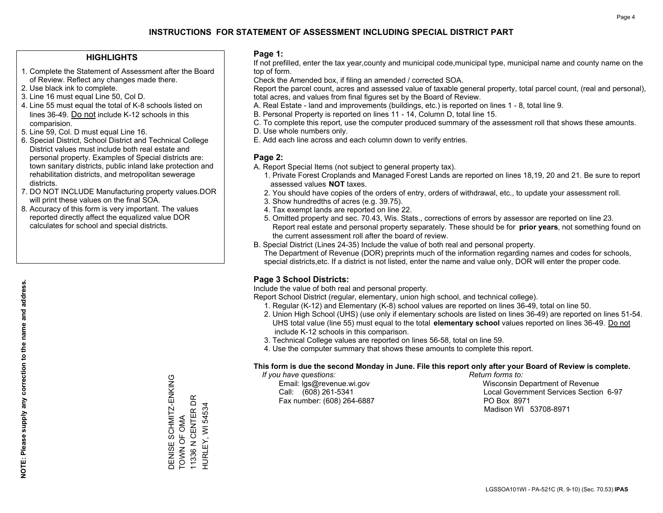#### **HIGHLIGHTS**

- 1. Complete the Statement of Assessment after the Board of Review. Reflect any changes made there.
- 2. Use black ink to complete.
- 3. Line 16 must equal Line 50, Col D.
- 4. Line 55 must equal the total of K-8 schools listed on lines 36-49. Do not include K-12 schools in this comparision.
- 5. Line 59, Col. D must equal Line 16.
- 6. Special District, School District and Technical College District values must include both real estate and personal property. Examples of Special districts are: town sanitary districts, public inland lake protection and rehabilitation districts, and metropolitan sewerage districts.
- 7. DO NOT INCLUDE Manufacturing property values.DOR will print these values on the final SOA.
- 8. Accuracy of this form is very important. The values reported directly affect the equalized value DOR calculates for school and special districts.

#### **Page 1:**

 If not prefilled, enter the tax year,county and municipal code,municipal type, municipal name and county name on the top of form.

Check the Amended box, if filing an amended / corrected SOA.

 Report the parcel count, acres and assessed value of taxable general property, total parcel count, (real and personal), total acres, and values from final figures set by the Board of Review.

- A. Real Estate land and improvements (buildings, etc.) is reported on lines 1 8, total line 9.
- B. Personal Property is reported on lines 11 14, Column D, total line 15.
- C. To complete this report, use the computer produced summary of the assessment roll that shows these amounts.
- D. Use whole numbers only.
- E. Add each line across and each column down to verify entries.

#### **Page 2:**

- A. Report Special Items (not subject to general property tax).
- 1. Private Forest Croplands and Managed Forest Lands are reported on lines 18,19, 20 and 21. Be sure to report assessed values **NOT** taxes.
- 2. You should have copies of the orders of entry, orders of withdrawal, etc., to update your assessment roll.
	- 3. Show hundredths of acres (e.g. 39.75).
- 4. Tax exempt lands are reported on line 22.
- 5. Omitted property and sec. 70.43, Wis. Stats., corrections of errors by assessor are reported on line 23. Report real estate and personal property separately. These should be for **prior years**, not something found on the current assessment roll after the board of review.
- B. Special District (Lines 24-35) Include the value of both real and personal property.
- The Department of Revenue (DOR) preprints much of the information regarding names and codes for schools, special districts,etc. If a district is not listed, enter the name and value only, DOR will enter the proper code.

### **Page 3 School Districts:**

Include the value of both real and personal property.

Report School District (regular, elementary, union high school, and technical college).

- 1. Regular (K-12) and Elementary (K-8) school values are reported on lines 36-49, total on line 50.
- 2. Union High School (UHS) (use only if elementary schools are listed on lines 36-49) are reported on lines 51-54. UHS total value (line 55) must equal to the total **elementary school** values reported on lines 36-49. Do notinclude K-12 schools in this comparison.
- 3. Technical College values are reported on lines 56-58, total on line 59.
- 4. Use the computer summary that shows these amounts to complete this report.

#### **This form is due the second Monday in June. File this report only after your Board of Review is complete.**

 *If you have questions: Return forms to:*

Fax number: (608) 264-6887 PO Box 8971

 Email: lgs@revenue.wi.gov Wisconsin Department of Revenue Call: (608) 261-5341 Local Government Services Section 6-97Madison WI 53708-8971

DENISE SCHMITZ-ENKING

DENISE SCHMITZ-ENKING<br>TOWN OF OMA

TOWN OF OMA 11336 N CENTER DR HURLEY, WI 54534

11336 N CENTER DR HURLEY, WI 54534

**NOTE: Please supply any correction to the name and address.**

NOTE: Please supply any correction to the name and address.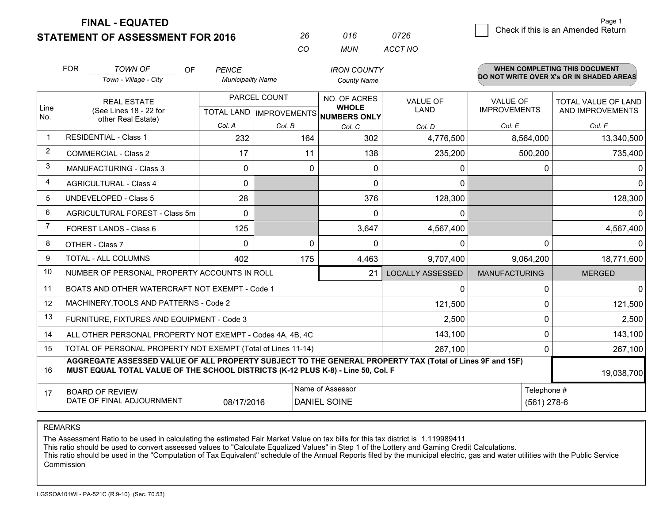**FINAL - EQUATED**

**STATEMENT OF ASSESSMENT FOR 2016** 

| 26 | 016  | 0726    |
|----|------|---------|
| cо | MUN. | ACCT NO |

|                | <b>FOR</b>                                                   | <b>TOWN OF</b><br><b>OF</b>                                                                                                                                                                  | <b>PENCE</b>             |                           | <b>IRON COUNTY</b>                  |                         |                      | <b>WHEN COMPLETING THIS DOCUMENT</b>     |
|----------------|--------------------------------------------------------------|----------------------------------------------------------------------------------------------------------------------------------------------------------------------------------------------|--------------------------|---------------------------|-------------------------------------|-------------------------|----------------------|------------------------------------------|
|                |                                                              | Town - Village - City                                                                                                                                                                        | <b>Municipality Name</b> |                           | <b>County Name</b>                  |                         |                      | DO NOT WRITE OVER X's OR IN SHADED AREAS |
|                | <b>REAL ESTATE</b>                                           |                                                                                                                                                                                              |                          | PARCEL COUNT              | NO. OF ACRES                        | <b>VALUE OF</b>         | <b>VALUE OF</b>      | TOTAL VALUE OF LAND                      |
| Line<br>No.    |                                                              | (See Lines 18 - 22 for<br>other Real Estate)                                                                                                                                                 |                          | TOTAL LAND   IMPROVEMENTS | <b>WHOLE</b><br><b>NUMBERS ONLY</b> | <b>LAND</b>             | <b>IMPROVEMENTS</b>  | AND IMPROVEMENTS                         |
|                |                                                              |                                                                                                                                                                                              | Col. A                   | Col. B                    | Col. C                              | Col. D                  | Col. E               | Col. F                                   |
| -1             |                                                              | <b>RESIDENTIAL - Class 1</b>                                                                                                                                                                 | 232                      | 164                       | 302                                 | 4,776,500               | 8,564,000            | 13,340,500                               |
| 2              |                                                              | <b>COMMERCIAL - Class 2</b>                                                                                                                                                                  | 17                       | 11                        | 138                                 | 235,200                 | 500,200              | 735,400                                  |
| 3              |                                                              | <b>MANUFACTURING - Class 3</b>                                                                                                                                                               | $\mathbf{0}$             | 0                         | 0                                   | 0                       | 0                    | $\Omega$                                 |
| 4              |                                                              | <b>AGRICULTURAL - Class 4</b>                                                                                                                                                                | $\Omega$                 |                           | $\mathbf{0}$                        | 0                       |                      | $\overline{0}$                           |
| 5              |                                                              | UNDEVELOPED - Class 5                                                                                                                                                                        | 28                       |                           | 376                                 | 128,300                 |                      | 128,300                                  |
| 6              |                                                              | AGRICULTURAL FOREST - Class 5m                                                                                                                                                               | $\Omega$                 |                           | $\Omega$                            | 0                       |                      | $\Omega$                                 |
| $\overline{7}$ |                                                              | FOREST LANDS - Class 6                                                                                                                                                                       | 125                      |                           | 3,647                               | 4,567,400               |                      | 4,567,400                                |
| 8              |                                                              | OTHER - Class 7                                                                                                                                                                              | $\Omega$                 | $\Omega$                  | $\Omega$                            | 0                       | $\Omega$             | $\Omega$                                 |
| 9              |                                                              | TOTAL - ALL COLUMNS                                                                                                                                                                          | 402                      | 175                       | 4,463                               | 9,707,400               | 9,064,200            | 18,771,600                               |
| 10             |                                                              | NUMBER OF PERSONAL PROPERTY ACCOUNTS IN ROLL                                                                                                                                                 |                          |                           | 21                                  | <b>LOCALLY ASSESSED</b> | <b>MANUFACTURING</b> | <b>MERGED</b>                            |
| 11             |                                                              | BOATS AND OTHER WATERCRAFT NOT EXEMPT - Code 1                                                                                                                                               |                          |                           |                                     | 0                       | 0                    | $\overline{0}$                           |
| 12             |                                                              | MACHINERY, TOOLS AND PATTERNS - Code 2                                                                                                                                                       |                          |                           |                                     | 121,500                 | 0                    | 121,500                                  |
| 13             |                                                              | FURNITURE, FIXTURES AND EQUIPMENT - Code 3                                                                                                                                                   |                          |                           |                                     | 2,500                   | 0                    | 2,500                                    |
| 14             |                                                              | ALL OTHER PERSONAL PROPERTY NOT EXEMPT - Codes 4A, 4B, 4C                                                                                                                                    |                          | 143,100                   | 0                                   | 143,100                 |                      |                                          |
| 15             | TOTAL OF PERSONAL PROPERTY NOT EXEMPT (Total of Lines 11-14) |                                                                                                                                                                                              |                          |                           |                                     | 267,100                 | 0                    | 267,100                                  |
| 16             |                                                              | AGGREGATE ASSESSED VALUE OF ALL PROPERTY SUBJECT TO THE GENERAL PROPERTY TAX (Total of Lines 9F and 15F)<br>MUST EQUAL TOTAL VALUE OF THE SCHOOL DISTRICTS (K-12 PLUS K-8) - Line 50, Col. F |                          |                           |                                     |                         |                      | 19,038,700                               |
| 17             |                                                              | <b>BOARD OF REVIEW</b>                                                                                                                                                                       |                          |                           | Name of Assessor                    |                         | Telephone #          |                                          |
|                |                                                              | DATE OF FINAL ADJOURNMENT                                                                                                                                                                    | 08/17/2016               |                           | <b>DANIEL SOINE</b>                 |                         | $(561)$ 278-6        |                                          |

REMARKS

The Assessment Ratio to be used in calculating the estimated Fair Market Value on tax bills for this tax district is 1.119989411

This ratio should be used to convert assessed values to "Calculate Equalized Values" in Step 1 of the Lottery and Gaming Credit Calculations.<br>This ratio should be used in the "Computation of Tax Equivalent" schedule of the Commission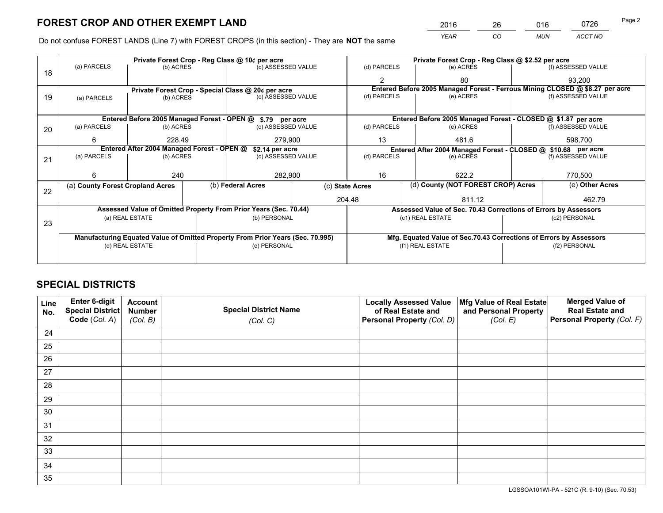*YEAR CO MUN ACCT NO* <sup>2016</sup> <sup>26</sup> <sup>016</sup> <sup>0726</sup>

Do not confuse FOREST LANDS (Line 7) with FOREST CROPS (in this section) - They are **NOT** the same

|    |                                                                                |                                            |  | Private Forest Crop - Reg Class @ 10¢ per acre                   |                                                               | Private Forest Crop - Reg Class @ \$2.52 per acre     |                                                                              |                                                                 |                 |                    |
|----|--------------------------------------------------------------------------------|--------------------------------------------|--|------------------------------------------------------------------|---------------------------------------------------------------|-------------------------------------------------------|------------------------------------------------------------------------------|-----------------------------------------------------------------|-----------------|--------------------|
| 18 | (a) PARCELS                                                                    | (b) ACRES                                  |  | (c) ASSESSED VALUE                                               |                                                               | (d) PARCELS                                           |                                                                              | (e) ACRES                                                       |                 | (f) ASSESSED VALUE |
|    |                                                                                |                                            |  |                                                                  |                                                               | $\mathfrak{p}$                                        |                                                                              | 80                                                              |                 | 93,200             |
|    |                                                                                |                                            |  | Private Forest Crop - Special Class @ 20¢ per acre               |                                                               |                                                       | Entered Before 2005 Managed Forest - Ferrous Mining CLOSED @ \$8.27 per acre |                                                                 |                 |                    |
| 19 | (a) PARCELS                                                                    | (b) ACRES                                  |  | (c) ASSESSED VALUE                                               |                                                               | (d) PARCELS                                           |                                                                              | (e) ACRES                                                       |                 | (f) ASSESSED VALUE |
|    |                                                                                |                                            |  |                                                                  |                                                               |                                                       |                                                                              |                                                                 |                 |                    |
|    | Entered Before 2005 Managed Forest - OPEN @ \$.79 per acre                     |                                            |  |                                                                  |                                                               |                                                       |                                                                              | Entered Before 2005 Managed Forest - CLOSED @ \$1.87 per acre   |                 |                    |
| 20 | (a) PARCELS                                                                    | (b) ACRES                                  |  | (c) ASSESSED VALUE                                               |                                                               | (d) PARCELS                                           |                                                                              | (e) ACRES                                                       |                 | (f) ASSESSED VALUE |
|    | 6                                                                              | 228.49                                     |  | 279.900                                                          |                                                               | 13<br>481.6                                           |                                                                              |                                                                 |                 | 598,700            |
|    |                                                                                | Entered After 2004 Managed Forest - OPEN @ |  | \$2.14 per acre                                                  | Entered After 2004 Managed Forest - CLOSED @ \$10.68 per acre |                                                       |                                                                              |                                                                 |                 |                    |
| 21 | (a) PARCELS                                                                    | (b) ACRES                                  |  | (c) ASSESSED VALUE                                               |                                                               | (d) PARCELS<br>(e) ACRES                              |                                                                              | (f) ASSESSED VALUE                                              |                 |                    |
|    |                                                                                |                                            |  |                                                                  |                                                               |                                                       |                                                                              |                                                                 |                 |                    |
|    | 6                                                                              | 240                                        |  | 282,900                                                          |                                                               | 16                                                    |                                                                              | 622.2                                                           |                 | 770,500            |
| 22 | (a) County Forest Cropland Acres                                               |                                            |  | (b) Federal Acres                                                |                                                               | (d) County (NOT FOREST CROP) Acres<br>(c) State Acres |                                                                              |                                                                 | (e) Other Acres |                    |
|    |                                                                                |                                            |  |                                                                  |                                                               | 204.48                                                |                                                                              | 811.12                                                          |                 | 462.79             |
|    |                                                                                |                                            |  | Assessed Value of Omitted Property From Prior Years (Sec. 70.44) |                                                               |                                                       |                                                                              | Assessed Value of Sec. 70.43 Corrections of Errors by Assessors |                 |                    |
|    |                                                                                | (a) REAL ESTATE                            |  | (b) PERSONAL                                                     |                                                               |                                                       |                                                                              | (c1) REAL ESTATE                                                |                 | (c2) PERSONAL      |
| 23 |                                                                                |                                            |  |                                                                  |                                                               |                                                       |                                                                              |                                                                 |                 |                    |
|    | Manufacturing Equated Value of Omitted Property From Prior Years (Sec. 70.995) |                                            |  |                                                                  |                                                               |                                                       | Mfg. Equated Value of Sec.70.43 Corrections of Errors by Assessors           |                                                                 |                 |                    |
|    |                                                                                | (d) REAL ESTATE                            |  | (e) PERSONAL                                                     |                                                               |                                                       |                                                                              | (f1) REAL ESTATE                                                |                 | (f2) PERSONAL      |
|    |                                                                                |                                            |  |                                                                  |                                                               |                                                       |                                                                              |                                                                 |                 |                    |

# **SPECIAL DISTRICTS**

| Line<br>No. | Enter 6-digit<br><b>Special District</b> | <b>Account</b><br><b>Number</b> | <b>Special District Name</b> | <b>Locally Assessed Value</b><br>of Real Estate and | Mfg Value of Real Estate<br>and Personal Property | <b>Merged Value of</b><br><b>Real Estate and</b> |
|-------------|------------------------------------------|---------------------------------|------------------------------|-----------------------------------------------------|---------------------------------------------------|--------------------------------------------------|
|             | Code (Col. A)                            | (Col. B)                        | (Col. C)                     | Personal Property (Col. D)                          | (Col. E)                                          | Personal Property (Col. F)                       |
| 24          |                                          |                                 |                              |                                                     |                                                   |                                                  |
| 25          |                                          |                                 |                              |                                                     |                                                   |                                                  |
| 26          |                                          |                                 |                              |                                                     |                                                   |                                                  |
| 27          |                                          |                                 |                              |                                                     |                                                   |                                                  |
| 28          |                                          |                                 |                              |                                                     |                                                   |                                                  |
| 29          |                                          |                                 |                              |                                                     |                                                   |                                                  |
| 30          |                                          |                                 |                              |                                                     |                                                   |                                                  |
| 31          |                                          |                                 |                              |                                                     |                                                   |                                                  |
| 32          |                                          |                                 |                              |                                                     |                                                   |                                                  |
| 33          |                                          |                                 |                              |                                                     |                                                   |                                                  |
| 34          |                                          |                                 |                              |                                                     |                                                   |                                                  |
| 35          |                                          |                                 |                              |                                                     |                                                   |                                                  |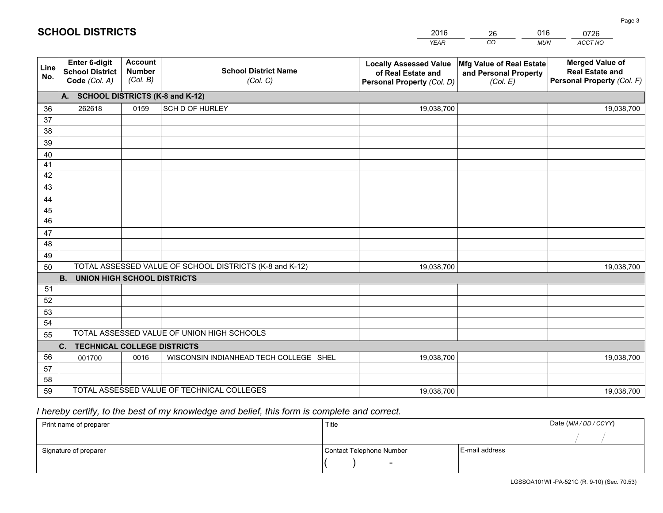| <b>Account</b><br>Enter 6-digit<br><b>Merged Value of</b><br>Mfg Value of Real Estate<br><b>Locally Assessed Value</b><br>Line<br><b>School District Name</b><br><b>Number</b><br><b>School District</b><br><b>Real Estate and</b><br>of Real Estate and<br>and Personal Property<br>No.<br>(Col. B)<br>Personal Property (Col. F)<br>Code (Col. A)<br>(Col. C)<br>Personal Property (Col. D)<br>(Col. E)<br>A. SCHOOL DISTRICTS (K-8 and K-12)<br>SCH D OF HURLEY<br>262618<br>0159<br>36<br>19,038,700<br>19,038,700<br>37<br>38 |  |
|------------------------------------------------------------------------------------------------------------------------------------------------------------------------------------------------------------------------------------------------------------------------------------------------------------------------------------------------------------------------------------------------------------------------------------------------------------------------------------------------------------------------------------|--|
|                                                                                                                                                                                                                                                                                                                                                                                                                                                                                                                                    |  |
|                                                                                                                                                                                                                                                                                                                                                                                                                                                                                                                                    |  |
|                                                                                                                                                                                                                                                                                                                                                                                                                                                                                                                                    |  |
|                                                                                                                                                                                                                                                                                                                                                                                                                                                                                                                                    |  |
|                                                                                                                                                                                                                                                                                                                                                                                                                                                                                                                                    |  |
| 39                                                                                                                                                                                                                                                                                                                                                                                                                                                                                                                                 |  |
| 40                                                                                                                                                                                                                                                                                                                                                                                                                                                                                                                                 |  |
| 41<br>42                                                                                                                                                                                                                                                                                                                                                                                                                                                                                                                           |  |
| 43                                                                                                                                                                                                                                                                                                                                                                                                                                                                                                                                 |  |
| 44                                                                                                                                                                                                                                                                                                                                                                                                                                                                                                                                 |  |
| 45                                                                                                                                                                                                                                                                                                                                                                                                                                                                                                                                 |  |
| 46                                                                                                                                                                                                                                                                                                                                                                                                                                                                                                                                 |  |
| 47                                                                                                                                                                                                                                                                                                                                                                                                                                                                                                                                 |  |
| 48                                                                                                                                                                                                                                                                                                                                                                                                                                                                                                                                 |  |
| 49                                                                                                                                                                                                                                                                                                                                                                                                                                                                                                                                 |  |
| TOTAL ASSESSED VALUE OF SCHOOL DISTRICTS (K-8 and K-12)<br>19,038,700<br>19,038,700<br>50                                                                                                                                                                                                                                                                                                                                                                                                                                          |  |
| <b>B.</b><br><b>UNION HIGH SCHOOL DISTRICTS</b>                                                                                                                                                                                                                                                                                                                                                                                                                                                                                    |  |
| 51                                                                                                                                                                                                                                                                                                                                                                                                                                                                                                                                 |  |
| 52                                                                                                                                                                                                                                                                                                                                                                                                                                                                                                                                 |  |
| 53                                                                                                                                                                                                                                                                                                                                                                                                                                                                                                                                 |  |
| 54<br>TOTAL ASSESSED VALUE OF UNION HIGH SCHOOLS                                                                                                                                                                                                                                                                                                                                                                                                                                                                                   |  |
| 55                                                                                                                                                                                                                                                                                                                                                                                                                                                                                                                                 |  |
| C. TECHNICAL COLLEGE DISTRICTS                                                                                                                                                                                                                                                                                                                                                                                                                                                                                                     |  |
| 56<br>001700<br>0016<br>WISCONSIN INDIANHEAD TECH COLLEGE SHEL<br>19,038,700<br>19,038,700<br>57                                                                                                                                                                                                                                                                                                                                                                                                                                   |  |
| 58                                                                                                                                                                                                                                                                                                                                                                                                                                                                                                                                 |  |
| TOTAL ASSESSED VALUE OF TECHNICAL COLLEGES<br>59<br>19,038,700<br>19,038,700                                                                                                                                                                                                                                                                                                                                                                                                                                                       |  |

# *I hereby certify, to the best of my knowledge and belief, this form is complete and correct.*

| Print name of preparer | Title                    |                | Date (MM / DD / CCYY) |
|------------------------|--------------------------|----------------|-----------------------|
|                        |                          |                |                       |
| Signature of preparer  | Contact Telephone Number | E-mail address |                       |
|                        | $\overline{\phantom{0}}$ |                |                       |

LGSSOA101WI -PA-521C (R. 9-10) (Sec. 70.53)

Page 3

| <b>SCHOOL DISTRICTS</b> |  |  |  |  |  |  |  |  |
|-------------------------|--|--|--|--|--|--|--|--|
|-------------------------|--|--|--|--|--|--|--|--|

201626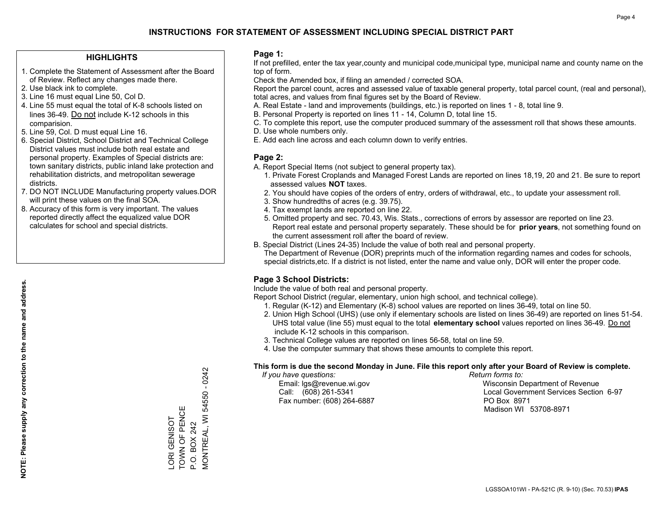#### **HIGHLIGHTS**

- 1. Complete the Statement of Assessment after the Board of Review. Reflect any changes made there.
- 2. Use black ink to complete.
- 3. Line 16 must equal Line 50, Col D.
- 4. Line 55 must equal the total of K-8 schools listed on lines 36-49. Do not include K-12 schools in this comparision.
- 5. Line 59, Col. D must equal Line 16.
- 6. Special District, School District and Technical College District values must include both real estate and personal property. Examples of Special districts are: town sanitary districts, public inland lake protection and rehabilitation districts, and metropolitan sewerage districts.
- 7. DO NOT INCLUDE Manufacturing property values.DOR will print these values on the final SOA.

LORI GENISOT TOWN OF PENCE P.O. BOX 242

LORI GENISOT<br>TOWN OF PENCE

MONTREAL, WI 54550 - 0242

**MONTREAL, WI 54550** 

P.O. BOX 242

 $-0242$ 

 8. Accuracy of this form is very important. The values reported directly affect the equalized value DOR calculates for school and special districts.

#### **Page 1:**

 If not prefilled, enter the tax year,county and municipal code,municipal type, municipal name and county name on the top of form.

Check the Amended box, if filing an amended / corrected SOA.

 Report the parcel count, acres and assessed value of taxable general property, total parcel count, (real and personal), total acres, and values from final figures set by the Board of Review.

- A. Real Estate land and improvements (buildings, etc.) is reported on lines 1 8, total line 9.
- B. Personal Property is reported on lines 11 14, Column D, total line 15.
- C. To complete this report, use the computer produced summary of the assessment roll that shows these amounts.
- D. Use whole numbers only.
- E. Add each line across and each column down to verify entries.

#### **Page 2:**

- A. Report Special Items (not subject to general property tax).
- 1. Private Forest Croplands and Managed Forest Lands are reported on lines 18,19, 20 and 21. Be sure to report assessed values **NOT** taxes.
- 2. You should have copies of the orders of entry, orders of withdrawal, etc., to update your assessment roll.
	- 3. Show hundredths of acres (e.g. 39.75).
- 4. Tax exempt lands are reported on line 22.
- 5. Omitted property and sec. 70.43, Wis. Stats., corrections of errors by assessor are reported on line 23. Report real estate and personal property separately. These should be for **prior years**, not something found on the current assessment roll after the board of review.
- B. Special District (Lines 24-35) Include the value of both real and personal property.
- The Department of Revenue (DOR) preprints much of the information regarding names and codes for schools, special districts,etc. If a district is not listed, enter the name and value only, DOR will enter the proper code.

### **Page 3 School Districts:**

Include the value of both real and personal property.

Report School District (regular, elementary, union high school, and technical college).

- 1. Regular (K-12) and Elementary (K-8) school values are reported on lines 36-49, total on line 50.
- 2. Union High School (UHS) (use only if elementary schools are listed on lines 36-49) are reported on lines 51-54. UHS total value (line 55) must equal to the total **elementary school** values reported on lines 36-49. Do notinclude K-12 schools in this comparison.
- 3. Technical College values are reported on lines 56-58, total on line 59.
- 4. Use the computer summary that shows these amounts to complete this report.

#### **This form is due the second Monday in June. File this report only after your Board of Review is complete.**

 *If you have questions: Return forms to:*

Fax number: (608) 264-6887 PO Box 8971

 Email: lgs@revenue.wi.gov Wisconsin Department of Revenue Call: (608) 261-5341 Local Government Services Section 6-97Madison WI 53708-8971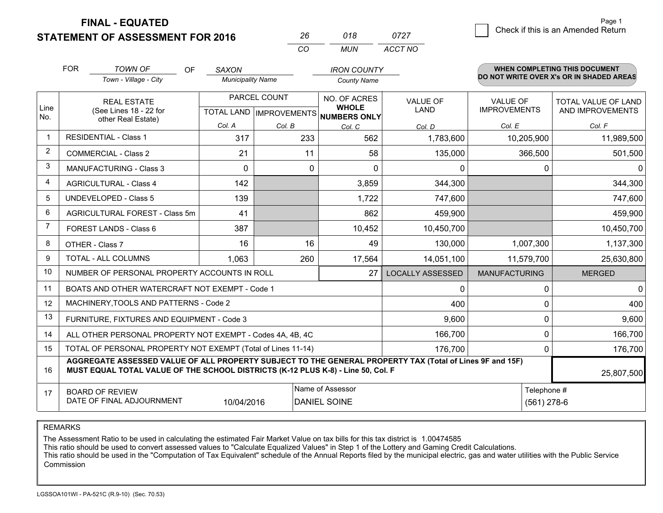**FINAL - EQUATED**

**STATEMENT OF ASSESSMENT FOR 2016** 

| 2h       | 018 | 0727    |
|----------|-----|---------|
| $\cdots$ | MUN | ACCT NO |

|                | <b>FOR</b>                                                                                                                                   | <b>TOWN OF</b><br>OF                                                                                                                                                                         | <b>SAXON</b>             |                                           | <b>IRON COUNTY</b>                                  |                                |                                        | <b>WHEN COMPLETING THIS DOCUMENT</b>     |
|----------------|----------------------------------------------------------------------------------------------------------------------------------------------|----------------------------------------------------------------------------------------------------------------------------------------------------------------------------------------------|--------------------------|-------------------------------------------|-----------------------------------------------------|--------------------------------|----------------------------------------|------------------------------------------|
|                |                                                                                                                                              | Town - Village - City                                                                                                                                                                        | <b>Municipality Name</b> |                                           | <b>County Name</b>                                  |                                |                                        | DO NOT WRITE OVER X's OR IN SHADED AREAS |
| Line<br>No.    |                                                                                                                                              | <b>REAL ESTATE</b><br>(See Lines 18 - 22 for                                                                                                                                                 |                          | PARCEL COUNT<br>TOTAL LAND   IMPROVEMENTS | NO. OF ACRES<br><b>WHOLE</b><br><b>NUMBERS ONLY</b> | <b>VALUE OF</b><br><b>LAND</b> | <b>VALUE OF</b><br><b>IMPROVEMENTS</b> | TOTAL VALUE OF LAND<br>AND IMPROVEMENTS  |
|                | other Real Estate)                                                                                                                           | Col. A                                                                                                                                                                                       | Col. B                   | Col. C                                    | Col. D                                              | Col. E                         | Col. F                                 |                                          |
| $\mathbf 1$    |                                                                                                                                              | <b>RESIDENTIAL - Class 1</b>                                                                                                                                                                 | 317                      | 233                                       | 562                                                 | 1,783,600                      | 10,205,900                             | 11,989,500                               |
| 2              |                                                                                                                                              | <b>COMMERCIAL - Class 2</b>                                                                                                                                                                  | 21                       | 11                                        | 58                                                  | 135,000                        | 366,500                                | 501,500                                  |
| 3              |                                                                                                                                              | <b>MANUFACTURING - Class 3</b>                                                                                                                                                               | $\Omega$                 | $\Omega$                                  | $\Omega$                                            | 0                              | 0                                      |                                          |
| 4              |                                                                                                                                              | <b>AGRICULTURAL - Class 4</b>                                                                                                                                                                | 142                      |                                           | 3,859                                               | 344,300                        |                                        | 344,300                                  |
| 5              |                                                                                                                                              | <b>UNDEVELOPED - Class 5</b>                                                                                                                                                                 | 139                      |                                           | 1,722                                               | 747,600                        |                                        | 747,600                                  |
| 6              |                                                                                                                                              | AGRICULTURAL FOREST - Class 5m                                                                                                                                                               | 41                       |                                           | 862                                                 | 459,900                        |                                        | 459,900                                  |
| $\overline{7}$ |                                                                                                                                              | FOREST LANDS - Class 6                                                                                                                                                                       | 387                      |                                           | 10,452                                              | 10,450,700                     |                                        | 10,450,700                               |
| 8              |                                                                                                                                              | OTHER - Class 7                                                                                                                                                                              | 16                       | 16                                        | 49                                                  | 130,000                        | 1,007,300                              | 1,137,300                                |
| 9              |                                                                                                                                              | TOTAL - ALL COLUMNS                                                                                                                                                                          | 1,063                    | 260                                       | 17,564                                              | 14,051,100                     | 11,579,700                             | 25,630,800                               |
| 10             |                                                                                                                                              | NUMBER OF PERSONAL PROPERTY ACCOUNTS IN ROLL                                                                                                                                                 |                          |                                           | 27                                                  | <b>LOCALLY ASSESSED</b>        | <b>MANUFACTURING</b>                   | <b>MERGED</b>                            |
| 11             |                                                                                                                                              | BOATS AND OTHER WATERCRAFT NOT EXEMPT - Code 1                                                                                                                                               |                          |                                           |                                                     | 0                              | 0                                      | 0                                        |
| 12             |                                                                                                                                              | MACHINERY, TOOLS AND PATTERNS - Code 2                                                                                                                                                       |                          |                                           |                                                     | 400                            | 0                                      | 400                                      |
| 13             |                                                                                                                                              | FURNITURE, FIXTURES AND EQUIPMENT - Code 3                                                                                                                                                   |                          |                                           |                                                     | 9,600                          | 0                                      | 9,600                                    |
| 14             |                                                                                                                                              | ALL OTHER PERSONAL PROPERTY NOT EXEMPT - Codes 4A, 4B, 4C                                                                                                                                    |                          |                                           |                                                     | 166,700                        | 0                                      | 166,700                                  |
| 15             |                                                                                                                                              | TOTAL OF PERSONAL PROPERTY NOT EXEMPT (Total of Lines 11-14)                                                                                                                                 |                          |                                           | 176,700                                             | $\mathbf{0}$                   | 176,700                                |                                          |
| 16             |                                                                                                                                              | AGGREGATE ASSESSED VALUE OF ALL PROPERTY SUBJECT TO THE GENERAL PROPERTY TAX (Total of Lines 9F and 15F)<br>MUST EQUAL TOTAL VALUE OF THE SCHOOL DISTRICTS (K-12 PLUS K-8) - Line 50, Col. F |                          |                                           |                                                     |                                |                                        | 25,807,500                               |
| 17             | Name of Assessor<br>Telephone #<br><b>BOARD OF REVIEW</b><br>DATE OF FINAL ADJOURNMENT<br>$(561)$ 278-6<br>10/04/2016<br><b>DANIEL SOINE</b> |                                                                                                                                                                                              |                          |                                           |                                                     |                                |                                        |                                          |

REMARKS

The Assessment Ratio to be used in calculating the estimated Fair Market Value on tax bills for this tax district is 1.00474585<br>This ratio should be used to convert assessed values to "Calculate Equalized Values" in Step 1 Commission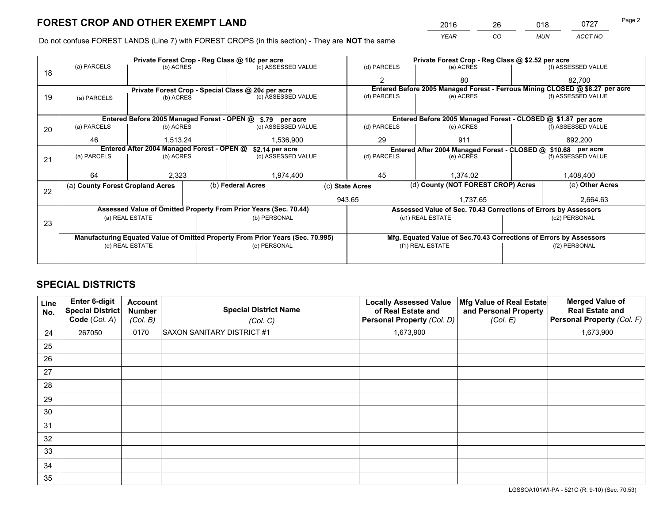*YEAR CO MUN ACCT NO* <sup>2016</sup> <sup>26</sup> <sup>018</sup> <sup>0727</sup>

Do not confuse FOREST LANDS (Line 7) with FOREST CROPS (in this section) - They are **NOT** the same

|    |                                                                                |                 |  | Private Forest Crop - Reg Class @ 10¢ per acre                   |  | Private Forest Crop - Reg Class @ \$2.52 per acre             |                                                                              |         |                    |
|----|--------------------------------------------------------------------------------|-----------------|--|------------------------------------------------------------------|--|---------------------------------------------------------------|------------------------------------------------------------------------------|---------|--------------------|
| 18 | (a) PARCELS                                                                    | (b) ACRES       |  | (c) ASSESSED VALUE                                               |  | (d) PARCELS                                                   | (e) ACRES                                                                    |         | (f) ASSESSED VALUE |
|    |                                                                                |                 |  |                                                                  |  | $\overline{2}$                                                | 80                                                                           |         | 82.700             |
|    |                                                                                |                 |  | Private Forest Crop - Special Class @ 20¢ per acre               |  |                                                               | Entered Before 2005 Managed Forest - Ferrous Mining CLOSED @ \$8.27 per acre |         |                    |
| 19 | (a) PARCELS                                                                    | (b) ACRES       |  | (c) ASSESSED VALUE                                               |  | (d) PARCELS                                                   | (e) ACRES                                                                    |         | (f) ASSESSED VALUE |
|    |                                                                                |                 |  |                                                                  |  |                                                               |                                                                              |         |                    |
|    | Entered Before 2005 Managed Forest - OPEN @<br>\$.79 per acre                  |                 |  |                                                                  |  |                                                               | Entered Before 2005 Managed Forest - CLOSED @ \$1.87 per acre                |         |                    |
| 20 | (a) PARCELS                                                                    | (b) ACRES       |  | (c) ASSESSED VALUE                                               |  | (d) PARCELS                                                   | (e) ACRES                                                                    |         | (f) ASSESSED VALUE |
|    | 46                                                                             | 1.513.24        |  | 1,536,900                                                        |  | 29                                                            | 911                                                                          | 892,200 |                    |
|    | Entered After 2004 Managed Forest - OPEN @<br>\$2.14 per acre                  |                 |  |                                                                  |  | Entered After 2004 Managed Forest - CLOSED @ \$10.68 per acre |                                                                              |         |                    |
| 21 | (a) PARCELS                                                                    | (b) ACRES       |  | (c) ASSESSED VALUE                                               |  | (d) PARCELS                                                   | (e) ACRES                                                                    |         | (f) ASSESSED VALUE |
|    |                                                                                |                 |  |                                                                  |  |                                                               |                                                                              |         |                    |
|    | 64                                                                             | 2,323           |  | 1,974,400                                                        |  | 45                                                            | 1,374.02                                                                     |         | 1,408,400          |
| 22 | (a) County Forest Cropland Acres                                               |                 |  | (b) Federal Acres                                                |  | (c) State Acres                                               | (d) County (NOT FOREST CROP) Acres                                           |         | (e) Other Acres    |
|    |                                                                                |                 |  |                                                                  |  | 943.65                                                        | 1,737.65                                                                     |         | 2,664.63           |
|    |                                                                                |                 |  | Assessed Value of Omitted Property From Prior Years (Sec. 70.44) |  |                                                               | Assessed Value of Sec. 70.43 Corrections of Errors by Assessors              |         |                    |
|    |                                                                                | (a) REAL ESTATE |  | (b) PERSONAL                                                     |  |                                                               | (c1) REAL ESTATE                                                             |         | (c2) PERSONAL      |
| 23 |                                                                                |                 |  |                                                                  |  |                                                               |                                                                              |         |                    |
|    | Manufacturing Equated Value of Omitted Property From Prior Years (Sec. 70.995) |                 |  |                                                                  |  |                                                               | Mfg. Equated Value of Sec.70.43 Corrections of Errors by Assessors           |         |                    |
|    |                                                                                | (d) REAL ESTATE |  | (e) PERSONAL                                                     |  |                                                               | (f1) REAL ESTATE                                                             |         | (f2) PERSONAL      |
|    |                                                                                |                 |  |                                                                  |  |                                                               |                                                                              |         |                    |

# **SPECIAL DISTRICTS**

| Line<br>No. | Enter 6-digit<br>Special District<br>Code (Col. A) | <b>Account</b><br><b>Number</b><br>(Col. B) | <b>Special District Name</b><br>(Col. C) | <b>Locally Assessed Value</b><br>of Real Estate and<br>Personal Property (Col. D) | Mfg Value of Real Estate<br>and Personal Property<br>(Col. E) | <b>Merged Value of</b><br><b>Real Estate and</b><br>Personal Property (Col. F) |
|-------------|----------------------------------------------------|---------------------------------------------|------------------------------------------|-----------------------------------------------------------------------------------|---------------------------------------------------------------|--------------------------------------------------------------------------------|
| 24          | 267050                                             | 0170                                        | <b>SAXON SANITARY DISTRICT #1</b>        | 1,673,900                                                                         |                                                               | 1,673,900                                                                      |
| 25          |                                                    |                                             |                                          |                                                                                   |                                                               |                                                                                |
| 26          |                                                    |                                             |                                          |                                                                                   |                                                               |                                                                                |
| 27          |                                                    |                                             |                                          |                                                                                   |                                                               |                                                                                |
| 28          |                                                    |                                             |                                          |                                                                                   |                                                               |                                                                                |
| 29          |                                                    |                                             |                                          |                                                                                   |                                                               |                                                                                |
| 30          |                                                    |                                             |                                          |                                                                                   |                                                               |                                                                                |
| 31          |                                                    |                                             |                                          |                                                                                   |                                                               |                                                                                |
| 32          |                                                    |                                             |                                          |                                                                                   |                                                               |                                                                                |
| 33          |                                                    |                                             |                                          |                                                                                   |                                                               |                                                                                |
| 34          |                                                    |                                             |                                          |                                                                                   |                                                               |                                                                                |
| 35          |                                                    |                                             |                                          |                                                                                   |                                                               |                                                                                |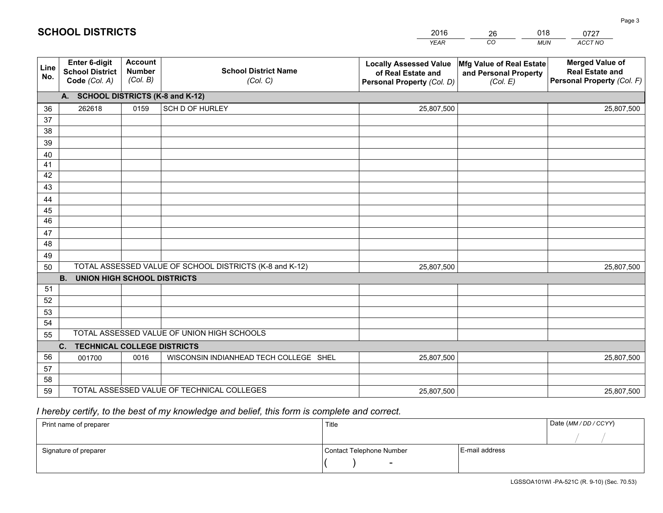|             |                                                                                    |                                             |                                                         | <b>YEAR</b>                                                                       | CO<br><b>MUN</b>                                              | ACCT NO                                                                        |  |
|-------------|------------------------------------------------------------------------------------|---------------------------------------------|---------------------------------------------------------|-----------------------------------------------------------------------------------|---------------------------------------------------------------|--------------------------------------------------------------------------------|--|
| Line<br>No. | Enter 6-digit<br><b>School District</b><br>Code (Col. A)                           | <b>Account</b><br><b>Number</b><br>(Col. B) | <b>School District Name</b><br>(Col. C)                 | <b>Locally Assessed Value</b><br>of Real Estate and<br>Personal Property (Col. D) | Mfg Value of Real Estate<br>and Personal Property<br>(Col. E) | <b>Merged Value of</b><br><b>Real Estate and</b><br>Personal Property (Col. F) |  |
|             | A. SCHOOL DISTRICTS (K-8 and K-12)                                                 |                                             |                                                         |                                                                                   |                                                               |                                                                                |  |
| 36          | 262618                                                                             | 0159                                        | SCH D OF HURLEY                                         | 25,807,500                                                                        |                                                               | 25,807,500                                                                     |  |
| 37          |                                                                                    |                                             |                                                         |                                                                                   |                                                               |                                                                                |  |
| 38          |                                                                                    |                                             |                                                         |                                                                                   |                                                               |                                                                                |  |
| 39          |                                                                                    |                                             |                                                         |                                                                                   |                                                               |                                                                                |  |
| 40          |                                                                                    |                                             |                                                         |                                                                                   |                                                               |                                                                                |  |
| 41<br>42    |                                                                                    |                                             |                                                         |                                                                                   |                                                               |                                                                                |  |
| 43          |                                                                                    |                                             |                                                         |                                                                                   |                                                               |                                                                                |  |
| 44          |                                                                                    |                                             |                                                         |                                                                                   |                                                               |                                                                                |  |
| 45          |                                                                                    |                                             |                                                         |                                                                                   |                                                               |                                                                                |  |
| 46          |                                                                                    |                                             |                                                         |                                                                                   |                                                               |                                                                                |  |
| 47          |                                                                                    |                                             |                                                         |                                                                                   |                                                               |                                                                                |  |
| 48          |                                                                                    |                                             |                                                         |                                                                                   |                                                               |                                                                                |  |
| 49          |                                                                                    |                                             |                                                         |                                                                                   |                                                               |                                                                                |  |
| 50          |                                                                                    |                                             | TOTAL ASSESSED VALUE OF SCHOOL DISTRICTS (K-8 and K-12) | 25,807,500                                                                        |                                                               | 25,807,500                                                                     |  |
|             | <b>B.</b><br><b>UNION HIGH SCHOOL DISTRICTS</b>                                    |                                             |                                                         |                                                                                   |                                                               |                                                                                |  |
| 51          |                                                                                    |                                             |                                                         |                                                                                   |                                                               |                                                                                |  |
| 52          |                                                                                    |                                             |                                                         |                                                                                   |                                                               |                                                                                |  |
| 53          |                                                                                    |                                             |                                                         |                                                                                   |                                                               |                                                                                |  |
| 54          |                                                                                    |                                             |                                                         |                                                                                   |                                                               |                                                                                |  |
|             | TOTAL ASSESSED VALUE OF UNION HIGH SCHOOLS<br>55<br>C. TECHNICAL COLLEGE DISTRICTS |                                             |                                                         |                                                                                   |                                                               |                                                                                |  |
| 56          | 001700                                                                             | 0016                                        | WISCONSIN INDIANHEAD TECH COLLEGE SHEL                  | 25,807,500                                                                        |                                                               | 25,807,500                                                                     |  |
| 57          |                                                                                    |                                             |                                                         |                                                                                   |                                                               |                                                                                |  |
| 58          |                                                                                    |                                             |                                                         |                                                                                   |                                                               |                                                                                |  |
| 59          |                                                                                    |                                             | TOTAL ASSESSED VALUE OF TECHNICAL COLLEGES              | 25,807,500                                                                        |                                                               | 25,807,500                                                                     |  |

26

018

# *I hereby certify, to the best of my knowledge and belief, this form is complete and correct.*

**SCHOOL DISTRICTS**

| Print name of preparer | Title                    |                | Date (MM / DD / CCYY) |
|------------------------|--------------------------|----------------|-----------------------|
|                        |                          |                |                       |
| Signature of preparer  | Contact Telephone Number | E-mail address |                       |
|                        | $\overline{\phantom{0}}$ |                |                       |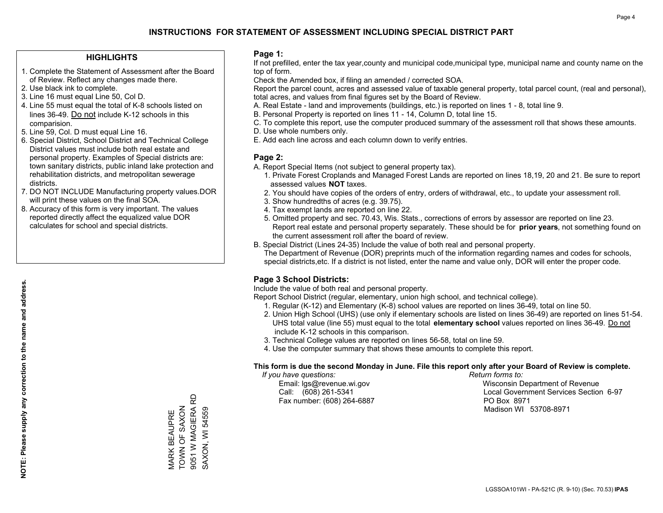#### **HIGHLIGHTS**

- 1. Complete the Statement of Assessment after the Board of Review. Reflect any changes made there.
- 2. Use black ink to complete.
- 3. Line 16 must equal Line 50, Col D.
- 4. Line 55 must equal the total of K-8 schools listed on lines 36-49. Do not include K-12 schools in this comparision.
- 5. Line 59, Col. D must equal Line 16.
- 6. Special District, School District and Technical College District values must include both real estate and personal property. Examples of Special districts are: town sanitary districts, public inland lake protection and rehabilitation districts, and metropolitan sewerage districts.
- 7. DO NOT INCLUDE Manufacturing property values.DOR will print these values on the final SOA.

MARK BEAUPRE TOWN OF SAXON 9051 W MAGIERA RD SAXON, WI 54559

9051 W MAGIERA RD **VIARK BEAUPRE<br>TOWN OF SAXON** 

SAXON, WI 54559

 8. Accuracy of this form is very important. The values reported directly affect the equalized value DOR calculates for school and special districts.

#### **Page 1:**

 If not prefilled, enter the tax year,county and municipal code,municipal type, municipal name and county name on the top of form.

Check the Amended box, if filing an amended / corrected SOA.

 Report the parcel count, acres and assessed value of taxable general property, total parcel count, (real and personal), total acres, and values from final figures set by the Board of Review.

- A. Real Estate land and improvements (buildings, etc.) is reported on lines 1 8, total line 9.
- B. Personal Property is reported on lines 11 14, Column D, total line 15.
- C. To complete this report, use the computer produced summary of the assessment roll that shows these amounts.
- D. Use whole numbers only.
- E. Add each line across and each column down to verify entries.

#### **Page 2:**

- A. Report Special Items (not subject to general property tax).
- 1. Private Forest Croplands and Managed Forest Lands are reported on lines 18,19, 20 and 21. Be sure to report assessed values **NOT** taxes.
- 2. You should have copies of the orders of entry, orders of withdrawal, etc., to update your assessment roll.
	- 3. Show hundredths of acres (e.g. 39.75).
- 4. Tax exempt lands are reported on line 22.
- 5. Omitted property and sec. 70.43, Wis. Stats., corrections of errors by assessor are reported on line 23. Report real estate and personal property separately. These should be for **prior years**, not something found on the current assessment roll after the board of review.
- B. Special District (Lines 24-35) Include the value of both real and personal property.
- The Department of Revenue (DOR) preprints much of the information regarding names and codes for schools, special districts,etc. If a district is not listed, enter the name and value only, DOR will enter the proper code.

### **Page 3 School Districts:**

Include the value of both real and personal property.

Report School District (regular, elementary, union high school, and technical college).

- 1. Regular (K-12) and Elementary (K-8) school values are reported on lines 36-49, total on line 50.
- 2. Union High School (UHS) (use only if elementary schools are listed on lines 36-49) are reported on lines 51-54. UHS total value (line 55) must equal to the total **elementary school** values reported on lines 36-49. Do notinclude K-12 schools in this comparison.
- 3. Technical College values are reported on lines 56-58, total on line 59.
- 4. Use the computer summary that shows these amounts to complete this report.

#### **This form is due the second Monday in June. File this report only after your Board of Review is complete.**

 *If you have questions: Return forms to:*

Fax number: (608) 264-6887 PO Box 8971

 Email: lgs@revenue.wi.gov Wisconsin Department of Revenue Call: (608) 261-5341 Local Government Services Section 6-97Madison WI 53708-8971

**NOTE: Please supply any correction to the name and address.**

NOTE: Please supply any correction to the name and address.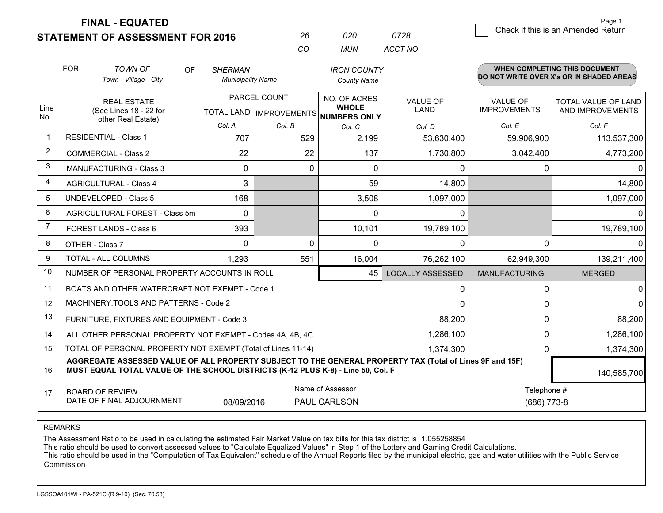**FINAL - EQUATED**

 $\overline{\mathcal{B}}$  Check if this is an Amended Return Page 1

| <b>STATEMENT OF ASSESSMENT FOR 2016</b> | 26 | 020  | 0728    |
|-----------------------------------------|----|------|---------|
|                                         |    | MUN. | ACCT NO |

|                | <b>FOR</b>                                                                                                   | <b>TOWN OF</b><br><b>OF</b>                                                                                                                                                                  | <b>SHERMAN</b>                            |           | <b>IRON COUNTY</b>           |                         |                                        | <b>WHEN COMPLETING THIS DOCUMENT</b>           |
|----------------|--------------------------------------------------------------------------------------------------------------|----------------------------------------------------------------------------------------------------------------------------------------------------------------------------------------------|-------------------------------------------|-----------|------------------------------|-------------------------|----------------------------------------|------------------------------------------------|
|                |                                                                                                              | Town - Village - City                                                                                                                                                                        | <b>Municipality Name</b>                  |           | <b>County Name</b>           |                         |                                        | DO NOT WRITE OVER X's OR IN SHADED AREAS       |
| Line           |                                                                                                              | <b>REAL ESTATE</b><br>(See Lines 18 - 22 for                                                                                                                                                 | PARCEL COUNT<br>TOTAL LAND   IMPROVEMENTS |           | NO. OF ACRES<br><b>WHOLE</b> | <b>VALUE OF</b><br>LAND | <b>VALUE OF</b><br><b>IMPROVEMENTS</b> | <b>TOTAL VALUE OF LAND</b><br>AND IMPROVEMENTS |
| No.            |                                                                                                              | other Real Estate)                                                                                                                                                                           | Col. A                                    | Col. B    | NUMBERS ONLY<br>Col. C       | Col. D                  | Col. E                                 | Col. F                                         |
| $\mathbf{1}$   |                                                                                                              | <b>RESIDENTIAL - Class 1</b>                                                                                                                                                                 | 707                                       | 529       | 2,199                        | 53,630,400              | 59,906,900                             | 113,537,300                                    |
| 2              |                                                                                                              | <b>COMMERCIAL - Class 2</b>                                                                                                                                                                  | 22                                        | 22        | 137                          | 1,730,800               | 3,042,400                              | 4,773,200                                      |
| 3              |                                                                                                              | <b>MANUFACTURING - Class 3</b>                                                                                                                                                               | $\Omega$                                  | 0         | $\Omega$                     | 0                       | 0                                      |                                                |
| 4              |                                                                                                              | <b>AGRICULTURAL - Class 4</b>                                                                                                                                                                | 3                                         |           | 59                           | 14,800                  |                                        | 14,800                                         |
| 5              |                                                                                                              | <b>UNDEVELOPED - Class 5</b>                                                                                                                                                                 | 168                                       |           | 3,508                        | 1,097,000               |                                        | 1,097,000                                      |
| 6              |                                                                                                              | AGRICULTURAL FOREST - Class 5m                                                                                                                                                               | $\Omega$                                  |           | $\Omega$                     | 0                       |                                        |                                                |
| $\overline{7}$ |                                                                                                              | FOREST LANDS - Class 6                                                                                                                                                                       | 393                                       |           | 10,101                       | 19,789,100              |                                        | 19,789,100                                     |
| 8              |                                                                                                              | OTHER - Class 7                                                                                                                                                                              | $\Omega$                                  | $\Omega$  | $\Omega$                     | $\Omega$                | O                                      |                                                |
| 9              |                                                                                                              | TOTAL - ALL COLUMNS                                                                                                                                                                          | 1,293                                     | 551       | 16,004                       | 76,262,100              | 62,949,300                             | 139,211,400                                    |
| 10             |                                                                                                              | NUMBER OF PERSONAL PROPERTY ACCOUNTS IN ROLL                                                                                                                                                 |                                           |           | 45                           | <b>LOCALLY ASSESSED</b> | <b>MANUFACTURING</b>                   | <b>MERGED</b>                                  |
| 11             |                                                                                                              | BOATS AND OTHER WATERCRAFT NOT EXEMPT - Code 1                                                                                                                                               |                                           |           |                              | 0                       |                                        |                                                |
| 12             |                                                                                                              | MACHINERY, TOOLS AND PATTERNS - Code 2                                                                                                                                                       |                                           |           |                              | 0                       |                                        |                                                |
| 13             |                                                                                                              | FURNITURE, FIXTURES AND EQUIPMENT - Code 3                                                                                                                                                   |                                           |           |                              | 88,200                  | 0                                      | 88,200                                         |
| 14             |                                                                                                              | ALL OTHER PERSONAL PROPERTY NOT EXEMPT - Codes 4A, 4B, 4C                                                                                                                                    |                                           |           |                              | 1,286,100               | $\Omega$                               | 1,286,100                                      |
| 15             |                                                                                                              | TOTAL OF PERSONAL PROPERTY NOT EXEMPT (Total of Lines 11-14)                                                                                                                                 |                                           | 1,374,300 | 0                            | 1,374,300               |                                        |                                                |
| 16             |                                                                                                              | AGGREGATE ASSESSED VALUE OF ALL PROPERTY SUBJECT TO THE GENERAL PROPERTY TAX (Total of Lines 9F and 15F)<br>MUST EQUAL TOTAL VALUE OF THE SCHOOL DISTRICTS (K-12 PLUS K-8) - Line 50, Col. F |                                           |           |                              |                         |                                        | 140,585,700                                    |
| 17             | Name of Assessor<br><b>BOARD OF REVIEW</b><br>DATE OF FINAL ADJOURNMENT<br>08/09/2016<br><b>PAUL CARLSON</b> |                                                                                                                                                                                              |                                           |           |                              |                         | Telephone #<br>$(686)$ 773-8           |                                                |

REMARKS

The Assessment Ratio to be used in calculating the estimated Fair Market Value on tax bills for this tax district is 1.055258854

This ratio should be used to convert assessed values to "Calculate Equalized Values" in Step 1 of the Lottery and Gaming Credit Calculations.

 This ratio should be used in the "Computation of Tax Equivalent" schedule of the Annual Reports filed by the municipal electric, gas and water utilities with the Public Service Commission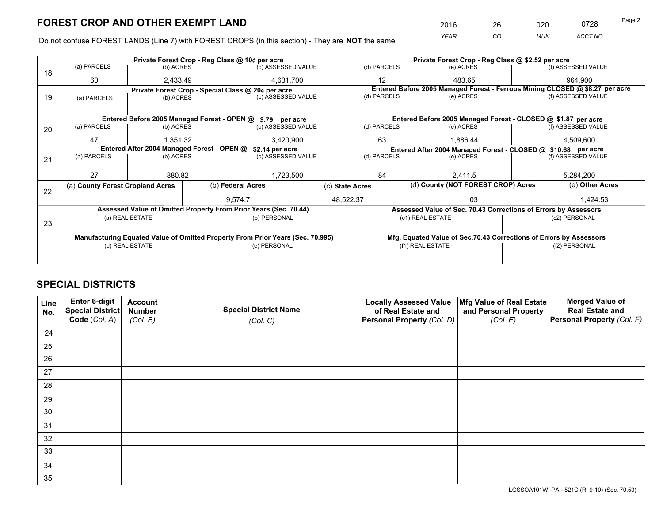*YEAR CO MUN ACCT NO* <sup>2016</sup> <sup>26</sup> <sup>020</sup> <sup>0728</sup>

Do not confuse FOREST LANDS (Line 7) with FOREST CROPS (in this section) - They are **NOT** the same

|    | Private Forest Crop - Reg Class @ 10¢ per acre                         |                                                                                |  |                                                    |  | Private Forest Crop - Reg Class @ \$2.52 per acre |                                                                                           |                                                                              |                    |                    |
|----|------------------------------------------------------------------------|--------------------------------------------------------------------------------|--|----------------------------------------------------|--|---------------------------------------------------|-------------------------------------------------------------------------------------------|------------------------------------------------------------------------------|--------------------|--------------------|
| 18 | (a) PARCELS                                                            | (b) ACRES                                                                      |  | (c) ASSESSED VALUE                                 |  | (d) PARCELS                                       |                                                                                           | (e) ACRES                                                                    |                    | (f) ASSESSED VALUE |
|    | 60                                                                     | 2,433.49                                                                       |  | 4.631.700                                          |  | 12                                                |                                                                                           | 483.65                                                                       |                    | 964.900            |
|    |                                                                        |                                                                                |  | Private Forest Crop - Special Class @ 20¢ per acre |  |                                                   |                                                                                           | Entered Before 2005 Managed Forest - Ferrous Mining CLOSED @ \$8.27 per acre |                    |                    |
| 19 | (a) PARCELS                                                            | (b) ACRES                                                                      |  | (c) ASSESSED VALUE                                 |  | (d) PARCELS                                       |                                                                                           | (e) ACRES                                                                    |                    | (f) ASSESSED VALUE |
|    |                                                                        |                                                                                |  |                                                    |  |                                                   |                                                                                           |                                                                              |                    |                    |
|    | Entered Before 2005 Managed Forest - OPEN @ \$.79 per acre             |                                                                                |  |                                                    |  |                                                   |                                                                                           | Entered Before 2005 Managed Forest - CLOSED @ \$1.87 per acre                |                    |                    |
| 20 | (a) PARCELS                                                            | (b) ACRES                                                                      |  | (c) ASSESSED VALUE                                 |  | (d) PARCELS                                       |                                                                                           | (e) ACRES                                                                    |                    | (f) ASSESSED VALUE |
|    | 47                                                                     | 1,351.32                                                                       |  | 3,420,900                                          |  | 63                                                |                                                                                           | 1,886.44                                                                     |                    | 4,509,600          |
|    |                                                                        |                                                                                |  |                                                    |  |                                                   |                                                                                           |                                                                              |                    |                    |
|    | Entered After 2004 Managed Forest - OPEN @<br>(a) PARCELS<br>(b) ACRES |                                                                                |  | \$2.14 per acre<br>(c) ASSESSED VALUE              |  |                                                   | Entered After 2004 Managed Forest - CLOSED @ \$10.68 per acre<br>(d) PARCELS<br>(e) ACRES |                                                                              | (f) ASSESSED VALUE |                    |
| 21 |                                                                        |                                                                                |  |                                                    |  |                                                   |                                                                                           |                                                                              |                    |                    |
|    |                                                                        |                                                                                |  |                                                    |  |                                                   |                                                                                           |                                                                              |                    |                    |
|    | 27                                                                     | 880.82                                                                         |  | 1,723,500                                          |  | 84                                                |                                                                                           | 2,411.5                                                                      |                    | 5,284,200          |
|    | (a) County Forest Cropland Acres                                       |                                                                                |  | (b) Federal Acres                                  |  | (c) State Acres                                   |                                                                                           | (d) County (NOT FOREST CROP) Acres                                           |                    | (e) Other Acres    |
| 22 |                                                                        |                                                                                |  | 9,574.7                                            |  | 48,522.37                                         |                                                                                           | .03                                                                          |                    | 1,424.53           |
|    |                                                                        |                                                                                |  |                                                    |  |                                                   |                                                                                           |                                                                              |                    |                    |
|    |                                                                        | Assessed Value of Omitted Property From Prior Years (Sec. 70.44)               |  |                                                    |  |                                                   | Assessed Value of Sec. 70.43 Corrections of Errors by Assessors                           |                                                                              |                    |                    |
| 23 |                                                                        | (a) REAL ESTATE                                                                |  | (b) PERSONAL                                       |  |                                                   |                                                                                           | (c1) REAL ESTATE                                                             |                    | (c2) PERSONAL      |
|    |                                                                        |                                                                                |  |                                                    |  |                                                   |                                                                                           |                                                                              |                    |                    |
|    |                                                                        | Manufacturing Equated Value of Omitted Property From Prior Years (Sec. 70.995) |  |                                                    |  |                                                   |                                                                                           | Mfg. Equated Value of Sec.70.43 Corrections of Errors by Assessors           |                    |                    |
|    |                                                                        | (d) REAL ESTATE                                                                |  | (e) PERSONAL                                       |  |                                                   |                                                                                           | (f1) REAL ESTATE                                                             |                    | (f2) PERSONAL      |
|    |                                                                        |                                                                                |  |                                                    |  |                                                   |                                                                                           |                                                                              |                    |                    |
|    |                                                                        |                                                                                |  |                                                    |  |                                                   |                                                                                           |                                                                              |                    |                    |

# **SPECIAL DISTRICTS**

| Line<br>No. | Enter 6-digit<br><b>Special District</b> | <b>Account</b><br><b>Number</b> | <b>Special District Name</b> | <b>Locally Assessed Value</b><br>of Real Estate and | Mfg Value of Real Estate<br>and Personal Property | <b>Merged Value of</b><br><b>Real Estate and</b> |
|-------------|------------------------------------------|---------------------------------|------------------------------|-----------------------------------------------------|---------------------------------------------------|--------------------------------------------------|
|             | Code (Col. A)                            | (Col. B)                        | (Col. C)                     | Personal Property (Col. D)                          | (Col. E)                                          | Personal Property (Col. F)                       |
| 24          |                                          |                                 |                              |                                                     |                                                   |                                                  |
| 25          |                                          |                                 |                              |                                                     |                                                   |                                                  |
| 26          |                                          |                                 |                              |                                                     |                                                   |                                                  |
| 27          |                                          |                                 |                              |                                                     |                                                   |                                                  |
| 28          |                                          |                                 |                              |                                                     |                                                   |                                                  |
| 29          |                                          |                                 |                              |                                                     |                                                   |                                                  |
| 30          |                                          |                                 |                              |                                                     |                                                   |                                                  |
| 31          |                                          |                                 |                              |                                                     |                                                   |                                                  |
| 32          |                                          |                                 |                              |                                                     |                                                   |                                                  |
| 33          |                                          |                                 |                              |                                                     |                                                   |                                                  |
| 34          |                                          |                                 |                              |                                                     |                                                   |                                                  |
| 35          |                                          |                                 |                              |                                                     |                                                   |                                                  |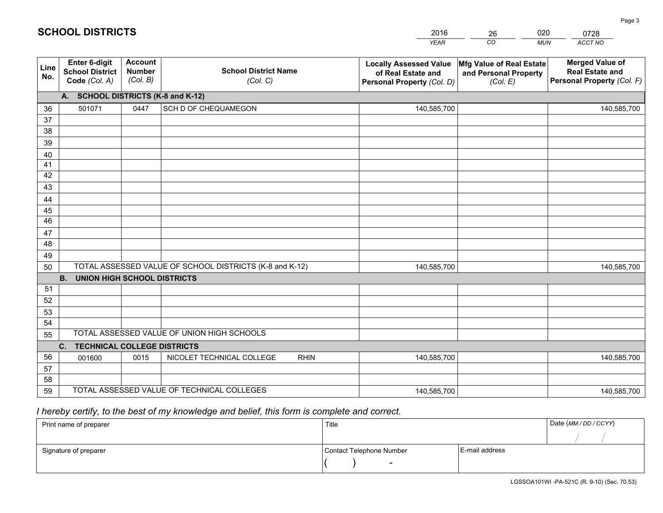|             |                                                          |                                             |                                                         | <b>YEAR</b>                                                                       | CO<br><b>MUN</b>                                              | ACCT NO                                                                        |
|-------------|----------------------------------------------------------|---------------------------------------------|---------------------------------------------------------|-----------------------------------------------------------------------------------|---------------------------------------------------------------|--------------------------------------------------------------------------------|
| Line<br>No. | Enter 6-digit<br><b>School District</b><br>Code (Col. A) | <b>Account</b><br><b>Number</b><br>(Col. B) | <b>School District Name</b><br>(Col. C)                 | <b>Locally Assessed Value</b><br>of Real Estate and<br>Personal Property (Col. D) | Mfg Value of Real Estate<br>and Personal Property<br>(Col. E) | <b>Merged Value of</b><br><b>Real Estate and</b><br>Personal Property (Col. F) |
|             | A. SCHOOL DISTRICTS (K-8 and K-12)                       |                                             |                                                         |                                                                                   |                                                               |                                                                                |
| 36          | 501071                                                   | 0447                                        | SCH D OF CHEQUAMEGON                                    | 140,585,700                                                                       |                                                               | 140,585,700                                                                    |
| 37          |                                                          |                                             |                                                         |                                                                                   |                                                               |                                                                                |
| 38          |                                                          |                                             |                                                         |                                                                                   |                                                               |                                                                                |
| 39          |                                                          |                                             |                                                         |                                                                                   |                                                               |                                                                                |
| 40          |                                                          |                                             |                                                         |                                                                                   |                                                               |                                                                                |
| 41          |                                                          |                                             |                                                         |                                                                                   |                                                               |                                                                                |
| 42          |                                                          |                                             |                                                         |                                                                                   |                                                               |                                                                                |
| 43          |                                                          |                                             |                                                         |                                                                                   |                                                               |                                                                                |
| 44<br>45    |                                                          |                                             |                                                         |                                                                                   |                                                               |                                                                                |
| 46          |                                                          |                                             |                                                         |                                                                                   |                                                               |                                                                                |
| 47          |                                                          |                                             |                                                         |                                                                                   |                                                               |                                                                                |
| 48          |                                                          |                                             |                                                         |                                                                                   |                                                               |                                                                                |
| 49          |                                                          |                                             |                                                         |                                                                                   |                                                               |                                                                                |
| 50          |                                                          |                                             | TOTAL ASSESSED VALUE OF SCHOOL DISTRICTS (K-8 and K-12) | 140,585,700                                                                       |                                                               | 140,585,700                                                                    |
|             | <b>B.</b><br><b>UNION HIGH SCHOOL DISTRICTS</b>          |                                             |                                                         |                                                                                   |                                                               |                                                                                |
| 51          |                                                          |                                             |                                                         |                                                                                   |                                                               |                                                                                |
| 52          |                                                          |                                             |                                                         |                                                                                   |                                                               |                                                                                |
| 53          |                                                          |                                             |                                                         |                                                                                   |                                                               |                                                                                |
| 54          |                                                          |                                             |                                                         |                                                                                   |                                                               |                                                                                |
| 55          |                                                          |                                             | TOTAL ASSESSED VALUE OF UNION HIGH SCHOOLS              |                                                                                   |                                                               |                                                                                |
|             | C. TECHNICAL COLLEGE DISTRICTS                           |                                             |                                                         |                                                                                   |                                                               |                                                                                |
| 56          | 001600                                                   | 0015                                        | NICOLET TECHNICAL COLLEGE<br><b>RHIN</b>                | 140,585,700                                                                       |                                                               | 140,585,700                                                                    |
| 57          |                                                          |                                             |                                                         |                                                                                   |                                                               |                                                                                |
| 58          |                                                          |                                             | TOTAL ASSESSED VALUE OF TECHNICAL COLLEGES              |                                                                                   |                                                               |                                                                                |
| 59          |                                                          |                                             |                                                         | 140,585,700                                                                       |                                                               | 140,585,700                                                                    |

26

020

# *I hereby certify, to the best of my knowledge and belief, this form is complete and correct.*

**SCHOOL DISTRICTS**

| Print name of preparer | Title                    |                | Date (MM / DD / CCYY) |
|------------------------|--------------------------|----------------|-----------------------|
|                        |                          |                |                       |
| Signature of preparer  | Contact Telephone Number | E-mail address |                       |
|                        | $\sim$                   |                |                       |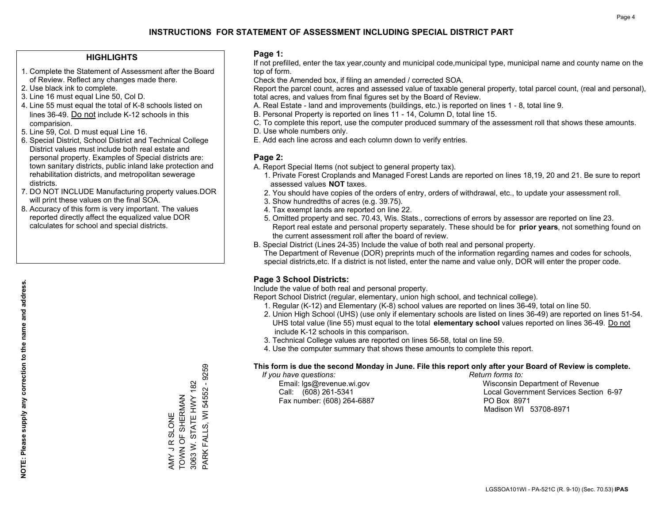#### **HIGHLIGHTS**

- 1. Complete the Statement of Assessment after the Board of Review. Reflect any changes made there.
- 2. Use black ink to complete.
- 3. Line 16 must equal Line 50, Col D.
- 4. Line 55 must equal the total of K-8 schools listed on lines 36-49. Do not include K-12 schools in this comparision.
- 5. Line 59, Col. D must equal Line 16.
- 6. Special District, School District and Technical College District values must include both real estate and personal property. Examples of Special districts are: town sanitary districts, public inland lake protection and rehabilitation districts, and metropolitan sewerage districts.
- 7. DO NOT INCLUDE Manufacturing property values.DOR will print these values on the final SOA.

AMY J R SLONE TOWN OF SHERMAN 3063 W. STATE HWY 182 PARK FALLS, WI 54552 - 9259

PARK FALLS, WI 54552 - 9259 3063 W. STATE HWY 182 AMY JR SLONE<br>TOWN OF SHERMAN

 8. Accuracy of this form is very important. The values reported directly affect the equalized value DOR calculates for school and special districts.

#### **Page 1:**

 If not prefilled, enter the tax year,county and municipal code,municipal type, municipal name and county name on the top of form.

Check the Amended box, if filing an amended / corrected SOA.

 Report the parcel count, acres and assessed value of taxable general property, total parcel count, (real and personal), total acres, and values from final figures set by the Board of Review.

- A. Real Estate land and improvements (buildings, etc.) is reported on lines 1 8, total line 9.
- B. Personal Property is reported on lines 11 14, Column D, total line 15.
- C. To complete this report, use the computer produced summary of the assessment roll that shows these amounts.
- D. Use whole numbers only.
- E. Add each line across and each column down to verify entries.

#### **Page 2:**

- A. Report Special Items (not subject to general property tax).
- 1. Private Forest Croplands and Managed Forest Lands are reported on lines 18,19, 20 and 21. Be sure to report assessed values **NOT** taxes.
- 2. You should have copies of the orders of entry, orders of withdrawal, etc., to update your assessment roll.
	- 3. Show hundredths of acres (e.g. 39.75).
- 4. Tax exempt lands are reported on line 22.
- 5. Omitted property and sec. 70.43, Wis. Stats., corrections of errors by assessor are reported on line 23. Report real estate and personal property separately. These should be for **prior years**, not something found on the current assessment roll after the board of review.
- B. Special District (Lines 24-35) Include the value of both real and personal property.

 The Department of Revenue (DOR) preprints much of the information regarding names and codes for schools, special districts,etc. If a district is not listed, enter the name and value only, DOR will enter the proper code.

### **Page 3 School Districts:**

Include the value of both real and personal property.

Report School District (regular, elementary, union high school, and technical college).

- 1. Regular (K-12) and Elementary (K-8) school values are reported on lines 36-49, total on line 50.
- 2. Union High School (UHS) (use only if elementary schools are listed on lines 36-49) are reported on lines 51-54. UHS total value (line 55) must equal to the total **elementary school** values reported on lines 36-49. Do notinclude K-12 schools in this comparison.
- 3. Technical College values are reported on lines 56-58, total on line 59.
- 4. Use the computer summary that shows these amounts to complete this report.

#### **This form is due the second Monday in June. File this report only after your Board of Review is complete.**

 *If you have questions: Return forms to:*

Fax number: (608) 264-6887 PO Box 8971

 Email: lgs@revenue.wi.gov Wisconsin Department of Revenue Call: (608) 261-5341 Local Government Services Section 6-97Madison WI 53708-8971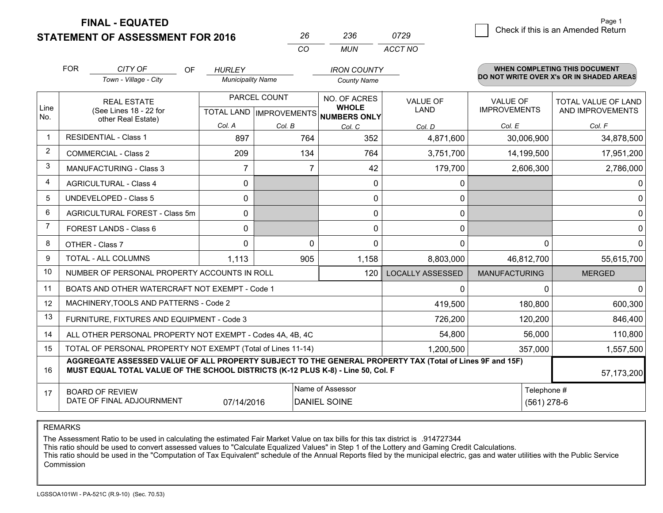**FINAL - EQUATED**

**STATEMENT OF ASSESSMENT FOR 2016** 

| 26 | 236  | 0729    |
|----|------|---------|
| cо | MUN. | ACCT NO |

|                | <b>FOR</b>                                                                                                                                                                                   | CITY OF                                                   | OF | <b>HURLEY</b>            |              | <b>IRON COUNTY</b>                   |                         |                      | <b>WHEN COMPLETING THIS DOCUMENT</b><br>DO NOT WRITE OVER X's OR IN SHADED AREAS |
|----------------|----------------------------------------------------------------------------------------------------------------------------------------------------------------------------------------------|-----------------------------------------------------------|----|--------------------------|--------------|--------------------------------------|-------------------------|----------------------|----------------------------------------------------------------------------------|
|                |                                                                                                                                                                                              | Town - Village - City                                     |    | <b>Municipality Name</b> |              | <b>County Name</b>                   |                         |                      |                                                                                  |
| Line           |                                                                                                                                                                                              | <b>REAL ESTATE</b>                                        |    |                          | PARCEL COUNT | NO. OF ACRES<br><b>WHOLE</b>         | <b>VALUE OF</b>         | <b>VALUE OF</b>      | <b>TOTAL VALUE OF LAND</b>                                                       |
| No.            | (See Lines 18 - 22 for<br>other Real Estate)                                                                                                                                                 |                                                           |    |                          |              | TOTAL LAND IMPROVEMENTS NUMBERS ONLY | LAND                    | <b>IMPROVEMENTS</b>  | <b>AND IMPROVEMENTS</b>                                                          |
|                |                                                                                                                                                                                              |                                                           |    | Col. A                   | Col. B       | Col. C                               | Col. D                  | Col. E               | Col. F                                                                           |
|                |                                                                                                                                                                                              | <b>RESIDENTIAL - Class 1</b>                              |    | 897                      | 764          | 352                                  | 4,871,600               | 30,006,900           | 34,878,500                                                                       |
| 2              |                                                                                                                                                                                              | <b>COMMERCIAL - Class 2</b>                               |    | 209                      | 134          | 764                                  | 3,751,700               | 14,199,500           | 17,951,200                                                                       |
| 3              |                                                                                                                                                                                              | <b>MANUFACTURING - Class 3</b>                            |    | 7                        | 7            | 42                                   | 179,700                 | 2,606,300            | 2,786,000                                                                        |
| 4              |                                                                                                                                                                                              | <b>AGRICULTURAL - Class 4</b>                             |    | 0                        |              | $\mathbf 0$                          | 0                       |                      | 0                                                                                |
| 5              |                                                                                                                                                                                              | <b>UNDEVELOPED - Class 5</b>                              |    | 0                        |              | 0                                    | 0                       |                      | 0                                                                                |
| 6              | AGRICULTURAL FOREST - Class 5m                                                                                                                                                               |                                                           |    | 0                        |              | 0                                    | 0                       |                      | 0                                                                                |
| $\overline{7}$ | FOREST LANDS - Class 6                                                                                                                                                                       |                                                           |    | 0                        |              | 0                                    | $\mathbf 0$             |                      | 0                                                                                |
| 8              |                                                                                                                                                                                              | OTHER - Class 7                                           |    | 0                        | $\Omega$     | $\Omega$                             | $\Omega$                | $\Omega$             | 0                                                                                |
| 9              |                                                                                                                                                                                              | <b>TOTAL - ALL COLUMNS</b>                                |    | 1,113                    | 905          | 1,158                                | 8,803,000               | 46,812,700           | 55,615,700                                                                       |
| 10             |                                                                                                                                                                                              | NUMBER OF PERSONAL PROPERTY ACCOUNTS IN ROLL              |    |                          |              | 120                                  | <b>LOCALLY ASSESSED</b> | <b>MANUFACTURING</b> | <b>MERGED</b>                                                                    |
| 11             |                                                                                                                                                                                              | BOATS AND OTHER WATERCRAFT NOT EXEMPT - Code 1            |    |                          |              |                                      | $\Omega$                | $\Omega$             | $\Omega$                                                                         |
| 12             |                                                                                                                                                                                              | MACHINERY, TOOLS AND PATTERNS - Code 2                    |    |                          |              |                                      | 419,500                 | 180,800              | 600,300                                                                          |
| 13             |                                                                                                                                                                                              | FURNITURE, FIXTURES AND EQUIPMENT - Code 3                |    |                          |              |                                      | 726,200                 | 120,200              | 846,400                                                                          |
| 14             |                                                                                                                                                                                              | ALL OTHER PERSONAL PROPERTY NOT EXEMPT - Codes 4A, 4B, 4C |    |                          |              |                                      | 54,800                  | 56,000               | 110,800                                                                          |
| 15             | TOTAL OF PERSONAL PROPERTY NOT EXEMPT (Total of Lines 11-14)                                                                                                                                 |                                                           |    |                          |              |                                      | 1,200,500               | 357,000              | 1,557,500                                                                        |
| 16             | AGGREGATE ASSESSED VALUE OF ALL PROPERTY SUBJECT TO THE GENERAL PROPERTY TAX (Total of Lines 9F and 15F)<br>MUST EQUAL TOTAL VALUE OF THE SCHOOL DISTRICTS (K-12 PLUS K-8) - Line 50, Col. F |                                                           |    |                          |              |                                      |                         |                      | 57,173,200                                                                       |
| 17             |                                                                                                                                                                                              | <b>BOARD OF REVIEW</b>                                    |    |                          |              | Name of Assessor                     |                         | Telephone #          |                                                                                  |
|                |                                                                                                                                                                                              | DATE OF FINAL ADJOURNMENT                                 |    | 07/14/2016               |              | <b>DANIEL SOINE</b>                  |                         | $(561)$ 278-6        |                                                                                  |

REMARKS

The Assessment Ratio to be used in calculating the estimated Fair Market Value on tax bills for this tax district is .914727344

This ratio should be used to convert assessed values to "Calculate Equalized Values" in Step 1 of the Lottery and Gaming Credit Calculations.<br>This ratio should be used in the "Computation of Tax Equivalent" schedule of the Commission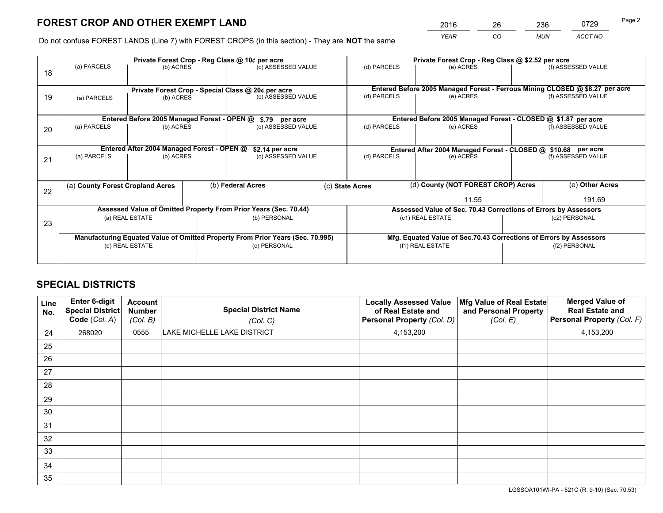*YEAR CO MUN ACCT NO* <sup>2016</sup> <sup>26</sup> <sup>236</sup> <sup>0729</sup> Page 2

Do not confuse FOREST LANDS (Line 7) with FOREST CROPS (in this section) - They are **NOT** the same

|    |                                                    |                                             |                                                                                | Private Forest Crop - Reg Class @ 10¢ per acre                   |                                                                    | Private Forest Crop - Reg Class @ \$2.52 per acre                            |                                                                 |               |                    |
|----|----------------------------------------------------|---------------------------------------------|--------------------------------------------------------------------------------|------------------------------------------------------------------|--------------------------------------------------------------------|------------------------------------------------------------------------------|-----------------------------------------------------------------|---------------|--------------------|
| 18 | (a) PARCELS                                        | (b) ACRES                                   |                                                                                | (c) ASSESSED VALUE                                               |                                                                    | (d) PARCELS                                                                  | (e) ACRES                                                       |               | (f) ASSESSED VALUE |
|    | Private Forest Crop - Special Class @ 20¢ per acre |                                             |                                                                                |                                                                  |                                                                    | Entered Before 2005 Managed Forest - Ferrous Mining CLOSED @ \$8.27 per acre |                                                                 |               |                    |
| 19 | (a) PARCELS                                        | (b) ACRES                                   |                                                                                | (c) ASSESSED VALUE                                               |                                                                    | (d) PARCELS                                                                  | (e) ACRES                                                       |               | (f) ASSESSED VALUE |
|    |                                                    | Entered Before 2005 Managed Forest - OPEN @ |                                                                                | \$.79 per acre                                                   |                                                                    |                                                                              | Entered Before 2005 Managed Forest - CLOSED @ \$1.87 per acre   |               |                    |
| 20 | (a) PARCELS<br>(b) ACRES                           |                                             |                                                                                | (c) ASSESSED VALUE                                               |                                                                    | (d) PARCELS                                                                  | (e) ACRES                                                       |               | (f) ASSESSED VALUE |
|    |                                                    | Entered After 2004 Managed Forest - OPEN @  |                                                                                | \$2.14 per acre                                                  |                                                                    | Entered After 2004 Managed Forest - CLOSED @ \$10.68 per acre                |                                                                 |               |                    |
| 21 | (a) PARCELS                                        | (b) ACRES                                   |                                                                                | (c) ASSESSED VALUE                                               |                                                                    | (d) PARCELS                                                                  | (e) ACRES                                                       |               | (f) ASSESSED VALUE |
|    | (a) County Forest Cropland Acres                   |                                             |                                                                                | (b) Federal Acres                                                |                                                                    |                                                                              | (d) County (NOT FOREST CROP) Acres                              |               | (e) Other Acres    |
| 22 |                                                    |                                             |                                                                                |                                                                  |                                                                    | (c) State Acres                                                              |                                                                 |               |                    |
|    |                                                    |                                             |                                                                                |                                                                  |                                                                    | 11.55                                                                        |                                                                 | 191.69        |                    |
|    |                                                    |                                             |                                                                                | Assessed Value of Omitted Property From Prior Years (Sec. 70.44) |                                                                    |                                                                              | Assessed Value of Sec. 70.43 Corrections of Errors by Assessors |               |                    |
| 23 | (a) REAL ESTATE                                    |                                             |                                                                                | (b) PERSONAL                                                     |                                                                    | (c1) REAL ESTATE                                                             |                                                                 | (c2) PERSONAL |                    |
|    |                                                    |                                             | Manufacturing Equated Value of Omitted Property From Prior Years (Sec. 70.995) |                                                                  | Mfg. Equated Value of Sec.70.43 Corrections of Errors by Assessors |                                                                              |                                                                 |               |                    |
|    |                                                    | (d) REAL ESTATE                             |                                                                                | (e) PERSONAL                                                     |                                                                    | (f1) REAL ESTATE                                                             |                                                                 | (f2) PERSONAL |                    |
|    |                                                    |                                             |                                                                                |                                                                  |                                                                    |                                                                              |                                                                 |               |                    |

# **SPECIAL DISTRICTS**

| Line<br>No. | <b>Enter 6-digit</b><br>Special District<br>Code (Col. A) | <b>Account</b><br><b>Number</b><br>(Col. B) | <b>Special District Name</b><br>(Col. C) | <b>Locally Assessed Value</b><br>of Real Estate and<br>Personal Property (Col. D) | Mfg Value of Real Estate<br>and Personal Property<br>(Col. E) | <b>Merged Value of</b><br><b>Real Estate and</b><br>Personal Property (Col. F) |
|-------------|-----------------------------------------------------------|---------------------------------------------|------------------------------------------|-----------------------------------------------------------------------------------|---------------------------------------------------------------|--------------------------------------------------------------------------------|
| 24          | 268020                                                    | 0555                                        | LAKE MICHELLE LAKE DISTRICT              | 4,153,200                                                                         |                                                               | 4,153,200                                                                      |
| 25          |                                                           |                                             |                                          |                                                                                   |                                                               |                                                                                |
| 26          |                                                           |                                             |                                          |                                                                                   |                                                               |                                                                                |
| 27          |                                                           |                                             |                                          |                                                                                   |                                                               |                                                                                |
| 28          |                                                           |                                             |                                          |                                                                                   |                                                               |                                                                                |
| 29          |                                                           |                                             |                                          |                                                                                   |                                                               |                                                                                |
| 30          |                                                           |                                             |                                          |                                                                                   |                                                               |                                                                                |
| 31          |                                                           |                                             |                                          |                                                                                   |                                                               |                                                                                |
| 32          |                                                           |                                             |                                          |                                                                                   |                                                               |                                                                                |
| 33          |                                                           |                                             |                                          |                                                                                   |                                                               |                                                                                |
| 34          |                                                           |                                             |                                          |                                                                                   |                                                               |                                                                                |
| 35          |                                                           |                                             |                                          |                                                                                   |                                                               |                                                                                |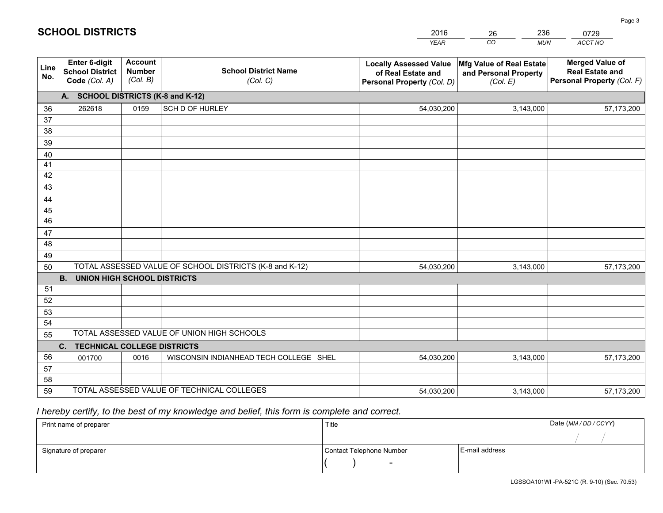|             |                                                          |                                             |                                                         | <b>YEAR</b>                                                                       | CO<br><b>MUN</b>                                              | ACCT NO                                                                        |
|-------------|----------------------------------------------------------|---------------------------------------------|---------------------------------------------------------|-----------------------------------------------------------------------------------|---------------------------------------------------------------|--------------------------------------------------------------------------------|
| Line<br>No. | Enter 6-digit<br><b>School District</b><br>Code (Col. A) | <b>Account</b><br><b>Number</b><br>(Col. B) | <b>School District Name</b><br>(Col. C)                 | <b>Locally Assessed Value</b><br>of Real Estate and<br>Personal Property (Col. D) | Mfg Value of Real Estate<br>and Personal Property<br>(Col. E) | <b>Merged Value of</b><br><b>Real Estate and</b><br>Personal Property (Col. F) |
|             | A. SCHOOL DISTRICTS (K-8 and K-12)                       |                                             |                                                         |                                                                                   |                                                               |                                                                                |
| 36          | 262618                                                   | 0159                                        | SCH D OF HURLEY                                         | 54,030,200                                                                        | 3,143,000                                                     | 57,173,200                                                                     |
| 37          |                                                          |                                             |                                                         |                                                                                   |                                                               |                                                                                |
| 38          |                                                          |                                             |                                                         |                                                                                   |                                                               |                                                                                |
| 39          |                                                          |                                             |                                                         |                                                                                   |                                                               |                                                                                |
| 40          |                                                          |                                             |                                                         |                                                                                   |                                                               |                                                                                |
| 41          |                                                          |                                             |                                                         |                                                                                   |                                                               |                                                                                |
| 42<br>43    |                                                          |                                             |                                                         |                                                                                   |                                                               |                                                                                |
|             |                                                          |                                             |                                                         |                                                                                   |                                                               |                                                                                |
| 44<br>45    |                                                          |                                             |                                                         |                                                                                   |                                                               |                                                                                |
| 46          |                                                          |                                             |                                                         |                                                                                   |                                                               |                                                                                |
| 47          |                                                          |                                             |                                                         |                                                                                   |                                                               |                                                                                |
| 48          |                                                          |                                             |                                                         |                                                                                   |                                                               |                                                                                |
| 49          |                                                          |                                             |                                                         |                                                                                   |                                                               |                                                                                |
| 50          |                                                          |                                             | TOTAL ASSESSED VALUE OF SCHOOL DISTRICTS (K-8 and K-12) | 54,030,200                                                                        | 3,143,000                                                     | 57,173,200                                                                     |
|             | <b>UNION HIGH SCHOOL DISTRICTS</b><br><b>B.</b>          |                                             |                                                         |                                                                                   |                                                               |                                                                                |
| 51          |                                                          |                                             |                                                         |                                                                                   |                                                               |                                                                                |
| 52          |                                                          |                                             |                                                         |                                                                                   |                                                               |                                                                                |
| 53          |                                                          |                                             |                                                         |                                                                                   |                                                               |                                                                                |
| 54          |                                                          |                                             |                                                         |                                                                                   |                                                               |                                                                                |
| 55          |                                                          |                                             | TOTAL ASSESSED VALUE OF UNION HIGH SCHOOLS              |                                                                                   |                                                               |                                                                                |
|             | C.<br><b>TECHNICAL COLLEGE DISTRICTS</b>                 |                                             |                                                         |                                                                                   |                                                               |                                                                                |
| 56          | 001700                                                   | 0016                                        | WISCONSIN INDIANHEAD TECH COLLEGE SHEL                  | 54,030,200                                                                        | 3,143,000                                                     | 57,173,200                                                                     |
| 57<br>58    |                                                          |                                             |                                                         |                                                                                   |                                                               |                                                                                |
| 59          |                                                          |                                             | TOTAL ASSESSED VALUE OF TECHNICAL COLLEGES              | 54,030,200                                                                        | 3,143,000                                                     | 57,173,200                                                                     |
|             |                                                          |                                             |                                                         |                                                                                   |                                                               |                                                                                |

26

236

 *I hereby certify, to the best of my knowledge and belief, this form is complete and correct.*

**SCHOOL DISTRICTS**

| Print name of preparer | Title                    |                | Date (MM/DD/CCYY) |
|------------------------|--------------------------|----------------|-------------------|
|                        |                          |                |                   |
| Signature of preparer  | Contact Telephone Number | E-mail address |                   |
|                        | $\overline{\phantom{0}}$ |                |                   |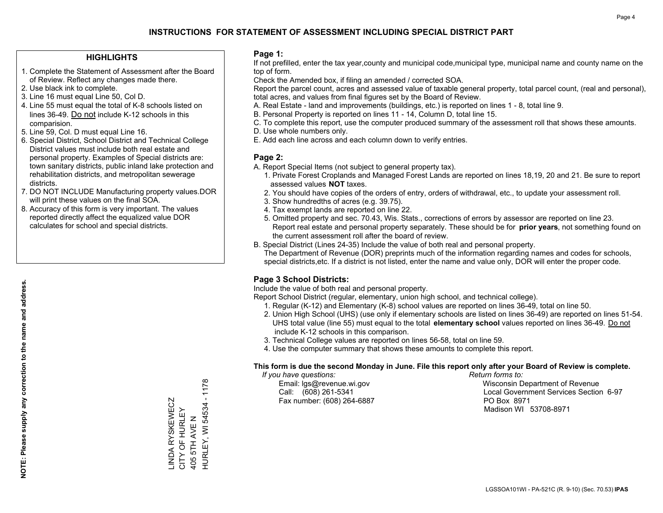#### **HIGHLIGHTS**

- 1. Complete the Statement of Assessment after the Board of Review. Reflect any changes made there.
- 2. Use black ink to complete.
- 3. Line 16 must equal Line 50, Col D.
- 4. Line 55 must equal the total of K-8 schools listed on lines 36-49. Do not include K-12 schools in this comparision.
- 5. Line 59, Col. D must equal Line 16.
- 6. Special District, School District and Technical College District values must include both real estate and personal property. Examples of Special districts are: town sanitary districts, public inland lake protection and rehabilitation districts, and metropolitan sewerage districts.
- 7. DO NOT INCLUDE Manufacturing property values.DOR will print these values on the final SOA.

LINDA RYSKEWECZ CITY OF HURLEY 405 5TH AVE N

LINDA RYSKEWECZ<br>CITY OF HURLEY

HURLEY, WI 54534 - 1178

HURLEY, WI 54534 - 1178

405 5TH AVE N

 8. Accuracy of this form is very important. The values reported directly affect the equalized value DOR calculates for school and special districts.

#### **Page 1:**

 If not prefilled, enter the tax year,county and municipal code,municipal type, municipal name and county name on the top of form.

Check the Amended box, if filing an amended / corrected SOA.

 Report the parcel count, acres and assessed value of taxable general property, total parcel count, (real and personal), total acres, and values from final figures set by the Board of Review.

- A. Real Estate land and improvements (buildings, etc.) is reported on lines 1 8, total line 9.
- B. Personal Property is reported on lines 11 14, Column D, total line 15.
- C. To complete this report, use the computer produced summary of the assessment roll that shows these amounts.
- D. Use whole numbers only.
- E. Add each line across and each column down to verify entries.

#### **Page 2:**

- A. Report Special Items (not subject to general property tax).
- 1. Private Forest Croplands and Managed Forest Lands are reported on lines 18,19, 20 and 21. Be sure to report assessed values **NOT** taxes.
- 2. You should have copies of the orders of entry, orders of withdrawal, etc., to update your assessment roll.
	- 3. Show hundredths of acres (e.g. 39.75).
- 4. Tax exempt lands are reported on line 22.
- 5. Omitted property and sec. 70.43, Wis. Stats., corrections of errors by assessor are reported on line 23. Report real estate and personal property separately. These should be for **prior years**, not something found on the current assessment roll after the board of review.
- B. Special District (Lines 24-35) Include the value of both real and personal property.

 The Department of Revenue (DOR) preprints much of the information regarding names and codes for schools, special districts,etc. If a district is not listed, enter the name and value only, DOR will enter the proper code.

### **Page 3 School Districts:**

Include the value of both real and personal property.

Report School District (regular, elementary, union high school, and technical college).

- 1. Regular (K-12) and Elementary (K-8) school values are reported on lines 36-49, total on line 50.
- 2. Union High School (UHS) (use only if elementary schools are listed on lines 36-49) are reported on lines 51-54. UHS total value (line 55) must equal to the total **elementary school** values reported on lines 36-49. Do notinclude K-12 schools in this comparison.
- 3. Technical College values are reported on lines 56-58, total on line 59.
- 4. Use the computer summary that shows these amounts to complete this report.

#### **This form is due the second Monday in June. File this report only after your Board of Review is complete.**

 *If you have questions: Return forms to:*

Fax number: (608) 264-6887 PO Box 8971

 Email: lgs@revenue.wi.gov Wisconsin Department of Revenue Call: (608) 261-5341 Local Government Services Section 6-97Madison WI 53708-8971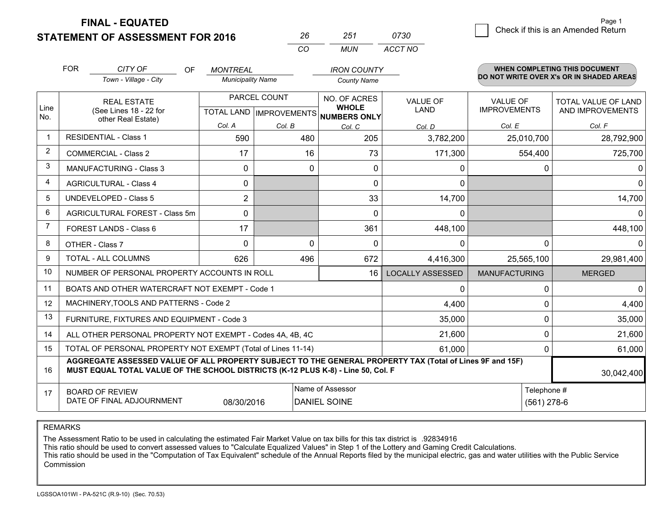**STATEMENT OF ASSESSMENT FOR 2016** 

**FINAL - EQUATED**

|                | <b>FOR</b> | CITY OF<br><b>OF</b>                                                                                                                                                                         | <b>MONTREAL</b>          |                                | <b>IRON COUNTY</b>                      |                         |                              | <b>WHEN COMPLETING THIS DOCUMENT</b>     |
|----------------|------------|----------------------------------------------------------------------------------------------------------------------------------------------------------------------------------------------|--------------------------|--------------------------------|-----------------------------------------|-------------------------|------------------------------|------------------------------------------|
|                |            | Town - Village - City                                                                                                                                                                        | <b>Municipality Name</b> |                                | <b>County Name</b>                      |                         |                              | DO NOT WRITE OVER X's OR IN SHADED AREAS |
|                |            | <b>REAL ESTATE</b>                                                                                                                                                                           |                          | PARCEL COUNT                   | NO. OF ACRES                            | <b>VALUE OF</b>         | <b>VALUE OF</b>              | <b>TOTAL VALUE OF LAND</b>               |
| Line<br>No.    |            | (See Lines 18 - 22 for<br>other Real Estate)                                                                                                                                                 |                          | <b>TOTAL LAND IMPROVEMENTS</b> | <b>WHOLE</b><br><b>NUMBERS ONLY</b>     | <b>LAND</b>             | <b>IMPROVEMENTS</b>          | AND IMPROVEMENTS                         |
|                |            |                                                                                                                                                                                              | Col. A                   | Col. B                         | Col. C                                  | Col. D                  | Col. E                       | Col. F                                   |
| $\mathbf{1}$   |            | <b>RESIDENTIAL - Class 1</b>                                                                                                                                                                 | 590                      | 480                            | 205                                     | 3,782,200               | 25,010,700                   | 28,792,900                               |
| $\overline{2}$ |            | <b>COMMERCIAL - Class 2</b>                                                                                                                                                                  | 17                       | 16                             | 73                                      | 171,300                 | 554,400                      | 725,700                                  |
| 3              |            | <b>MANUFACTURING - Class 3</b>                                                                                                                                                               | 0                        | 0                              | $\mathbf{0}$                            | 0                       | <sup>0</sup>                 | $\Omega$                                 |
| $\overline{4}$ |            | <b>AGRICULTURAL - Class 4</b>                                                                                                                                                                | 0                        |                                | $\mathbf 0$                             | 0                       |                              | $\Omega$                                 |
| 5              |            | <b>UNDEVELOPED - Class 5</b>                                                                                                                                                                 | $\overline{2}$           |                                | 33                                      | 14,700                  |                              | 14,700                                   |
| 6              |            | <b>AGRICULTURAL FOREST - Class 5m</b>                                                                                                                                                        | 0                        |                                | $\Omega$                                | $\Omega$                |                              | $\Omega$                                 |
| $\overline{7}$ |            | FOREST LANDS - Class 6                                                                                                                                                                       | 17                       |                                | 361                                     | 448,100                 |                              | 448,100                                  |
| 8              |            | OTHER - Class 7                                                                                                                                                                              | $\Omega$                 | $\Omega$                       | $\Omega$                                | $\Omega$                | 0                            | 0                                        |
| 9              |            | TOTAL - ALL COLUMNS                                                                                                                                                                          | 626                      | 496                            | 672                                     | 4,416,300               | 25,565,100                   | 29,981,400                               |
| 10             |            | NUMBER OF PERSONAL PROPERTY ACCOUNTS IN ROLL                                                                                                                                                 |                          |                                | 16                                      | <b>LOCALLY ASSESSED</b> | <b>MANUFACTURING</b>         | <b>MERGED</b>                            |
| 11             |            | BOATS AND OTHER WATERCRAFT NOT EXEMPT - Code 1                                                                                                                                               |                          |                                |                                         | 0                       | $\Omega$                     | $\Omega$                                 |
| 12             |            | MACHINERY, TOOLS AND PATTERNS - Code 2                                                                                                                                                       |                          |                                |                                         | 4,400                   | 0                            | 4,400                                    |
| 13             |            | FURNITURE, FIXTURES AND EQUIPMENT - Code 3                                                                                                                                                   |                          |                                |                                         | 35,000                  | 0                            | 35,000                                   |
| 14             |            | ALL OTHER PERSONAL PROPERTY NOT EXEMPT - Codes 4A, 4B, 4C                                                                                                                                    |                          |                                |                                         | 21,600                  | $\Omega$                     | 21,600                                   |
| 15             |            | TOTAL OF PERSONAL PROPERTY NOT EXEMPT (Total of Lines 11-14)                                                                                                                                 |                          |                                |                                         | 61,000                  | $\Omega$                     | 61,000                                   |
| 16             |            | AGGREGATE ASSESSED VALUE OF ALL PROPERTY SUBJECT TO THE GENERAL PROPERTY TAX (Total of Lines 9F and 15F)<br>MUST EQUAL TOTAL VALUE OF THE SCHOOL DISTRICTS (K-12 PLUS K-8) - Line 50, Col. F |                          |                                |                                         |                         |                              | 30,042,400                               |
| 17             |            | <b>BOARD OF REVIEW</b><br>DATE OF FINAL ADJOURNMENT                                                                                                                                          | 08/30/2016               |                                | Name of Assessor<br><b>DANIEL SOINE</b> |                         | Telephone #<br>$(561)$ 278-6 |                                          |

*CO*

*MUN*

*ACCT NO0730*

*<sup>26</sup> <sup>251</sup>*

REMARKS

The Assessment Ratio to be used in calculating the estimated Fair Market Value on tax bills for this tax district is .92834916<br>This ratio should be used to convert assessed values to "Calculate Equalized Values" in Step 1 Commission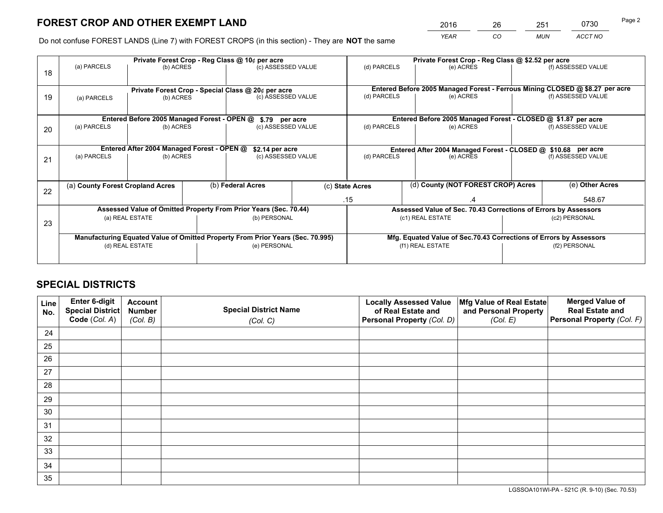*YEAR CO MUN ACCT NO* <sup>2016</sup> <sup>26</sup> <sup>251</sup> <sup>0730</sup>

Do not confuse FOREST LANDS (Line 7) with FOREST CROPS (in this section) - They are **NOT** the same

|    |                                  |                                             |  | Private Forest Crop - Reg Class @ 10¢ per acre                                 |  | Private Forest Crop - Reg Class @ \$2.52 per acre                  |                                                                              |  |                    |  |
|----|----------------------------------|---------------------------------------------|--|--------------------------------------------------------------------------------|--|--------------------------------------------------------------------|------------------------------------------------------------------------------|--|--------------------|--|
| 18 | (a) PARCELS                      | (b) ACRES                                   |  | (c) ASSESSED VALUE                                                             |  | (d) PARCELS                                                        | (e) ACRES                                                                    |  | (f) ASSESSED VALUE |  |
|    |                                  |                                             |  |                                                                                |  |                                                                    |                                                                              |  |                    |  |
|    |                                  |                                             |  | Private Forest Crop - Special Class @ 20¢ per acre                             |  |                                                                    | Entered Before 2005 Managed Forest - Ferrous Mining CLOSED @ \$8.27 per acre |  |                    |  |
| 19 | (a) PARCELS                      | (b) ACRES                                   |  | (c) ASSESSED VALUE                                                             |  | (d) PARCELS                                                        | (e) ACRES                                                                    |  | (f) ASSESSED VALUE |  |
|    |                                  |                                             |  |                                                                                |  |                                                                    |                                                                              |  |                    |  |
|    |                                  | Entered Before 2005 Managed Forest - OPEN @ |  | \$.79 per acre                                                                 |  |                                                                    | Entered Before 2005 Managed Forest - CLOSED @ \$1.87 per acre                |  |                    |  |
| 20 | (a) PARCELS                      | (b) ACRES                                   |  | (c) ASSESSED VALUE                                                             |  | (d) PARCELS                                                        | (e) ACRES                                                                    |  | (f) ASSESSED VALUE |  |
|    |                                  |                                             |  |                                                                                |  |                                                                    |                                                                              |  |                    |  |
|    |                                  | Entered After 2004 Managed Forest - OPEN @  |  | \$2.14 per acre                                                                |  | Entered After 2004 Managed Forest - CLOSED @ \$10.68 per acre      |                                                                              |  |                    |  |
| 21 | (a) PARCELS                      | (b) ACRES                                   |  | (c) ASSESSED VALUE                                                             |  | (d) PARCELS                                                        | (e) ACRES                                                                    |  | (f) ASSESSED VALUE |  |
|    |                                  |                                             |  |                                                                                |  |                                                                    |                                                                              |  |                    |  |
|    | (a) County Forest Cropland Acres |                                             |  | (b) Federal Acres                                                              |  | (c) State Acres                                                    | (d) County (NOT FOREST CROP) Acres                                           |  | (e) Other Acres    |  |
| 22 |                                  |                                             |  |                                                                                |  |                                                                    |                                                                              |  |                    |  |
|    |                                  |                                             |  |                                                                                |  | .15                                                                | .4                                                                           |  | 548.67             |  |
|    |                                  |                                             |  | Assessed Value of Omitted Property From Prior Years (Sec. 70.44)               |  |                                                                    | Assessed Value of Sec. 70.43 Corrections of Errors by Assessors              |  |                    |  |
| 23 |                                  | (a) REAL ESTATE                             |  | (b) PERSONAL                                                                   |  |                                                                    | (c1) REAL ESTATE                                                             |  | (c2) PERSONAL      |  |
|    |                                  |                                             |  |                                                                                |  |                                                                    |                                                                              |  |                    |  |
|    |                                  |                                             |  | Manufacturing Equated Value of Omitted Property From Prior Years (Sec. 70.995) |  | Mfg. Equated Value of Sec.70.43 Corrections of Errors by Assessors |                                                                              |  |                    |  |
|    |                                  | (d) REAL ESTATE                             |  | (e) PERSONAL                                                                   |  |                                                                    | (f1) REAL ESTATE                                                             |  | (f2) PERSONAL      |  |
|    |                                  |                                             |  |                                                                                |  |                                                                    |                                                                              |  |                    |  |

# **SPECIAL DISTRICTS**

| Line<br>No. | Enter 6-digit<br>Special District<br>Code (Col. A) | <b>Account</b><br><b>Number</b> | <b>Special District Name</b> | <b>Locally Assessed Value</b><br>of Real Estate and | Mfg Value of Real Estate<br>and Personal Property | <b>Merged Value of</b><br><b>Real Estate and</b><br>Personal Property (Col. F) |
|-------------|----------------------------------------------------|---------------------------------|------------------------------|-----------------------------------------------------|---------------------------------------------------|--------------------------------------------------------------------------------|
|             |                                                    | (Col. B)                        | (Col. C)                     | Personal Property (Col. D)                          | (Col. E)                                          |                                                                                |
| 24          |                                                    |                                 |                              |                                                     |                                                   |                                                                                |
| 25          |                                                    |                                 |                              |                                                     |                                                   |                                                                                |
| 26          |                                                    |                                 |                              |                                                     |                                                   |                                                                                |
| 27          |                                                    |                                 |                              |                                                     |                                                   |                                                                                |
| 28          |                                                    |                                 |                              |                                                     |                                                   |                                                                                |
| 29          |                                                    |                                 |                              |                                                     |                                                   |                                                                                |
| 30          |                                                    |                                 |                              |                                                     |                                                   |                                                                                |
| 31          |                                                    |                                 |                              |                                                     |                                                   |                                                                                |
| 32          |                                                    |                                 |                              |                                                     |                                                   |                                                                                |
| 33          |                                                    |                                 |                              |                                                     |                                                   |                                                                                |
| 34          |                                                    |                                 |                              |                                                     |                                                   |                                                                                |
| 35          |                                                    |                                 |                              |                                                     |                                                   |                                                                                |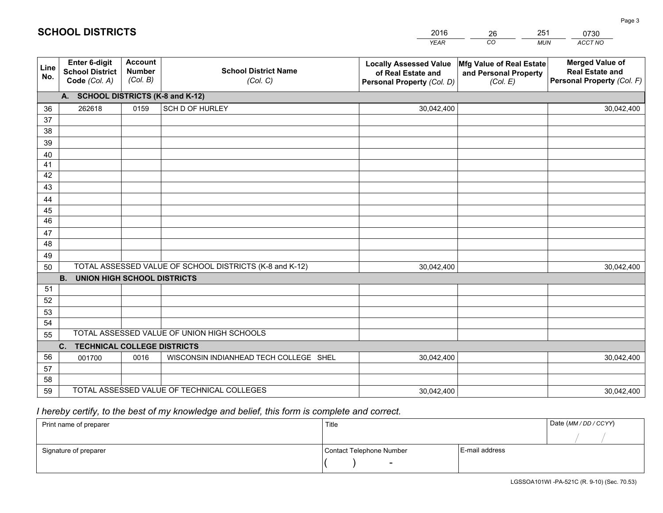|             |                                                          |                                             |                                                         | <b>YEAR</b>                                                                       | CO<br><b>MUN</b>                                              | ACCT NO                                                                        |
|-------------|----------------------------------------------------------|---------------------------------------------|---------------------------------------------------------|-----------------------------------------------------------------------------------|---------------------------------------------------------------|--------------------------------------------------------------------------------|
| Line<br>No. | Enter 6-digit<br><b>School District</b><br>Code (Col. A) | <b>Account</b><br><b>Number</b><br>(Col. B) | <b>School District Name</b><br>(Col. C)                 | <b>Locally Assessed Value</b><br>of Real Estate and<br>Personal Property (Col. D) | Mfg Value of Real Estate<br>and Personal Property<br>(Col. E) | <b>Merged Value of</b><br><b>Real Estate and</b><br>Personal Property (Col. F) |
|             | A. SCHOOL DISTRICTS (K-8 and K-12)                       |                                             |                                                         |                                                                                   |                                                               |                                                                                |
| 36          | 262618                                                   | 0159                                        | SCH D OF HURLEY                                         | 30,042,400                                                                        |                                                               | 30,042,400                                                                     |
| 37          |                                                          |                                             |                                                         |                                                                                   |                                                               |                                                                                |
| 38          |                                                          |                                             |                                                         |                                                                                   |                                                               |                                                                                |
| 39          |                                                          |                                             |                                                         |                                                                                   |                                                               |                                                                                |
| 40          |                                                          |                                             |                                                         |                                                                                   |                                                               |                                                                                |
| 41<br>42    |                                                          |                                             |                                                         |                                                                                   |                                                               |                                                                                |
| 43          |                                                          |                                             |                                                         |                                                                                   |                                                               |                                                                                |
| 44          |                                                          |                                             |                                                         |                                                                                   |                                                               |                                                                                |
| 45          |                                                          |                                             |                                                         |                                                                                   |                                                               |                                                                                |
| 46          |                                                          |                                             |                                                         |                                                                                   |                                                               |                                                                                |
| 47          |                                                          |                                             |                                                         |                                                                                   |                                                               |                                                                                |
| 48          |                                                          |                                             |                                                         |                                                                                   |                                                               |                                                                                |
| 49          |                                                          |                                             |                                                         |                                                                                   |                                                               |                                                                                |
| 50          |                                                          |                                             | TOTAL ASSESSED VALUE OF SCHOOL DISTRICTS (K-8 and K-12) | 30,042,400                                                                        |                                                               | 30,042,400                                                                     |
|             | <b>B.</b><br><b>UNION HIGH SCHOOL DISTRICTS</b>          |                                             |                                                         |                                                                                   |                                                               |                                                                                |
| 51          |                                                          |                                             |                                                         |                                                                                   |                                                               |                                                                                |
| 52          |                                                          |                                             |                                                         |                                                                                   |                                                               |                                                                                |
| 53          |                                                          |                                             |                                                         |                                                                                   |                                                               |                                                                                |
| 54          |                                                          |                                             |                                                         |                                                                                   |                                                               |                                                                                |
| 55          |                                                          |                                             | TOTAL ASSESSED VALUE OF UNION HIGH SCHOOLS              |                                                                                   |                                                               |                                                                                |
|             | C. TECHNICAL COLLEGE DISTRICTS                           |                                             |                                                         |                                                                                   |                                                               |                                                                                |
| 56          | 001700                                                   | 0016                                        | WISCONSIN INDIANHEAD TECH COLLEGE SHEL                  | 30,042,400                                                                        |                                                               | 30,042,400                                                                     |
| 57<br>58    |                                                          |                                             |                                                         |                                                                                   |                                                               |                                                                                |
| 59          |                                                          |                                             | TOTAL ASSESSED VALUE OF TECHNICAL COLLEGES              | 30,042,400                                                                        |                                                               | 30,042,400                                                                     |
|             |                                                          |                                             |                                                         |                                                                                   |                                                               |                                                                                |

# *I hereby certify, to the best of my knowledge and belief, this form is complete and correct.*

| Print name of preparer | Title                    |                | Date (MM / DD / CCYY) |
|------------------------|--------------------------|----------------|-----------------------|
|                        |                          |                |                       |
| Signature of preparer  | Contact Telephone Number | E-mail address |                       |
|                        | $\overline{\phantom{0}}$ |                |                       |

| <b>SCHOOL DISTRICTS</b> |  |
|-------------------------|--|
|-------------------------|--|

201626